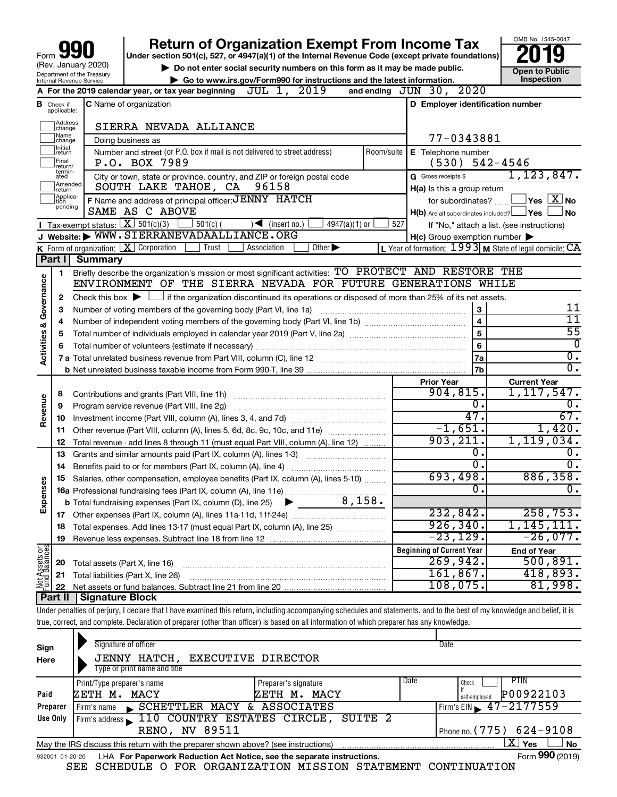| 990<br>Form $\mathbf{\Xi}$                             |
|--------------------------------------------------------|
| (Rev. January 2020)                                    |
| Department of the Treasury<br>Internal Revenue Service |

┯

# **Return of Organization Exempt From Income Tax**<br>r section 501(c), 527, or 4947(a)(1) of the Internal Revenue Code (except private foundations)<br>**2019**

**Under section 501(c), 527, or 4947(a)(1) of the Internal Revenue Code (except private foundations)**

▶ Do not enter social security numbers on this form as it may be made public. <br>● Go to www.irs.gov/Form990 for instructions and the latest information. **Department in the latest** information. **| Go to www.irs.gov/Form990 for instructions and the latest information. Inspection**

OMB No. 1545-0047

|                                    |                             | $JUL$ 1,<br>2019<br>A For the 2019 calendar year, or tax year beginning                                                                             |                                       | and ending JUN 30, 2020                             |                                                                    |
|------------------------------------|-----------------------------|-----------------------------------------------------------------------------------------------------------------------------------------------------|---------------------------------------|-----------------------------------------------------|--------------------------------------------------------------------|
| В                                  | Check if<br>applicable:     | <b>C</b> Name of organization                                                                                                                       |                                       | D Employer identification number                    |                                                                    |
|                                    | Address<br> change          | SIERRA NEVADA ALLIANCE                                                                                                                              |                                       |                                                     |                                                                    |
|                                    | Name<br>]change             | Doing business as                                                                                                                                   |                                       | 77-0343881                                          |                                                                    |
|                                    | <b>Initial</b><br> return   | Number and street (or P.O. box if mail is not delivered to street address)                                                                          | Room/suite                            | E Telephone number                                  |                                                                    |
|                                    | Final<br>return/            | P.O. BOX 7989                                                                                                                                       |                                       | $(530)$ 542-4546                                    |                                                                    |
|                                    | termin-<br>ated             | City or town, state or province, country, and ZIP or foreign postal code                                                                            |                                       | G Gross receipts \$                                 | 1, 123, 847.                                                       |
|                                    | Amended<br>return           | SOUTH LAKE TAHOE, CA<br>96158                                                                                                                       |                                       | H(a) Is this a group return                         |                                                                    |
|                                    | Applica-<br>tion<br>pending | F Name and address of principal officer: JENNY HATCH                                                                                                |                                       | for subordinates?                                   | $\mathsf{\perp}$ Yes $\mathsf{\perp} \mathbf{X} \mathsf{\perp}$ No |
|                                    |                             | SAME AS C ABOVE                                                                                                                                     |                                       | H(b) Are all subordinates included? Ves             | ⊥No                                                                |
|                                    |                             | Tax-exempt status: $X \over 301(c)(3)$<br>$501(c)$ (<br>$4947(a)(1)$ or<br>$\sqrt{\bullet}$ (insert no.)<br>J Website: WWW.SIERRANEVADAALLIANCE.ORG | 527                                   |                                                     | If "No," attach a list. (see instructions)                         |
|                                    |                             | Trust<br>Other $\blacktriangleright$<br>Association                                                                                                 |                                       | $H(c)$ Group exemption number $\blacktriangleright$ |                                                                    |
|                                    | Part I                      | K Form of organization: $X$ Corporation<br>Summary                                                                                                  |                                       |                                                     | L Year of formation: $1993$ M State of legal domicile: CA          |
|                                    |                             | Briefly describe the organization's mission or most significant activities: TO PROTECT AND RESTORE THE                                              |                                       |                                                     |                                                                    |
|                                    | 1                           | ENVIRONMENT OF THE SIERRA NEVADA FOR FUTURE GENERATIONS WHILE                                                                                       |                                       |                                                     |                                                                    |
|                                    | $\mathbf{2}$                | Check this box $\blacktriangleright$ $\Box$ if the organization discontinued its operations or disposed of more than 25% of its net assets.         |                                       |                                                     |                                                                    |
|                                    | 3                           | Number of voting members of the governing body (Part VI, line 1a)                                                                                   |                                       | 3                                                   | 11                                                                 |
|                                    | 4                           |                                                                                                                                                     |                                       | $\overline{\mathbf{4}}$                             | 11                                                                 |
|                                    | 5                           |                                                                                                                                                     |                                       | 5                                                   | 55                                                                 |
|                                    | 6                           |                                                                                                                                                     |                                       | 6                                                   | 0                                                                  |
| <b>Activities &amp; Governance</b> |                             |                                                                                                                                                     |                                       | 7a                                                  | $\overline{0}$ .                                                   |
|                                    |                             |                                                                                                                                                     |                                       | 7 <sub>b</sub>                                      | $\overline{0}$ .                                                   |
|                                    |                             |                                                                                                                                                     |                                       | <b>Prior Year</b>                                   | <b>Current Year</b>                                                |
|                                    | 8                           |                                                                                                                                                     |                                       | 904, 815.                                           | 1,117,547.                                                         |
| Revenue                            | 9                           | Program service revenue (Part VIII, line 2g)                                                                                                        |                                       | О.                                                  | $0$ .                                                              |
|                                    |                             |                                                                                                                                                     |                                       | 47.                                                 | 67.                                                                |
|                                    |                             | 11 Other revenue (Part VIII, column (A), lines 5, 6d, 8c, 9c, 10c, and 11e)                                                                         |                                       | $-1,651.$                                           | 1,420.                                                             |
|                                    | 12                          | Total revenue - add lines 8 through 11 (must equal Part VIII, column (A), line 12)                                                                  |                                       | 903, 211.                                           | 1,119,034.                                                         |
|                                    | 13                          | Grants and similar amounts paid (Part IX, column (A), lines 1-3)                                                                                    |                                       | О.                                                  | О.                                                                 |
|                                    | 14                          |                                                                                                                                                     |                                       | 0.<br>693,498.                                      | 0.                                                                 |
| Expenses                           | 15                          | Salaries, other compensation, employee benefits (Part IX, column (A), lines 5-10)                                                                   |                                       | Ο.                                                  | 886, 358.                                                          |
|                                    |                             | 8,158.                                                                                                                                              |                                       |                                                     | О.                                                                 |
|                                    |                             | <b>b</b> Total fundraising expenses (Part IX, column (D), line 25)<br>▶                                                                             |                                       | 232,842.                                            | 258,753.                                                           |
|                                    |                             |                                                                                                                                                     |                                       | 926, 340.                                           | 1,145,111.                                                         |
|                                    |                             | 18 Total expenses. Add lines 13-17 (must equal Part IX, column (A), line 25)                                                                        |                                       | $-23, 129.$                                         | $-26,077.$                                                         |
| <b>bes</b>                         | 19                          |                                                                                                                                                     |                                       | <b>Beginning of Current Year</b>                    | <b>End of Year</b>                                                 |
|                                    | 20                          | Total assets (Part X, line 16)                                                                                                                      |                                       | 269,942.                                            | 500, 891.                                                          |
|                                    | 21                          | Total liabilities (Part X, line 26)                                                                                                                 |                                       | 161,867.                                            | 418,893.                                                           |
| Net Assets of                      | 22                          |                                                                                                                                                     |                                       | 108,075.                                            | 81,998.                                                            |
|                                    |                             | Part II   Signature Block                                                                                                                           |                                       |                                                     |                                                                    |
|                                    |                             | consistencia anatomica al consistencia del capital<br>that is a subsequent to all a sub-                                                            | to a face of a face to constitutions. | changes and a model of accountance and a            |                                                                    |

Under penalties of perjury, I declare that I have examined this return, including accompanying schedules and statements, and to the best of my knowledge and belief, it is true, correct, and complete. Declaration of preparer (other than officer) is based on all information of which preparer has any knowledge.

| Sign<br>Here    | Signature of officer<br>JENNY HATCH, EXECUTIVE DIRECTOR<br>Type or print name and title | Date                                                |
|-----------------|-----------------------------------------------------------------------------------------|-----------------------------------------------------|
| Paid            | Preparer's signature<br>Print/Type preparer's name<br>ZETH M. MACY<br>ZETH M. MACY      | Date<br>PTIN<br>Check<br>P00922103<br>self-emploved |
| Preparer        | SCHETTLER MACY & ASSOCIATES<br>Firm's name                                              | Firm's EIN $\sqrt{47-2177559}$                      |
| Use Only        | Firm's address 110 COUNTRY ESTATES CIRCLE, SUITE 2<br>RENO, NV 89511                    | Phone no. $(775)$ 624-9108                          |
|                 | May the IRS discuss this return with the preparer shown above? (see instructions)       | x.<br><b>No</b><br>Yes                              |
| 932001 01-20-20 | LHA For Paperwork Reduction Act Notice, see the separate instructions.                  | Form 990 (2019)                                     |

SEE SCHEDULE O FOR ORGANIZATION MISSION STATEMENT CONTINUATION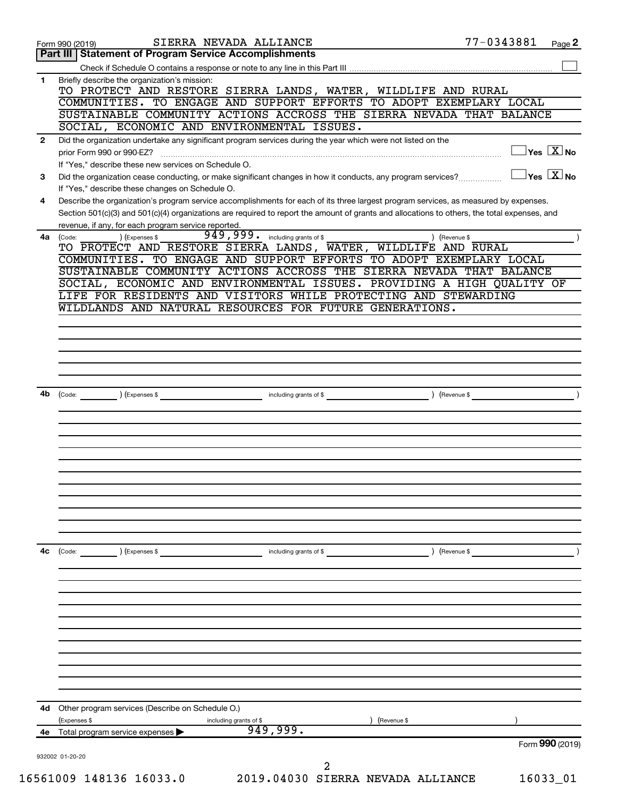|              | 77-0343881<br>SIERRA NEVADA ALLIANCE<br>Page 2<br>Form 990 (2019)                                                                            |
|--------------|----------------------------------------------------------------------------------------------------------------------------------------------|
|              | Part III   Statement of Program Service Accomplishments                                                                                      |
|              |                                                                                                                                              |
| 1            | Briefly describe the organization's mission:<br>TO PROTECT AND RESTORE SIERRA LANDS, WATER, WILDLIFE AND RURAL                               |
|              | COMMUNITIES. TO ENGAGE AND SUPPORT EFFORTS TO ADOPT EXEMPLARY LOCAL                                                                          |
|              | SUSTAINABLE COMMUNITY ACTIONS ACCROSS THE SIERRA NEVADA THAT BALANCE                                                                         |
|              | SOCIAL, ECONOMIC AND ENVIRONMENTAL ISSUES.                                                                                                   |
| $\mathbf{2}$ | Did the organization undertake any significant program services during the year which were not listed on the                                 |
|              | $\exists$ Yes $\boxed{\text{X}}$ No<br>prior Form 990 or 990-EZ?                                                                             |
|              | If "Yes," describe these new services on Schedule O.                                                                                         |
| 3            | $Yes$ $X$ No<br>Did the organization cease conducting, or make significant changes in how it conducts, any program services?                 |
|              | If "Yes," describe these changes on Schedule O.                                                                                              |
| 4            | Describe the organization's program service accomplishments for each of its three largest program services, as measured by expenses.         |
|              | Section 501(c)(3) and 501(c)(4) organizations are required to report the amount of grants and allocations to others, the total expenses, and |
|              | revenue, if any, for each program service reported.                                                                                          |
|              | 949, 999 . including grants of \$<br>) (Expenses \$<br>4a (Code:<br>(Revenue \$                                                              |
|              | TO PROTECT AND RESTORE SIERRA LANDS, WATER, WILDLIFE AND RURAL<br>COMMUNITIES. TO ENGAGE AND SUPPORT EFFORTS TO ADOPT EXEMPLARY LOCAL        |
|              | SUSTAINABLE COMMUNITY ACTIONS ACCROSS THE SIERRA NEVADA THAT BALANCE                                                                         |
|              | SOCIAL, ECONOMIC AND ENVIRONMENTAL ISSUES. PROVIDING A HIGH QUALITY OF                                                                       |
|              | LIFE FOR RESIDENTS AND VISITORS WHILE PROTECTING AND STEWARDING                                                                              |
|              | WILDLANDS AND NATURAL RESOURCES FOR FUTURE GENERATIONS.                                                                                      |
|              |                                                                                                                                              |
|              |                                                                                                                                              |
|              |                                                                                                                                              |
|              |                                                                                                                                              |
|              |                                                                                                                                              |
|              |                                                                                                                                              |
| 4b           | (Revenue \$<br>(Expenses \$<br>including grants of \$<br>(Code:                                                                              |
|              |                                                                                                                                              |
|              |                                                                                                                                              |
|              |                                                                                                                                              |
|              |                                                                                                                                              |
|              |                                                                                                                                              |
|              |                                                                                                                                              |
|              |                                                                                                                                              |
|              |                                                                                                                                              |
|              |                                                                                                                                              |
|              |                                                                                                                                              |
|              |                                                                                                                                              |
| 4с           | ) (Expenses \$<br>including grants of \$<br>(Code:<br>) (Revenue \$                                                                          |
|              |                                                                                                                                              |
|              |                                                                                                                                              |
|              |                                                                                                                                              |
|              |                                                                                                                                              |
|              |                                                                                                                                              |
|              |                                                                                                                                              |
|              |                                                                                                                                              |
|              |                                                                                                                                              |
|              |                                                                                                                                              |
|              |                                                                                                                                              |
|              |                                                                                                                                              |
|              |                                                                                                                                              |
| 4d           | Other program services (Describe on Schedule O.)                                                                                             |
|              | (Expenses \$<br>including grants of \$<br>(Revenue \$                                                                                        |
| 4е           | 949,999.<br>Total program service expenses<br>Form 990 (2019)                                                                                |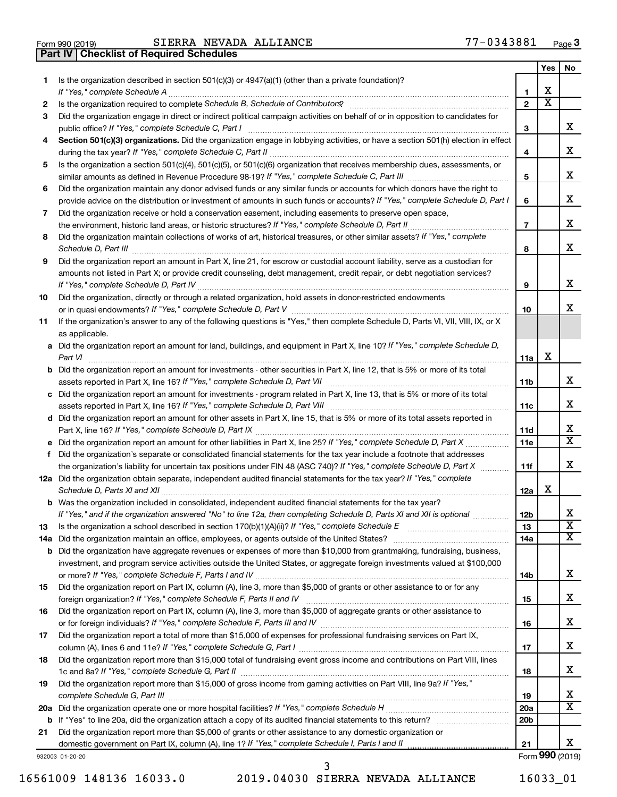| Form 990 (2019) |  |  |
|-----------------|--|--|
|                 |  |  |

**Part IV Checklist of Required Schedules**

|     |                                                                                                                                                    |                          | Yes                     | No                      |
|-----|----------------------------------------------------------------------------------------------------------------------------------------------------|--------------------------|-------------------------|-------------------------|
| 1.  | Is the organization described in section 501(c)(3) or 4947(a)(1) (other than a private foundation)?                                                | 1                        | х                       |                         |
|     | If "Yes," complete Schedule A                                                                                                                      |                          |                         |                         |
| 2   |                                                                                                                                                    | $\mathbf{2}$             | $\overline{\textbf{x}}$ |                         |
| 3   | Did the organization engage in direct or indirect political campaign activities on behalf of or in opposition to candidates for                    |                          |                         |                         |
|     |                                                                                                                                                    | 3                        |                         | x                       |
| 4   | Section 501(c)(3) organizations. Did the organization engage in lobbying activities, or have a section 501(h) election in effect                   | 4                        |                         | x                       |
| 5   | Is the organization a section 501(c)(4), 501(c)(5), or 501(c)(6) organization that receives membership dues, assessments, or                       |                          |                         |                         |
|     |                                                                                                                                                    | 5                        |                         | x                       |
| 6   | Did the organization maintain any donor advised funds or any similar funds or accounts for which donors have the right to                          |                          |                         |                         |
|     | provide advice on the distribution or investment of amounts in such funds or accounts? If "Yes," complete Schedule D, Part I                       | 6                        |                         | x                       |
| 7   | Did the organization receive or hold a conservation easement, including easements to preserve open space,                                          |                          |                         |                         |
|     |                                                                                                                                                    | $\overline{\phantom{a}}$ |                         | x                       |
| 8   | Did the organization maintain collections of works of art, historical treasures, or other similar assets? If "Yes," complete                       |                          |                         |                         |
|     | Schedule D, Part III <b>www.community.community.community.community.community.community.com</b>                                                    | 8                        |                         | x                       |
| 9   | Did the organization report an amount in Part X, line 21, for escrow or custodial account liability, serve as a custodian for                      |                          |                         |                         |
|     | amounts not listed in Part X; or provide credit counseling, debt management, credit repair, or debt negotiation services?                          |                          |                         |                         |
|     |                                                                                                                                                    | 9                        |                         | x                       |
| 10  | Did the organization, directly or through a related organization, hold assets in donor-restricted endowments                                       |                          |                         |                         |
|     |                                                                                                                                                    | 10                       |                         | x                       |
| 11  | If the organization's answer to any of the following questions is "Yes," then complete Schedule D, Parts VI, VII, VIII, IX, or X<br>as applicable. |                          |                         |                         |
|     | a Did the organization report an amount for land, buildings, and equipment in Part X, line 10? If "Yes," complete Schedule D,                      |                          |                         |                         |
|     | Part VI                                                                                                                                            | 11a                      | X                       |                         |
|     | <b>b</b> Did the organization report an amount for investments - other securities in Part X, line 12, that is 5% or more of its total              |                          |                         |                         |
|     |                                                                                                                                                    | 11b                      |                         | х                       |
|     | c Did the organization report an amount for investments - program related in Part X, line 13, that is 5% or more of its total                      | 11c                      |                         | x                       |
|     | d Did the organization report an amount for other assets in Part X, line 15, that is 5% or more of its total assets reported in                    |                          |                         |                         |
|     |                                                                                                                                                    | 11d                      |                         | х                       |
|     |                                                                                                                                                    | 11e                      |                         | X                       |
| f   | Did the organization's separate or consolidated financial statements for the tax year include a footnote that addresses                            |                          |                         |                         |
|     | the organization's liability for uncertain tax positions under FIN 48 (ASC 740)? If "Yes," complete Schedule D, Part X                             | 11f                      |                         | x                       |
|     | 12a Did the organization obtain separate, independent audited financial statements for the tax year? If "Yes," complete                            |                          |                         |                         |
|     |                                                                                                                                                    | 12a                      | х                       |                         |
|     | b Was the organization included in consolidated, independent audited financial statements for the tax year?                                        |                          |                         |                         |
|     | If "Yes." and if the organization answered "No" to line 12a, then completing Schedule D. Parts XI and XII is optional                              | 12 <sub>b</sub>          |                         | х                       |
| 13  |                                                                                                                                                    | 13                       |                         | $\overline{\textbf{x}}$ |
| 14a |                                                                                                                                                    | 14a                      |                         | x                       |
|     | <b>b</b> Did the organization have aggregate revenues or expenses of more than \$10,000 from grantmaking, fundraising, business,                   |                          |                         |                         |
|     | investment, and program service activities outside the United States, or aggregate foreign investments valued at \$100,000                         |                          |                         |                         |
|     |                                                                                                                                                    | 14b                      |                         | х                       |
| 15  | Did the organization report on Part IX, column (A), line 3, more than \$5,000 of grants or other assistance to or for any                          |                          |                         |                         |
|     |                                                                                                                                                    | 15                       |                         | х                       |
| 16  | Did the organization report on Part IX, column (A), line 3, more than \$5,000 of aggregate grants or other assistance to                           |                          |                         |                         |
|     |                                                                                                                                                    | 16                       |                         | х                       |
| 17  | Did the organization report a total of more than \$15,000 of expenses for professional fundraising services on Part IX,                            |                          |                         |                         |
|     |                                                                                                                                                    | 17                       |                         | х                       |
| 18  | Did the organization report more than \$15,000 total of fundraising event gross income and contributions on Part VIII, lines                       | 18                       |                         | х                       |
| 19  | Did the organization report more than \$15,000 of gross income from gaming activities on Part VIII, line 9a? If "Yes,"                             | 19                       |                         | х                       |
|     |                                                                                                                                                    | 20a                      |                         | х                       |
|     |                                                                                                                                                    | 20 <sub>b</sub>          |                         |                         |
| 21  | Did the organization report more than \$5,000 of grants or other assistance to any domestic organization or                                        |                          |                         |                         |
|     |                                                                                                                                                    | 21                       |                         | x                       |
|     | 932003 01-20-20                                                                                                                                    |                          |                         | Form 990 (2019)         |

16561009 148136 16033.0 2019.04030 SIERRA NEVADA ALLIANCE 16033\_01

3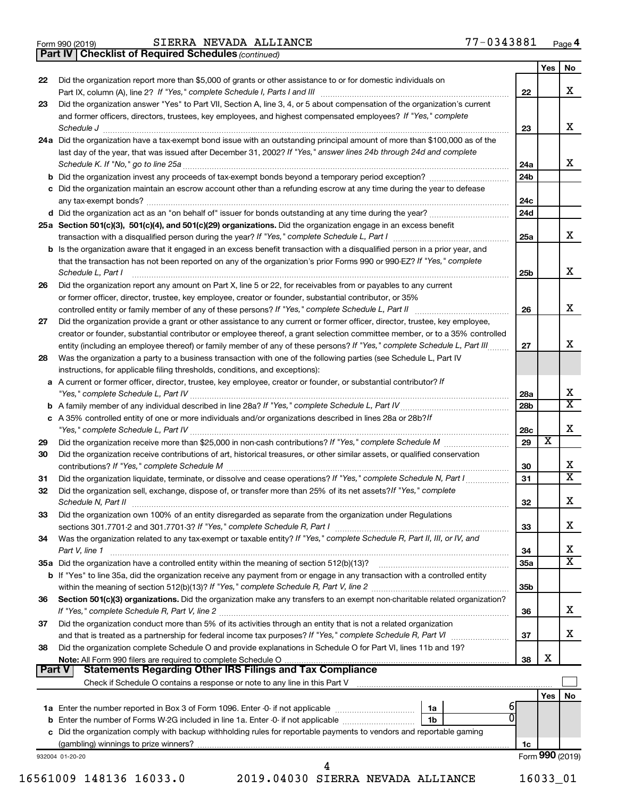| Form 990 (2019) |  |  |
|-----------------|--|--|

*(continued)* **Part IV Checklist of Required Schedules**

| 22       |                                                                                                                                                                                                                                                                                                                                                                                                                                                                                                                                                                                          |                 | Yes             | No |
|----------|------------------------------------------------------------------------------------------------------------------------------------------------------------------------------------------------------------------------------------------------------------------------------------------------------------------------------------------------------------------------------------------------------------------------------------------------------------------------------------------------------------------------------------------------------------------------------------------|-----------------|-----------------|----|
|          | Did the organization report more than \$5,000 of grants or other assistance to or for domestic individuals on                                                                                                                                                                                                                                                                                                                                                                                                                                                                            |                 |                 | x  |
|          |                                                                                                                                                                                                                                                                                                                                                                                                                                                                                                                                                                                          | 22              |                 |    |
| 23       | Did the organization answer "Yes" to Part VII, Section A, line 3, 4, or 5 about compensation of the organization's current                                                                                                                                                                                                                                                                                                                                                                                                                                                               |                 |                 |    |
|          | and former officers, directors, trustees, key employees, and highest compensated employees? If "Yes," complete                                                                                                                                                                                                                                                                                                                                                                                                                                                                           | 23              |                 | X  |
|          | $\textit{Schedule J} \textit{ \textbf{}} \textit{ \textbf{}} \textit{ \textbf{}} \textit{ \textbf{}} \textit{ \textbf{}} \textit{ \textbf{}} \textit{ \textbf{}} \textit{ \textbf{}} \textit{ \textbf{}} \textit{ \textbf{}} \textit{ \textbf{}} \textit{ \textbf{}} \textit{ \textbf{}} \textit{ \textbf{}} \textit{ \textbf{}} \textit{ \textbf{}} \textit{ \textbf{}} \textit{ \textbf{}} \textit{ \textbf{}} \textit{ \textbf{}} \textit{ \textbf{}}$<br>24a Did the organization have a tax-exempt bond issue with an outstanding principal amount of more than \$100,000 as of the |                 |                 |    |
|          | last day of the year, that was issued after December 31, 2002? If "Yes," answer lines 24b through 24d and complete                                                                                                                                                                                                                                                                                                                                                                                                                                                                       |                 |                 |    |
|          |                                                                                                                                                                                                                                                                                                                                                                                                                                                                                                                                                                                          | 24a             |                 | x  |
|          |                                                                                                                                                                                                                                                                                                                                                                                                                                                                                                                                                                                          | 24 <sub>b</sub> |                 |    |
|          | c Did the organization maintain an escrow account other than a refunding escrow at any time during the year to defease                                                                                                                                                                                                                                                                                                                                                                                                                                                                   |                 |                 |    |
|          |                                                                                                                                                                                                                                                                                                                                                                                                                                                                                                                                                                                          | 24c             |                 |    |
|          |                                                                                                                                                                                                                                                                                                                                                                                                                                                                                                                                                                                          | 24d             |                 |    |
|          | 25a Section 501(c)(3), 501(c)(4), and 501(c)(29) organizations. Did the organization engage in an excess benefit                                                                                                                                                                                                                                                                                                                                                                                                                                                                         |                 |                 |    |
|          |                                                                                                                                                                                                                                                                                                                                                                                                                                                                                                                                                                                          | 25a             |                 | x  |
|          | <b>b</b> Is the organization aware that it engaged in an excess benefit transaction with a disqualified person in a prior year, and                                                                                                                                                                                                                                                                                                                                                                                                                                                      |                 |                 |    |
|          | that the transaction has not been reported on any of the organization's prior Forms 990 or 990-EZ? If "Yes," complete                                                                                                                                                                                                                                                                                                                                                                                                                                                                    |                 |                 | x  |
|          | Schedule L, Part I<br>Did the organization report any amount on Part X, line 5 or 22, for receivables from or payables to any current                                                                                                                                                                                                                                                                                                                                                                                                                                                    | 25b             |                 |    |
| 26       | or former officer, director, trustee, key employee, creator or founder, substantial contributor, or 35%                                                                                                                                                                                                                                                                                                                                                                                                                                                                                  |                 |                 |    |
|          |                                                                                                                                                                                                                                                                                                                                                                                                                                                                                                                                                                                          | 26              |                 | X  |
| 27       | Did the organization provide a grant or other assistance to any current or former officer, director, trustee, key employee,                                                                                                                                                                                                                                                                                                                                                                                                                                                              |                 |                 |    |
|          | creator or founder, substantial contributor or employee thereof, a grant selection committee member, or to a 35% controlled                                                                                                                                                                                                                                                                                                                                                                                                                                                              |                 |                 |    |
|          | entity (including an employee thereof) or family member of any of these persons? If "Yes," complete Schedule L, Part III                                                                                                                                                                                                                                                                                                                                                                                                                                                                 | 27              |                 |    |
| 28       | Was the organization a party to a business transaction with one of the following parties (see Schedule L, Part IV                                                                                                                                                                                                                                                                                                                                                                                                                                                                        |                 |                 |    |
|          | instructions, for applicable filing thresholds, conditions, and exceptions):                                                                                                                                                                                                                                                                                                                                                                                                                                                                                                             |                 |                 |    |
|          | a A current or former officer, director, trustee, key employee, creator or founder, or substantial contributor? If                                                                                                                                                                                                                                                                                                                                                                                                                                                                       |                 |                 |    |
|          |                                                                                                                                                                                                                                                                                                                                                                                                                                                                                                                                                                                          | 28a             |                 |    |
|          |                                                                                                                                                                                                                                                                                                                                                                                                                                                                                                                                                                                          | 28 <sub>b</sub> |                 |    |
|          | c A 35% controlled entity of one or more individuals and/or organizations described in lines 28a or 28b? If                                                                                                                                                                                                                                                                                                                                                                                                                                                                              |                 |                 |    |
|          |                                                                                                                                                                                                                                                                                                                                                                                                                                                                                                                                                                                          | 28c             | X               |    |
| 29<br>30 | Did the organization receive contributions of art, historical treasures, or other similar assets, or qualified conservation                                                                                                                                                                                                                                                                                                                                                                                                                                                              | 29              |                 |    |
|          |                                                                                                                                                                                                                                                                                                                                                                                                                                                                                                                                                                                          | 30              |                 | х  |
| 31       | Did the organization liquidate, terminate, or dissolve and cease operations? If "Yes," complete Schedule N, Part I                                                                                                                                                                                                                                                                                                                                                                                                                                                                       | 31              |                 |    |
| 32       | Did the organization sell, exchange, dispose of, or transfer more than 25% of its net assets? If "Yes," complete                                                                                                                                                                                                                                                                                                                                                                                                                                                                         |                 |                 |    |
|          | Schedule N, Part II <b>Markov Markov Alexander Schedule N, Part II</b> Markov Markov Markov Markov Markov Markov Markov Markov Markov Markov Markov Markov Markov Markov Markov Markov Markov Markov Markov Markov Markov Markov Ma                                                                                                                                                                                                                                                                                                                                                      | 32              |                 |    |
| 33       | Did the organization own 100% of an entity disregarded as separate from the organization under Regulations                                                                                                                                                                                                                                                                                                                                                                                                                                                                               |                 |                 |    |
|          |                                                                                                                                                                                                                                                                                                                                                                                                                                                                                                                                                                                          | 33              |                 | x  |
| 34       | Was the organization related to any tax-exempt or taxable entity? If "Yes," complete Schedule R, Part II, III, or IV, and                                                                                                                                                                                                                                                                                                                                                                                                                                                                |                 |                 |    |
|          | Part V, line 1                                                                                                                                                                                                                                                                                                                                                                                                                                                                                                                                                                           | 34              |                 |    |
|          |                                                                                                                                                                                                                                                                                                                                                                                                                                                                                                                                                                                          | <b>35a</b>      |                 |    |
|          | <b>b</b> If "Yes" to line 35a, did the organization receive any payment from or engage in any transaction with a controlled entity                                                                                                                                                                                                                                                                                                                                                                                                                                                       |                 |                 |    |
|          |                                                                                                                                                                                                                                                                                                                                                                                                                                                                                                                                                                                          | 35 <sub>b</sub> |                 |    |
| 36       | Section 501(c)(3) organizations. Did the organization make any transfers to an exempt non-charitable related organization?                                                                                                                                                                                                                                                                                                                                                                                                                                                               |                 |                 |    |
| 37       | Did the organization conduct more than 5% of its activities through an entity that is not a related organization                                                                                                                                                                                                                                                                                                                                                                                                                                                                         | 36              |                 |    |
|          |                                                                                                                                                                                                                                                                                                                                                                                                                                                                                                                                                                                          | 37              |                 |    |
| 38       | Did the organization complete Schedule O and provide explanations in Schedule O for Part VI, lines 11b and 19?                                                                                                                                                                                                                                                                                                                                                                                                                                                                           |                 |                 |    |
|          |                                                                                                                                                                                                                                                                                                                                                                                                                                                                                                                                                                                          | 38              | X               |    |
| Part V   |                                                                                                                                                                                                                                                                                                                                                                                                                                                                                                                                                                                          |                 |                 |    |
|          |                                                                                                                                                                                                                                                                                                                                                                                                                                                                                                                                                                                          |                 |                 |    |
|          |                                                                                                                                                                                                                                                                                                                                                                                                                                                                                                                                                                                          |                 | Yes             | No |
|          | 1a                                                                                                                                                                                                                                                                                                                                                                                                                                                                                                                                                                                       |                 |                 |    |
|          | 1b                                                                                                                                                                                                                                                                                                                                                                                                                                                                                                                                                                                       |                 |                 |    |
|          |                                                                                                                                                                                                                                                                                                                                                                                                                                                                                                                                                                                          |                 |                 |    |
|          | c Did the organization comply with backup withholding rules for reportable payments to vendors and reportable gaming                                                                                                                                                                                                                                                                                                                                                                                                                                                                     |                 |                 |    |
|          |                                                                                                                                                                                                                                                                                                                                                                                                                                                                                                                                                                                          | 1c              | Form 990 (2019) |    |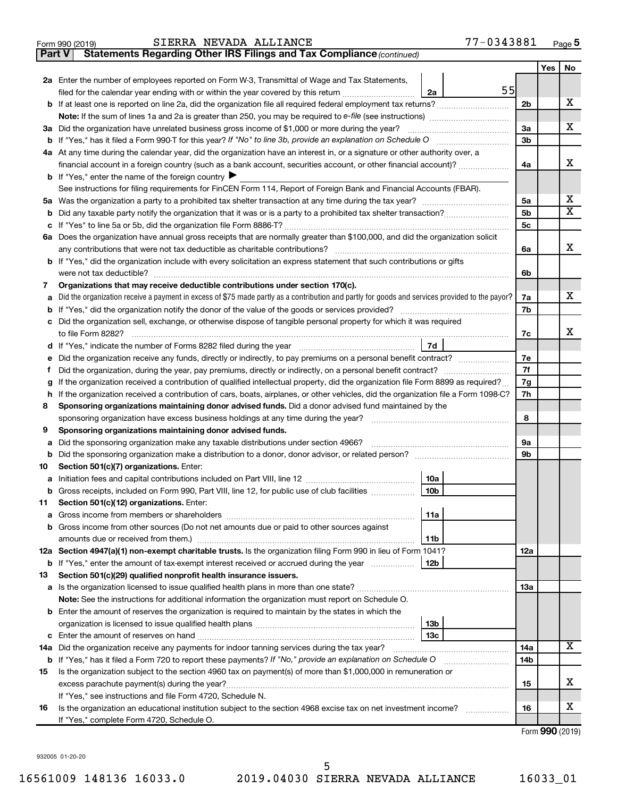|  | SIERRA NEVADA ALLIANCE | 77-0343881 |
|--|------------------------|------------|
|  |                        |            |

| Part V | <b>Statements Regarding Other IRS Filings and Tax Compliance (continued)</b>                                                                    |           |     |                         |  |  |  |  |
|--------|-------------------------------------------------------------------------------------------------------------------------------------------------|-----------|-----|-------------------------|--|--|--|--|
|        |                                                                                                                                                 |           | Yes | No                      |  |  |  |  |
|        | 2a Enter the number of employees reported on Form W-3, Transmittal of Wage and Tax Statements,                                                  |           |     |                         |  |  |  |  |
|        | 55<br>filed for the calendar year ending with or within the year covered by this return<br>2a                                                   |           |     |                         |  |  |  |  |
|        | b If at least one is reported on line 2a, did the organization file all required federal employment tax returns?                                |           |     |                         |  |  |  |  |
|        |                                                                                                                                                 |           |     |                         |  |  |  |  |
| За     | Did the organization have unrelated business gross income of \$1,000 or more during the year?                                                   | За        |     | х                       |  |  |  |  |
|        |                                                                                                                                                 | 3b        |     |                         |  |  |  |  |
|        | 4a At any time during the calendar year, did the organization have an interest in, or a signature or other authority over, a                    |           |     |                         |  |  |  |  |
|        | financial account in a foreign country (such as a bank account, securities account, or other financial account)?                                | 4a        |     | x                       |  |  |  |  |
|        | <b>b</b> If "Yes," enter the name of the foreign country $\blacktriangleright$                                                                  |           |     |                         |  |  |  |  |
|        | See instructions for filing requirements for FinCEN Form 114, Report of Foreign Bank and Financial Accounts (FBAR).                             |           |     |                         |  |  |  |  |
| 5a     |                                                                                                                                                 | 5a        |     | х                       |  |  |  |  |
| b      |                                                                                                                                                 | 5b        |     | $\overline{\textbf{X}}$ |  |  |  |  |
|        |                                                                                                                                                 | <b>5c</b> |     |                         |  |  |  |  |
|        | 6a Does the organization have annual gross receipts that are normally greater than \$100,000, and did the organization solicit                  |           |     |                         |  |  |  |  |
|        |                                                                                                                                                 | 6a        |     | x                       |  |  |  |  |
|        | b If "Yes," did the organization include with every solicitation an express statement that such contributions or gifts                          |           |     |                         |  |  |  |  |
|        | were not tax deductible?                                                                                                                        | 6b        |     |                         |  |  |  |  |
| 7      | Organizations that may receive deductible contributions under section 170(c).                                                                   |           |     |                         |  |  |  |  |
| a      | Did the organization receive a payment in excess of \$75 made partly as a contribution and partly for goods and services provided to the payor? | 7a        |     | x                       |  |  |  |  |
| b      |                                                                                                                                                 | 7b        |     |                         |  |  |  |  |
|        | Did the organization sell, exchange, or otherwise dispose of tangible personal property for which it was required                               |           |     |                         |  |  |  |  |
|        |                                                                                                                                                 | 7c        |     | x                       |  |  |  |  |
| d      | 7d                                                                                                                                              |           |     |                         |  |  |  |  |
|        | Did the organization receive any funds, directly or indirectly, to pay premiums on a personal benefit contract?                                 | 7е        |     |                         |  |  |  |  |
| f      |                                                                                                                                                 | 7f        |     |                         |  |  |  |  |
| g      | If the organization received a contribution of qualified intellectual property, did the organization file Form 8899 as required?                | 7g        |     |                         |  |  |  |  |
| h      | If the organization received a contribution of cars, boats, airplanes, or other vehicles, did the organization file a Form 1098-C?              | 7h        |     |                         |  |  |  |  |
| 8      | Sponsoring organizations maintaining donor advised funds. Did a donor advised fund maintained by the                                            |           |     |                         |  |  |  |  |
|        |                                                                                                                                                 | 8         |     |                         |  |  |  |  |
| 9      | Sponsoring organizations maintaining donor advised funds.                                                                                       |           |     |                         |  |  |  |  |
| а      | Did the sponsoring organization make any taxable distributions under section 4966?                                                              | 9а        |     |                         |  |  |  |  |
| b      | Did the sponsoring organization make a distribution to a donor, donor advisor, or related person?                                               | 9b        |     |                         |  |  |  |  |
| 10     | Section 501(c)(7) organizations. Enter:                                                                                                         |           |     |                         |  |  |  |  |
|        | 10a                                                                                                                                             |           |     |                         |  |  |  |  |
|        | 10 <sub>b</sub><br>b Gross receipts, included on Form 990, Part VIII, line 12, for public use of club facilities                                |           |     |                         |  |  |  |  |
| 11     | Section 501(c)(12) organizations. Enter:                                                                                                        |           |     |                         |  |  |  |  |
|        | 11a                                                                                                                                             |           |     |                         |  |  |  |  |
| b      | Gross income from other sources (Do not net amounts due or paid to other sources against                                                        |           |     |                         |  |  |  |  |
|        | amounts due or received from them.)<br>11b                                                                                                      |           |     |                         |  |  |  |  |
|        | 12a Section 4947(a)(1) non-exempt charitable trusts. Is the organization filing Form 990 in lieu of Form 1041?                                  | 12a       |     |                         |  |  |  |  |
|        | 12 <sub>b</sub><br><b>b</b> If "Yes," enter the amount of tax-exempt interest received or accrued during the year                               |           |     |                         |  |  |  |  |
| 13     | Section 501(c)(29) qualified nonprofit health insurance issuers.                                                                                |           |     |                         |  |  |  |  |
|        | a Is the organization licensed to issue qualified health plans in more than one state?                                                          | 13a       |     |                         |  |  |  |  |
|        | Note: See the instructions for additional information the organization must report on Schedule O.                                               |           |     |                         |  |  |  |  |
|        | <b>b</b> Enter the amount of reserves the organization is required to maintain by the states in which the                                       |           |     |                         |  |  |  |  |
|        | 13b                                                                                                                                             |           |     |                         |  |  |  |  |
| c      | 13c                                                                                                                                             |           |     | x                       |  |  |  |  |
|        | 14a Did the organization receive any payments for indoor tanning services during the tax year?                                                  | 14a       |     |                         |  |  |  |  |
|        | <b>b</b> If "Yes," has it filed a Form 720 to report these payments? If "No," provide an explanation on Schedule O                              | 14b       |     |                         |  |  |  |  |
| 15     | Is the organization subject to the section 4960 tax on payment(s) of more than \$1,000,000 in remuneration or                                   |           |     | x                       |  |  |  |  |
|        |                                                                                                                                                 | 15        |     |                         |  |  |  |  |
|        | If "Yes," see instructions and file Form 4720, Schedule N.                                                                                      |           |     | х                       |  |  |  |  |
| 16     | Is the organization an educational institution subject to the section 4968 excise tax on net investment income?                                 | 16        |     |                         |  |  |  |  |
|        | If "Yes," complete Form 4720, Schedule O.                                                                                                       |           |     |                         |  |  |  |  |

Form (2019) **990**

932005 01-20-20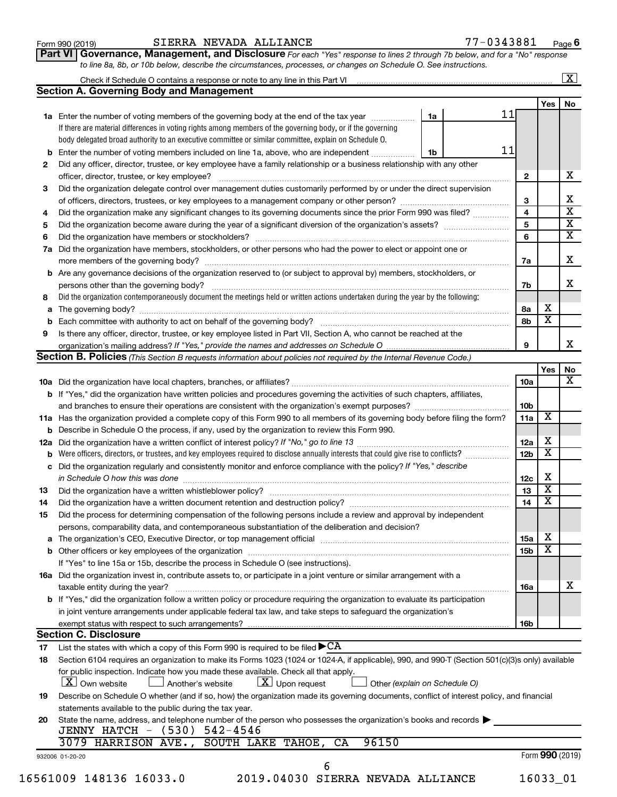| Form 990 (2019) |  |  |
|-----------------|--|--|
|-----------------|--|--|

#### Form 990 (2019)  $\begin{array}{cccc} \text{SIERRA} \end{array}$  NEVADA ALLIANCE  $\begin{array}{cccc} 77-0343881 & \text{Page} \end{array}$

**Part VI** Governance, Management, and Disclosure For each "Yes" response to lines 2 through 7b below, and for a "No" response *to line 8a, 8b, or 10b below, describe the circumstances, processes, or changes on Schedule O. See instructions.*

|     | Check if Schedule O contains a response or note to any line in this Part VI [1] [1] [1] [1] [1] [1] [1] [1] [1                                                                                                                |    |    |                 |                         | $\mathbf{X}$            |
|-----|-------------------------------------------------------------------------------------------------------------------------------------------------------------------------------------------------------------------------------|----|----|-----------------|-------------------------|-------------------------|
|     | <b>Section A. Governing Body and Management</b>                                                                                                                                                                               |    |    |                 |                         |                         |
|     |                                                                                                                                                                                                                               |    |    |                 | Yes                     | No                      |
|     | 1a Enter the number of voting members of the governing body at the end of the tax year                                                                                                                                        | 1a | 11 |                 |                         |                         |
|     | If there are material differences in voting rights among members of the governing body, or if the governing                                                                                                                   |    |    |                 |                         |                         |
|     | body delegated broad authority to an executive committee or similar committee, explain on Schedule O.                                                                                                                         |    |    |                 |                         |                         |
| b   | Enter the number of voting members included on line 1a, above, who are independent                                                                                                                                            | 1b | 11 |                 |                         |                         |
| 2   | Did any officer, director, trustee, or key employee have a family relationship or a business relationship with any other                                                                                                      |    |    |                 |                         |                         |
|     | officer, director, trustee, or key employee?                                                                                                                                                                                  |    |    | $\mathbf{2}$    |                         | x                       |
| 3   | Did the organization delegate control over management duties customarily performed by or under the direct supervision                                                                                                         |    |    |                 |                         |                         |
|     |                                                                                                                                                                                                                               |    |    | 3               |                         | х                       |
| 4   | Did the organization make any significant changes to its governing documents since the prior Form 990 was filed?                                                                                                              |    |    | 4               |                         | $\overline{\textbf{x}}$ |
| 5   |                                                                                                                                                                                                                               |    |    | 5               |                         | $\overline{\textbf{X}}$ |
| 6   |                                                                                                                                                                                                                               |    |    | 6               |                         | $\overline{\textbf{x}}$ |
| 7a  | Did the organization have members, stockholders, or other persons who had the power to elect or appoint one or                                                                                                                |    |    |                 |                         |                         |
|     |                                                                                                                                                                                                                               |    |    | 7a              |                         | x                       |
| b   | Are any governance decisions of the organization reserved to (or subject to approval by) members, stockholders, or                                                                                                            |    |    |                 |                         |                         |
|     |                                                                                                                                                                                                                               |    |    | 7b              |                         | X                       |
| 8   | Did the organization contemporaneously document the meetings held or written actions undertaken during the year by the following:                                                                                             |    |    |                 |                         |                         |
| а   |                                                                                                                                                                                                                               |    |    | 8а              | х                       |                         |
| b   |                                                                                                                                                                                                                               |    |    | 8b              | $\overline{\textbf{x}}$ |                         |
| 9   | Is there any officer, director, trustee, or key employee listed in Part VII, Section A, who cannot be reached at the                                                                                                          |    |    |                 |                         |                         |
|     |                                                                                                                                                                                                                               |    |    | 9               |                         | x                       |
|     | <b>Section B. Policies</b> (This Section B requests information about policies not required by the Internal Revenue Code.)                                                                                                    |    |    |                 |                         |                         |
|     |                                                                                                                                                                                                                               |    |    |                 | Yes                     | No                      |
|     |                                                                                                                                                                                                                               |    |    | 10a             |                         | x                       |
|     | <b>b</b> If "Yes," did the organization have written policies and procedures governing the activities of such chapters, affiliates,                                                                                           |    |    |                 |                         |                         |
|     |                                                                                                                                                                                                                               |    |    | 10 <sub>b</sub> |                         |                         |
|     | 11a Has the organization provided a complete copy of this Form 990 to all members of its governing body before filing the form?                                                                                               |    |    | 11a             | х                       |                         |
|     | <b>b</b> Describe in Schedule O the process, if any, used by the organization to review this Form 990.                                                                                                                        |    |    |                 |                         |                         |
| 12a |                                                                                                                                                                                                                               |    |    | 12a             | х                       |                         |
| b   | Were officers, directors, or trustees, and key employees required to disclose annually interests that could give rise to conflicts?                                                                                           |    |    | 12 <sub>b</sub> | х                       |                         |
| с   | Did the organization regularly and consistently monitor and enforce compliance with the policy? If "Yes," describe                                                                                                            |    |    |                 |                         |                         |
|     |                                                                                                                                                                                                                               |    |    | 12c             | X                       |                         |
| 13  |                                                                                                                                                                                                                               |    |    | 13              | $\overline{\textbf{x}}$ |                         |
| 14  | Did the organization have a written document retention and destruction policy? [11] manufaction model of the organization have a written document retention and destruction policy?                                           |    |    | 14              | $\overline{\mathbf{X}}$ |                         |
| 15  | Did the process for determining compensation of the following persons include a review and approval by independent                                                                                                            |    |    |                 |                         |                         |
|     | persons, comparability data, and contemporaneous substantiation of the deliberation and decision?                                                                                                                             |    |    |                 |                         |                         |
| а   | The organization's CEO, Executive Director, or top management official [111] [11] manument content of the organization's CEO, Executive Director, or top management official [11] manument content of the organization of the |    |    | 15a             | х                       |                         |
|     |                                                                                                                                                                                                                               |    |    | 15 <sub>b</sub> | х                       |                         |
|     | If "Yes" to line 15a or 15b, describe the process in Schedule O (see instructions).                                                                                                                                           |    |    |                 |                         |                         |
|     | 16a Did the organization invest in, contribute assets to, or participate in a joint venture or similar arrangement with a                                                                                                     |    |    |                 |                         |                         |
|     | taxable entity during the year?                                                                                                                                                                                               |    |    | 16a             |                         | х                       |
|     | b If "Yes," did the organization follow a written policy or procedure requiring the organization to evaluate its participation                                                                                                |    |    |                 |                         |                         |
|     | in joint venture arrangements under applicable federal tax law, and take steps to safeguard the organization's                                                                                                                |    |    |                 |                         |                         |
|     | exempt status with respect to such arrangements?                                                                                                                                                                              |    |    | 16b             |                         |                         |
|     | <b>Section C. Disclosure</b>                                                                                                                                                                                                  |    |    |                 |                         |                         |
| 17  | List the states with which a copy of this Form 990 is required to be filed $\blacktriangleright$ CA                                                                                                                           |    |    |                 |                         |                         |
| 18  | Section 6104 requires an organization to make its Forms 1023 (1024 or 1024-A, if applicable), 990, and 990-T (Section 501(c)(3)s only) available                                                                              |    |    |                 |                         |                         |
|     | for public inspection. Indicate how you made these available. Check all that apply.                                                                                                                                           |    |    |                 |                         |                         |
|     | $\lfloor x \rfloor$ Upon request<br><b>X</b> Own website<br>Another's website<br>Other (explain on Schedule O)                                                                                                                |    |    |                 |                         |                         |
|     | Describe on Schedule O whether (and if so, how) the organization made its governing documents, conflict of interest policy, and financial                                                                                     |    |    |                 |                         |                         |
| 19  |                                                                                                                                                                                                                               |    |    |                 |                         |                         |
|     | statements available to the public during the tax year.                                                                                                                                                                       |    |    |                 |                         |                         |
| 20  | State the name, address, and telephone number of the person who possesses the organization's books and records<br>JENNY HATCH - (530) 542-4546                                                                                |    |    |                 |                         |                         |
|     | 96150<br>3079 HARRISON AVE.,<br>SOUTH LAKE TAHOE,<br>CA                                                                                                                                                                       |    |    |                 |                         |                         |
|     |                                                                                                                                                                                                                               |    |    |                 |                         |                         |
|     | 932006 01-20-20<br>6                                                                                                                                                                                                          |    |    |                 | Form 990 (2019)         |                         |
|     | 16561009 148136 16033.0<br>2019.04030 SIERRA NEVADA ALLIANCE                                                                                                                                                                  |    |    |                 | 16033_01                |                         |
|     |                                                                                                                                                                                                                               |    |    |                 |                         |                         |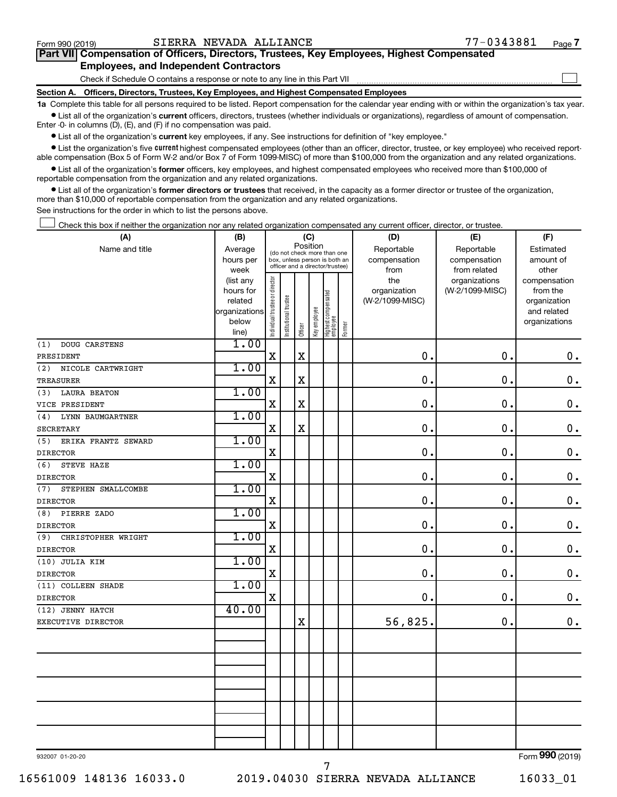$\Box$ 

| Part VII Compensation of Officers, Directors, Trustees, Key Employees, Highest Compensated |  |  |
|--------------------------------------------------------------------------------------------|--|--|
| <b>Employees, and Independent Contractors</b>                                              |  |  |

Check if Schedule O contains a response or note to any line in this Part VII

**Section A. Officers, Directors, Trustees, Key Employees, and Highest Compensated Employees**

**1a**  Complete this table for all persons required to be listed. Report compensation for the calendar year ending with or within the organization's tax year.  $\bullet$  List all of the organization's current officers, directors, trustees (whether individuals or organizations), regardless of amount of compensation.

Enter -0- in columns (D), (E), and (F) if no compensation was paid.

**•** List all of the organization's current key employees, if any. See instructions for definition of "key employee."

• List the organization's five *current* highest compensated employees (other than an officer, director, trustee, or key employee) who received reportable compensation (Box 5 of Form W-2 and/or Box 7 of Form 1099-MISC) of more than \$100,000 from the organization and any related organizations.

 $\bullet$  List all of the organization's former officers, key employees, and highest compensated employees who received more than \$100,000 of reportable compensation from the organization and any related organizations.

**•** List all of the organization's former directors or trustees that received, in the capacity as a former director or trustee of the organization, more than \$10,000 of reportable compensation from the organization and any related organizations.

See instructions for the order in which to list the persons above.

Check this box if neither the organization nor any related organization compensated any current officer, director, or trustee.  $\Box$ 

| (A)                        | (B)           | (C)                            |                                 |                         |              |                                 |        | (D)             | (E)             | (F)             |  |  |
|----------------------------|---------------|--------------------------------|---------------------------------|-------------------------|--------------|---------------------------------|--------|-----------------|-----------------|-----------------|--|--|
| Name and title             | Average       |                                | (do not check more than one     | Position                |              |                                 |        | Reportable      | Reportable      | Estimated       |  |  |
|                            | hours per     |                                | box, unless person is both an   |                         |              |                                 |        | compensation    | compensation    | amount of       |  |  |
|                            | week          |                                | officer and a director/trustee) |                         |              |                                 |        | from            | from related    | other           |  |  |
|                            | (list any     |                                |                                 |                         |              |                                 |        | the             | organizations   | compensation    |  |  |
|                            | hours for     |                                |                                 |                         |              |                                 |        | organization    | (W-2/1099-MISC) | from the        |  |  |
|                            | related       |                                |                                 |                         |              |                                 |        | (W-2/1099-MISC) |                 | organization    |  |  |
|                            | organizations |                                |                                 |                         |              |                                 |        |                 |                 | and related     |  |  |
|                            | below         | Individual trustee or director | Institutional trustee           | Officer                 | Key employee | Highest compensated<br>employee | Former |                 |                 | organizations   |  |  |
|                            | line)         |                                |                                 |                         |              |                                 |        |                 |                 |                 |  |  |
| (1)<br>DOUG CARSTENS       | 1.00          |                                |                                 |                         |              |                                 |        |                 |                 |                 |  |  |
| PRESIDENT                  |               | $\mathbf X$                    |                                 | $\rm X$                 |              |                                 |        | $\mathbf 0$ .   | 0.              | $\mathbf 0$ .   |  |  |
| NICOLE CARTWRIGHT<br>(2)   | 1.00          |                                |                                 |                         |              |                                 |        |                 |                 |                 |  |  |
| <b>TREASURER</b>           |               | $\mathbf X$                    |                                 | $\overline{\mathbf{X}}$ |              |                                 |        | 0.              | $\mathbf 0$ .   | $\mathbf 0$ .   |  |  |
| <b>LAURA BEATON</b><br>(3) | 1.00          |                                |                                 |                         |              |                                 |        |                 |                 |                 |  |  |
| VICE PRESIDENT             |               | $\mathbf X$                    |                                 | X                       |              |                                 |        | $\mathbf 0$ .   | 0.              | $\mathbf 0$ .   |  |  |
| (4)<br>LYNN BAUMGARTNER    | 1.00          |                                |                                 |                         |              |                                 |        |                 |                 |                 |  |  |
| <b>SECRETARY</b>           |               | $\mathbf X$                    |                                 | $\mathbf X$             |              |                                 |        | $\mathbf 0$ .   | $\mathbf 0$ .   | $\mathbf 0$ .   |  |  |
| ERIKA FRANTZ SEWARD<br>(5) | 1.00          |                                |                                 |                         |              |                                 |        |                 |                 |                 |  |  |
| <b>DIRECTOR</b>            |               | $\mathbf X$                    |                                 |                         |              |                                 |        | $\mathbf 0$ .   | $\mathbf 0$ .   | $0$ .           |  |  |
| STEVE HAZE<br>(6)          | 1.00          |                                |                                 |                         |              |                                 |        |                 |                 |                 |  |  |
| <b>DIRECTOR</b>            |               | $\mathbf X$                    |                                 |                         |              |                                 |        | $\mathbf 0$ .   | $\mathbf 0$ .   | $\mathbf 0$ .   |  |  |
| STEPHEN SMALLCOMBE<br>(7)  | 1.00          |                                |                                 |                         |              |                                 |        |                 |                 |                 |  |  |
| <b>DIRECTOR</b>            |               | $\mathbf X$                    |                                 |                         |              |                                 |        | $\mathbf 0$ .   | $\mathbf 0$ .   | $\mathbf 0$ .   |  |  |
| (8)<br>PIERRE ZADO         | 1.00          |                                |                                 |                         |              |                                 |        |                 |                 |                 |  |  |
| <b>DIRECTOR</b>            |               | X                              |                                 |                         |              |                                 |        | $\mathbf 0$ .   | 0.              | $\mathbf 0$ .   |  |  |
| (9)<br>CHRISTOPHER WRIGHT  | 1.00          |                                |                                 |                         |              |                                 |        |                 |                 |                 |  |  |
| <b>DIRECTOR</b>            |               | $\mathbf X$                    |                                 |                         |              |                                 |        | 0.              | $\mathbf 0$ .   | $0$ .           |  |  |
| (10) JULIA KIM             | 1.00          |                                |                                 |                         |              |                                 |        |                 |                 |                 |  |  |
| <b>DIRECTOR</b>            |               | X                              |                                 |                         |              |                                 |        | 0.              | 0.              | $\mathbf 0$ .   |  |  |
| (11) COLLEEN SHADE         | 1.00          |                                |                                 |                         |              |                                 |        |                 |                 |                 |  |  |
| <b>DIRECTOR</b>            |               | $\mathbf X$                    |                                 |                         |              |                                 |        | 0.              | $\mathbf 0$ .   | $\mathbf 0$ .   |  |  |
| (12) JENNY HATCH           | 40.00         |                                |                                 |                         |              |                                 |        |                 |                 |                 |  |  |
| EXECUTIVE DIRECTOR         |               |                                |                                 | X                       |              |                                 |        | 56,825.         | 0.              | $\mathbf 0$ .   |  |  |
|                            |               |                                |                                 |                         |              |                                 |        |                 |                 |                 |  |  |
|                            |               |                                |                                 |                         |              |                                 |        |                 |                 |                 |  |  |
|                            |               |                                |                                 |                         |              |                                 |        |                 |                 |                 |  |  |
|                            |               |                                |                                 |                         |              |                                 |        |                 |                 |                 |  |  |
|                            |               |                                |                                 |                         |              |                                 |        |                 |                 |                 |  |  |
|                            |               |                                |                                 |                         |              |                                 |        |                 |                 |                 |  |  |
|                            |               |                                |                                 |                         |              |                                 |        |                 |                 |                 |  |  |
|                            |               |                                |                                 |                         |              |                                 |        |                 |                 |                 |  |  |
|                            |               |                                |                                 |                         |              |                                 |        |                 |                 |                 |  |  |
|                            |               |                                |                                 |                         |              |                                 |        |                 |                 |                 |  |  |
|                            |               |                                |                                 |                         |              |                                 |        |                 |                 |                 |  |  |
| 932007 01-20-20            |               |                                |                                 |                         |              |                                 |        |                 |                 | Form 990 (2019) |  |  |

7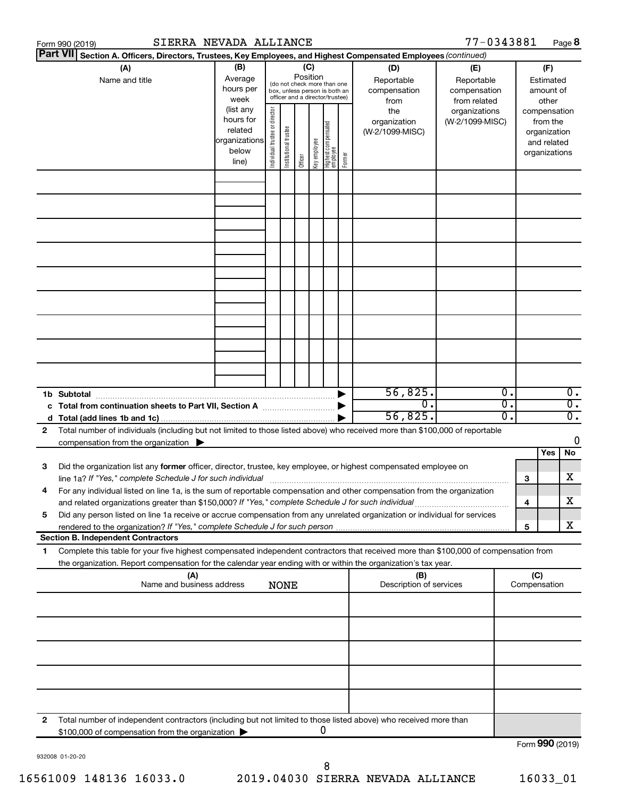|    | SIERRA NEVADA ALLIANCE<br>Form 990 (2019)                                                                                                                                                                                           |                                                                                                                                                           |                                |                       |         |              |                                   |                                           |                                                   | 77-0343881                       |          |                                        |                                                                          | Page 8                               |
|----|-------------------------------------------------------------------------------------------------------------------------------------------------------------------------------------------------------------------------------------|-----------------------------------------------------------------------------------------------------------------------------------------------------------|--------------------------------|-----------------------|---------|--------------|-----------------------------------|-------------------------------------------|---------------------------------------------------|----------------------------------|----------|----------------------------------------|--------------------------------------------------------------------------|--------------------------------------|
|    | <b>Part VII</b><br>Section A. Officers, Directors, Trustees, Key Employees, and Highest Compensated Employees (continued)                                                                                                           |                                                                                                                                                           |                                |                       |         |              |                                   |                                           |                                                   |                                  |          |                                        |                                                                          |                                      |
|    | (A)<br>Name and title                                                                                                                                                                                                               | (B)<br>(C)<br>Position<br>Average<br>(do not check more than one<br>hours per<br>box, unless person is both an<br>officer and a director/trustee)<br>week |                                |                       |         |              |                                   | (D)<br>Reportable<br>compensation<br>from | (E)<br>Reportable<br>compensation<br>from related |                                  |          | (F)<br>Estimated<br>amount of<br>other |                                                                          |                                      |
|    |                                                                                                                                                                                                                                     | (list any<br>hours for<br>related<br>organizations<br>below<br>line)                                                                                      | Individual trustee or director | Institutional trustee | Officer | Key employee | Highest compensated<br>  employee | Former                                    | the<br>organization<br>(W-2/1099-MISC)            | organizations<br>(W-2/1099-MISC) |          |                                        | compensation<br>from the<br>organization<br>and related<br>organizations |                                      |
|    |                                                                                                                                                                                                                                     |                                                                                                                                                           |                                |                       |         |              |                                   |                                           |                                                   |                                  |          |                                        |                                                                          |                                      |
|    |                                                                                                                                                                                                                                     |                                                                                                                                                           |                                |                       |         |              |                                   |                                           |                                                   |                                  |          |                                        |                                                                          |                                      |
|    |                                                                                                                                                                                                                                     |                                                                                                                                                           |                                |                       |         |              |                                   |                                           |                                                   |                                  |          |                                        |                                                                          |                                      |
|    |                                                                                                                                                                                                                                     |                                                                                                                                                           |                                |                       |         |              |                                   |                                           |                                                   |                                  |          |                                        |                                                                          |                                      |
|    |                                                                                                                                                                                                                                     |                                                                                                                                                           |                                |                       |         |              |                                   |                                           |                                                   |                                  |          |                                        |                                                                          |                                      |
|    |                                                                                                                                                                                                                                     |                                                                                                                                                           |                                |                       |         |              |                                   |                                           |                                                   |                                  |          |                                        |                                                                          |                                      |
|    |                                                                                                                                                                                                                                     |                                                                                                                                                           |                                |                       |         |              |                                   |                                           |                                                   |                                  |          |                                        |                                                                          |                                      |
|    | 1b Subtotal                                                                                                                                                                                                                         |                                                                                                                                                           |                                |                       |         |              |                                   |                                           | 56,825.                                           |                                  | 0.       |                                        |                                                                          | $\overline{0}$ .                     |
|    | c Total from continuation sheets to Part VII, Section A manufactured by                                                                                                                                                             |                                                                                                                                                           |                                |                       |         |              |                                   |                                           | $\overline{0}$ .<br>56,825.                       |                                  | σ.<br>о. |                                        |                                                                          | $\overline{0}$ .<br>$\overline{0}$ . |
| 2  | Total number of individuals (including but not limited to those listed above) who received more than \$100,000 of reportable<br>compensation from the organization $\blacktriangleright$                                            |                                                                                                                                                           |                                |                       |         |              |                                   |                                           |                                                   |                                  |          |                                        |                                                                          | 0                                    |
| 3  | Did the organization list any former officer, director, trustee, key employee, or highest compensated employee on<br>line 1a? If "Yes," complete Schedule J for such individual manufactured content to the set of the set of the s |                                                                                                                                                           |                                |                       |         |              |                                   |                                           |                                                   |                                  |          | 3                                      | Yes                                                                      | No<br>х                              |
|    | For any individual listed on line 1a, is the sum of reportable compensation and other compensation from the organization<br>and related organizations greater than \$150,000? If "Yes," complete Schedule J for such individual     |                                                                                                                                                           |                                |                       |         |              |                                   |                                           |                                                   |                                  |          | 4                                      |                                                                          | х                                    |
| 5  | Did any person listed on line 1a receive or accrue compensation from any unrelated organization or individual for services                                                                                                          |                                                                                                                                                           |                                |                       |         |              |                                   |                                           |                                                   |                                  |          | 5                                      |                                                                          | х                                    |
| 1. | <b>Section B. Independent Contractors</b><br>Complete this table for your five highest compensated independent contractors that received more than \$100,000 of compensation from                                                   |                                                                                                                                                           |                                |                       |         |              |                                   |                                           |                                                   |                                  |          |                                        |                                                                          |                                      |
|    | the organization. Report compensation for the calendar year ending with or within the organization's tax year.                                                                                                                      |                                                                                                                                                           |                                |                       |         |              |                                   |                                           |                                                   |                                  |          |                                        |                                                                          |                                      |
|    | (A)<br>Name and business address                                                                                                                                                                                                    |                                                                                                                                                           |                                | <b>NONE</b>           |         |              |                                   |                                           | (B)<br>Description of services                    |                                  |          | (C)                                    | Compensation                                                             |                                      |
|    |                                                                                                                                                                                                                                     |                                                                                                                                                           |                                |                       |         |              |                                   |                                           |                                                   |                                  |          |                                        |                                                                          |                                      |
|    |                                                                                                                                                                                                                                     |                                                                                                                                                           |                                |                       |         |              |                                   |                                           |                                                   |                                  |          |                                        |                                                                          |                                      |
|    |                                                                                                                                                                                                                                     |                                                                                                                                                           |                                |                       |         |              |                                   |                                           |                                                   |                                  |          |                                        |                                                                          |                                      |
|    |                                                                                                                                                                                                                                     |                                                                                                                                                           |                                |                       |         |              |                                   |                                           |                                                   |                                  |          |                                        |                                                                          |                                      |
| 2  | Total number of independent contractors (including but not limited to those listed above) who received more than<br>\$100,000 of compensation from the organization                                                                 |                                                                                                                                                           |                                |                       |         |              | 0                                 |                                           |                                                   |                                  |          |                                        | $F_{\text{O}}$ 990 (2019)                                                |                                      |

932008 01-20-20

Form (2019) **990**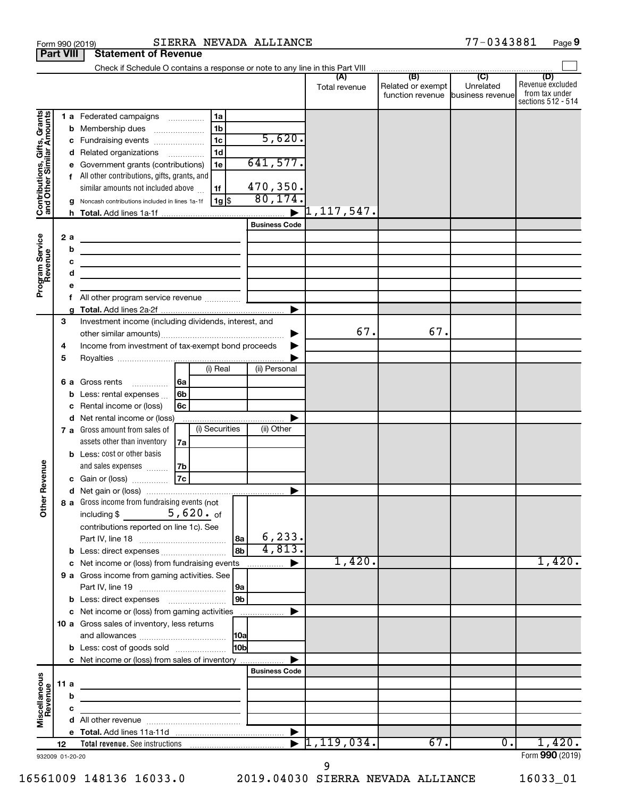|                                                           | <b>Part VIII</b> |     | <b>Statement of Revenue</b>                                                                                           |    |                            |                |                      |                                  |                                                        |           |                                                          |
|-----------------------------------------------------------|------------------|-----|-----------------------------------------------------------------------------------------------------------------------|----|----------------------------|----------------|----------------------|----------------------------------|--------------------------------------------------------|-----------|----------------------------------------------------------|
|                                                           |                  |     |                                                                                                                       |    |                            |                |                      |                                  |                                                        |           | (D)                                                      |
|                                                           |                  |     |                                                                                                                       |    |                            |                |                      | Total revenue                    | Related or exempt<br>function revenue business revenue | Unrelated | Revenue excluded<br>from tax under<br>sections 512 - 514 |
| Contributions, Gifts, Grants<br>and Other Similar Amounts |                  | b   | <b>1 a</b> Federated campaigns<br>Membership dues                                                                     |    | 1a<br>1 <sub>b</sub>       |                |                      |                                  |                                                        |           |                                                          |
|                                                           |                  | с   | Fundraising events                                                                                                    |    | 1 <sub>c</sub>             |                | 5,620.               |                                  |                                                        |           |                                                          |
|                                                           |                  | d   | Related organizations                                                                                                 |    | 1 <sub>d</sub><br>$\cdots$ |                |                      |                                  |                                                        |           |                                                          |
|                                                           |                  |     | Government grants (contributions)                                                                                     |    | 1e                         |                | 641,577.             |                                  |                                                        |           |                                                          |
|                                                           |                  | f   | All other contributions, gifts, grants, and                                                                           |    |                            |                |                      |                                  |                                                        |           |                                                          |
|                                                           |                  |     | similar amounts not included above                                                                                    |    | 1f                         |                | 470,350.             |                                  |                                                        |           |                                                          |
|                                                           |                  |     | Noncash contributions included in lines 1a-1f                                                                         |    | $ 1g $ \$                  |                | 80, 174.             |                                  |                                                        |           |                                                          |
|                                                           |                  | h.  |                                                                                                                       |    |                            |                | <b>Business Code</b> | $\left 1\right\rangle$ ,117,547. |                                                        |           |                                                          |
|                                                           |                  | 2a  |                                                                                                                       |    |                            |                |                      |                                  |                                                        |           |                                                          |
| Program Service<br>Revenue                                |                  | b   | <u> 1989 - Johann Barbara, martin amerikan basar dan basa dan basar dalam basa dalam basa dalam basa dalam basa </u>  |    |                            |                |                      |                                  |                                                        |           |                                                          |
|                                                           |                  | с   | <u> 1989 - Johann Barbara, martin amerikan basar dan berasal dalam basar dalam basar dalam basar dalam basar dala</u> |    |                            |                |                      |                                  |                                                        |           |                                                          |
|                                                           |                  | d   | the control of the control of the control of the control of the control of                                            |    |                            |                |                      |                                  |                                                        |           |                                                          |
|                                                           |                  |     |                                                                                                                       |    |                            |                |                      |                                  |                                                        |           |                                                          |
|                                                           |                  | f   |                                                                                                                       |    |                            |                |                      |                                  |                                                        |           |                                                          |
|                                                           |                  |     |                                                                                                                       |    |                            |                | ▶                    |                                  |                                                        |           |                                                          |
|                                                           | 3                |     | Investment income (including dividends, interest, and                                                                 |    |                            |                | 67.                  | 67.                              |                                                        |           |                                                          |
|                                                           | 4                |     | Income from investment of tax-exempt bond proceeds                                                                    |    |                            |                |                      |                                  |                                                        |           |                                                          |
|                                                           | 5                |     |                                                                                                                       |    |                            |                |                      |                                  |                                                        |           |                                                          |
|                                                           |                  |     |                                                                                                                       |    | (i) Real                   |                | (ii) Personal        |                                  |                                                        |           |                                                          |
|                                                           |                  | 6а  | Gross rents<br>.                                                                                                      | 6a |                            |                |                      |                                  |                                                        |           |                                                          |
|                                                           |                  | b   | Less: rental expenses                                                                                                 | 6b |                            |                |                      |                                  |                                                        |           |                                                          |
|                                                           |                  |     | Rental income or (loss)                                                                                               | 6с |                            |                |                      |                                  |                                                        |           |                                                          |
|                                                           |                  | d   | Net rental income or (loss)<br>7 a Gross amount from sales of                                                         |    | (i) Securities             |                | (ii) Other           |                                  |                                                        |           |                                                          |
|                                                           |                  |     | assets other than inventory                                                                                           | 7a |                            |                |                      |                                  |                                                        |           |                                                          |
|                                                           |                  |     | <b>b</b> Less: cost or other basis                                                                                    |    |                            |                |                      |                                  |                                                        |           |                                                          |
|                                                           |                  |     | and sales expenses                                                                                                    | 7b |                            |                |                      |                                  |                                                        |           |                                                          |
| Revenue                                                   |                  |     | c Gain or (loss)                                                                                                      | 7c |                            |                |                      |                                  |                                                        |           |                                                          |
|                                                           |                  |     |                                                                                                                       |    |                            |                |                      |                                  |                                                        |           |                                                          |
| ৯<br>Ĕ                                                    |                  |     | 8 a Gross income from fundraising events (not                                                                         |    |                            |                |                      |                                  |                                                        |           |                                                          |
|                                                           |                  |     | $5,620.$ of<br>including \$                                                                                           |    |                            |                |                      |                                  |                                                        |           |                                                          |
|                                                           |                  |     | contributions reported on line 1c). See                                                                               |    |                            | l 8a           | 6, 233.              |                                  |                                                        |           |                                                          |
|                                                           |                  |     | <b>b</b> Less: direct expenses                                                                                        |    |                            | 8 <sub>b</sub> | 4,813.               |                                  |                                                        |           |                                                          |
|                                                           |                  |     | c Net income or (loss) from fundraising events                                                                        |    |                            |                |                      | 1,420.                           |                                                        |           | 1,420.                                                   |
|                                                           |                  |     | 9 a Gross income from gaming activities. See                                                                          |    |                            |                |                      |                                  |                                                        |           |                                                          |
|                                                           |                  |     |                                                                                                                       |    |                            | 9a             |                      |                                  |                                                        |           |                                                          |
|                                                           |                  |     | <b>b</b> Less: direct expenses <b>manually</b>                                                                        |    |                            | 9 <sub>b</sub> |                      |                                  |                                                        |           |                                                          |
|                                                           |                  |     | c Net income or (loss) from gaming activities                                                                         |    |                            |                |                      |                                  |                                                        |           |                                                          |
|                                                           |                  |     | 10 a Gross sales of inventory, less returns                                                                           |    |                            | 10a            |                      |                                  |                                                        |           |                                                          |
|                                                           |                  |     | <b>b</b> Less: cost of goods sold                                                                                     |    |                            | 10bl           |                      |                                  |                                                        |           |                                                          |
|                                                           |                  |     | c Net income or (loss) from sales of inventory                                                                        |    |                            |                |                      |                                  |                                                        |           |                                                          |
|                                                           |                  |     |                                                                                                                       |    |                            |                | <b>Business Code</b> |                                  |                                                        |           |                                                          |
|                                                           |                  | 11a | the control of the control of the control of the control of the control of                                            |    |                            |                |                      |                                  |                                                        |           |                                                          |
|                                                           |                  | b   | the control of the control of the control of the control of the control of                                            |    |                            |                |                      |                                  |                                                        |           |                                                          |
| Miscellaneous<br>Revenue                                  |                  | c   | the control of the control of the control of the control of the control of                                            |    |                            |                |                      |                                  |                                                        |           |                                                          |
|                                                           |                  |     |                                                                                                                       |    |                            |                |                      |                                  |                                                        |           |                                                          |
|                                                           | 12               |     |                                                                                                                       |    |                            |                |                      | 1,119,034.                       | 67.                                                    | 0.        | 1,420.                                                   |
| 932009 01-20-20                                           |                  |     |                                                                                                                       |    |                            |                |                      |                                  |                                                        |           | Form 990 (2019)                                          |
|                                                           |                  |     |                                                                                                                       |    |                            |                |                      | 9                                |                                                        |           |                                                          |

Form 990 (2019) SIERRA NEVADA ALLIANCE 77-0343881 Page

**9**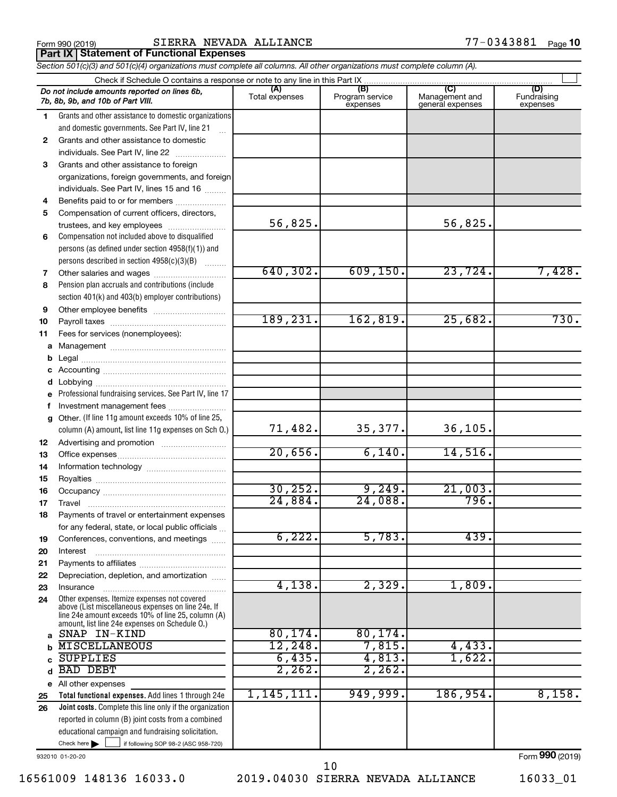*Section 501(c)(3) and 501(c)(4) organizations must complete all columns. All other organizations must complete column (A).*

|          | Do not include amounts reported on lines 6b,<br>7b, 8b, 9b, and 10b of Part VIII.                    | (A)<br>Total expenses | (B)<br>Program service<br>expenses | (C)<br>Management and<br>general expenses | (D)<br>Fundraising<br>expenses |  |  |  |  |  |  |  |
|----------|------------------------------------------------------------------------------------------------------|-----------------------|------------------------------------|-------------------------------------------|--------------------------------|--|--|--|--|--|--|--|
| 1.       | Grants and other assistance to domestic organizations                                                |                       |                                    |                                           |                                |  |  |  |  |  |  |  |
|          | and domestic governments. See Part IV, line 21                                                       |                       |                                    |                                           |                                |  |  |  |  |  |  |  |
| 2        | Grants and other assistance to domestic                                                              |                       |                                    |                                           |                                |  |  |  |  |  |  |  |
|          | individuals. See Part IV, line 22                                                                    |                       |                                    |                                           |                                |  |  |  |  |  |  |  |
| 3        | Grants and other assistance to foreign                                                               |                       |                                    |                                           |                                |  |  |  |  |  |  |  |
|          | organizations, foreign governments, and foreign                                                      |                       |                                    |                                           |                                |  |  |  |  |  |  |  |
|          | individuals. See Part IV, lines 15 and 16                                                            |                       |                                    |                                           |                                |  |  |  |  |  |  |  |
| 4        | Benefits paid to or for members                                                                      |                       |                                    |                                           |                                |  |  |  |  |  |  |  |
| 5        | Compensation of current officers, directors,                                                         |                       |                                    |                                           |                                |  |  |  |  |  |  |  |
|          | trustees, and key employees                                                                          | 56,825.               |                                    | 56,825.                                   |                                |  |  |  |  |  |  |  |
| 6        | Compensation not included above to disqualified                                                      |                       |                                    |                                           |                                |  |  |  |  |  |  |  |
|          | persons (as defined under section 4958(f)(1)) and                                                    |                       |                                    |                                           |                                |  |  |  |  |  |  |  |
|          | persons described in section 4958(c)(3)(B)                                                           |                       |                                    |                                           |                                |  |  |  |  |  |  |  |
| 7        | Other salaries and wages                                                                             | 640, 302.             | 609, 150.                          | 23,724.                                   | 7,428.                         |  |  |  |  |  |  |  |
| 8        | Pension plan accruals and contributions (include                                                     |                       |                                    |                                           |                                |  |  |  |  |  |  |  |
|          | section 401(k) and 403(b) employer contributions)                                                    |                       |                                    |                                           |                                |  |  |  |  |  |  |  |
| 9        |                                                                                                      |                       |                                    |                                           |                                |  |  |  |  |  |  |  |
| 10       |                                                                                                      | 189, 231.             | 162, 819.                          | 25,682.                                   | 730.                           |  |  |  |  |  |  |  |
| 11       | Fees for services (nonemployees):                                                                    |                       |                                    |                                           |                                |  |  |  |  |  |  |  |
| a        |                                                                                                      |                       |                                    |                                           |                                |  |  |  |  |  |  |  |
| b        |                                                                                                      |                       |                                    |                                           |                                |  |  |  |  |  |  |  |
| с        |                                                                                                      |                       |                                    |                                           |                                |  |  |  |  |  |  |  |
| d        |                                                                                                      |                       |                                    |                                           |                                |  |  |  |  |  |  |  |
| е        | Professional fundraising services. See Part IV, line 17                                              |                       |                                    |                                           |                                |  |  |  |  |  |  |  |
| f        | Investment management fees                                                                           |                       |                                    |                                           |                                |  |  |  |  |  |  |  |
| g        | Other. (If line 11g amount exceeds 10% of line 25,                                                   |                       |                                    |                                           |                                |  |  |  |  |  |  |  |
|          | column (A) amount, list line 11g expenses on Sch O.)                                                 | 71,482.               | 35, 377.                           | 36, 105.                                  |                                |  |  |  |  |  |  |  |
| 12       |                                                                                                      | 20,656.               | 6,140.                             | 14,516.                                   |                                |  |  |  |  |  |  |  |
| 13       |                                                                                                      |                       |                                    |                                           |                                |  |  |  |  |  |  |  |
| 14       |                                                                                                      |                       |                                    |                                           |                                |  |  |  |  |  |  |  |
| 15       |                                                                                                      | 30, 252.              | 9,249.                             | 21,003.                                   |                                |  |  |  |  |  |  |  |
| 16       |                                                                                                      | 24,884.               | 24,088.                            | 796.                                      |                                |  |  |  |  |  |  |  |
| 17       | Travel                                                                                               |                       |                                    |                                           |                                |  |  |  |  |  |  |  |
| 18       | Payments of travel or entertainment expenses                                                         |                       |                                    |                                           |                                |  |  |  |  |  |  |  |
|          | for any federal, state, or local public officials                                                    | 6,222.                | 5,783.                             | 439.                                      |                                |  |  |  |  |  |  |  |
| 19       | Conferences, conventions, and meetings                                                               |                       |                                    |                                           |                                |  |  |  |  |  |  |  |
| 20       | Interest                                                                                             |                       |                                    |                                           |                                |  |  |  |  |  |  |  |
| 21       | Depreciation, depletion, and amortization                                                            |                       |                                    |                                           |                                |  |  |  |  |  |  |  |
| 22<br>23 | Insurance                                                                                            | 4,138.                | 2,329.                             | 1,809.                                    |                                |  |  |  |  |  |  |  |
| 24       | Other expenses. Itemize expenses not covered                                                         |                       |                                    |                                           |                                |  |  |  |  |  |  |  |
|          | above (List miscellaneous expenses on line 24e. If                                                   |                       |                                    |                                           |                                |  |  |  |  |  |  |  |
|          | line 24e amount exceeds 10% of line 25, column (A)<br>amount, list line 24e expenses on Schedule O.) |                       |                                    |                                           |                                |  |  |  |  |  |  |  |
| a        | SNAP IN-KIND                                                                                         | 80, 174.              | 80, 174.                           |                                           |                                |  |  |  |  |  |  |  |
|          | <b>MISCELLANEOUS</b>                                                                                 | 12,248.               | 7,815.                             | 4,433.                                    |                                |  |  |  |  |  |  |  |
| C        | <b>SUPPLIES</b>                                                                                      | 6,435.                | 4,813.                             | 1,622.                                    |                                |  |  |  |  |  |  |  |
| d        | <b>BAD DEBT</b>                                                                                      | 2,262.                | 2, 262.                            |                                           |                                |  |  |  |  |  |  |  |
|          | e All other expenses                                                                                 |                       |                                    |                                           |                                |  |  |  |  |  |  |  |
| 25       | Total functional expenses. Add lines 1 through 24e                                                   | 1,145,111.            | 949,999.                           | 186,954.                                  | 8,158.                         |  |  |  |  |  |  |  |
| 26       | <b>Joint costs.</b> Complete this line only if the organization                                      |                       |                                    |                                           |                                |  |  |  |  |  |  |  |
|          | reported in column (B) joint costs from a combined                                                   |                       |                                    |                                           |                                |  |  |  |  |  |  |  |
|          | educational campaign and fundraising solicitation.                                                   |                       |                                    |                                           |                                |  |  |  |  |  |  |  |
|          | Check here $\blacktriangleright$<br>if following SOP 98-2 (ASC 958-720)                              |                       |                                    |                                           |                                |  |  |  |  |  |  |  |

932010 01-20-20

16561009 148136 16033.0 2019.04030 SIERRA NEVADA ALLIANCE 16033\_01 10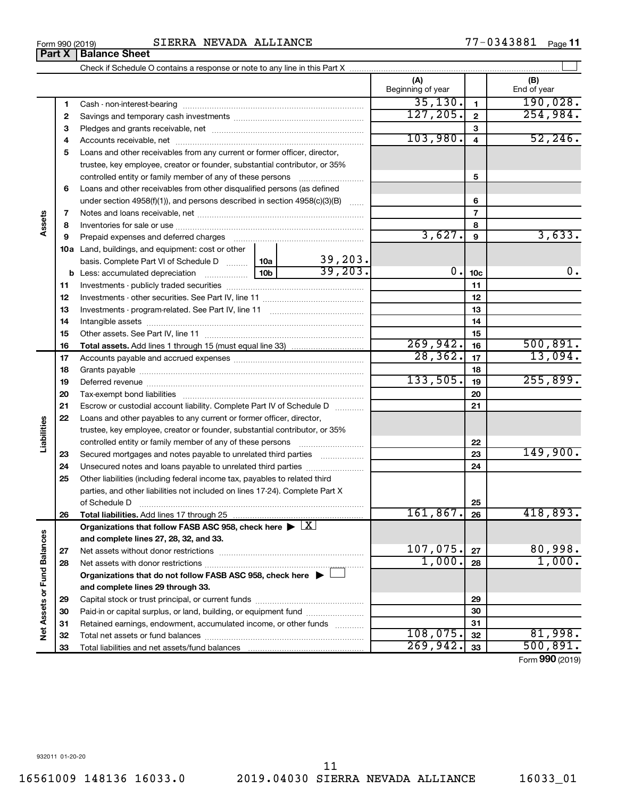Form 990 (2019)  $SIERRA NEVADA ALLIANCE$   $77-0343881$   $Page$ **Part X Balance Sheet**

Check if Schedule O contains a response or note to any line in this Part X

|                             |    |                                                                                    |                             |        | (A)<br>Beginning of year |              | (B)<br>End of year |
|-----------------------------|----|------------------------------------------------------------------------------------|-----------------------------|--------|--------------------------|--------------|--------------------|
|                             | 1  |                                                                                    |                             |        | 35,130.                  | $\mathbf{1}$ | 190,028.           |
|                             | 2  |                                                                                    |                             |        | 127, 205.                | $\mathbf{2}$ | 254,984.           |
|                             | 3  |                                                                                    |                             |        |                          | З            |                    |
|                             | 4  |                                                                                    |                             |        | 103,980.                 | 4            | 52, 246.           |
|                             | 5  | Loans and other receivables from any current or former officer, director,          |                             |        |                          |              |                    |
|                             |    | trustee, key employee, creator or founder, substantial contributor, or 35%         |                             |        |                          |              |                    |
|                             |    | controlled entity or family member of any of these persons                         |                             |        |                          | 5            |                    |
|                             | 6  | Loans and other receivables from other disqualified persons (as defined            |                             |        |                          |              |                    |
|                             |    | under section 4958(f)(1)), and persons described in section 4958(c)(3)(B)          |                             | $\sim$ |                          | 6            |                    |
|                             | 7  |                                                                                    |                             |        | $\overline{\phantom{a}}$ |              |                    |
| Assets                      | 8  |                                                                                    |                             |        |                          | 8            |                    |
|                             | 9  |                                                                                    |                             |        | 3,627.                   | 9            | 3,633.             |
|                             |    | 10a Land, buildings, and equipment: cost or other                                  |                             |        |                          |              |                    |
|                             |    | basis. Complete Part VI of Schedule D    10a   39, 203.                            |                             |        |                          |              |                    |
|                             |    |                                                                                    | $\frac{1}{39,203}$<br>10b l |        |                          |              | 0.                 |
|                             | 11 |                                                                                    |                             | 11     |                          |              |                    |
|                             | 12 |                                                                                    |                             | 12     |                          |              |                    |
|                             | 13 |                                                                                    |                             | 13     |                          |              |                    |
|                             | 14 |                                                                                    |                             | 14     |                          |              |                    |
|                             | 15 |                                                                                    |                             |        | 15                       |              |                    |
|                             | 16 |                                                                                    |                             |        | 269,942.                 | 16           | 500, 891.          |
|                             | 17 |                                                                                    |                             |        | 28, 362.                 | 17           | 13,094.            |
|                             | 18 |                                                                                    |                             | 18     |                          |              |                    |
|                             | 19 |                                                                                    | 133,505.                    | 19     | 255,899.                 |              |                    |
|                             | 20 |                                                                                    |                             | 20     |                          |              |                    |
|                             | 21 | Escrow or custodial account liability. Complete Part IV of Schedule D              |                             |        |                          | 21           |                    |
|                             | 22 | Loans and other payables to any current or former officer, director,               |                             |        |                          |              |                    |
| Liabilities                 |    | trustee, key employee, creator or founder, substantial contributor, or 35%         |                             |        |                          |              |                    |
|                             |    |                                                                                    |                             |        |                          | 22           |                    |
|                             | 23 | Secured mortgages and notes payable to unrelated third parties                     |                             |        |                          | 23           | 149,900.           |
|                             | 24 | Unsecured notes and loans payable to unrelated third parties                       |                             |        |                          | 24           |                    |
|                             | 25 | Other liabilities (including federal income tax, payables to related third         |                             |        |                          |              |                    |
|                             |    | parties, and other liabilities not included on lines 17-24). Complete Part X       |                             |        |                          |              |                    |
|                             |    | of Schedule D                                                                      |                             |        |                          | 25           |                    |
|                             | 26 |                                                                                    |                             |        | 161,867.                 | 26           | 418,893.           |
|                             |    | Organizations that follow FASB ASC 958, check here $\blacktriangleright \boxed{X}$ |                             |        |                          |              |                    |
|                             |    | and complete lines 27, 28, 32, and 33.                                             |                             |        |                          |              |                    |
|                             | 27 | Net assets without donor restrictions                                              |                             |        | 107,075.                 | 27           | 80,998.            |
|                             | 28 |                                                                                    |                             |        | 1,000.                   | 28           | 1,000.             |
|                             |    | Organizations that do not follow FASB ASC 958, check here $\blacktriangleright$    |                             |        |                          |              |                    |
|                             |    | and complete lines 29 through 33.                                                  |                             |        |                          |              |                    |
| Net Assets or Fund Balances | 29 |                                                                                    |                             |        | 29                       |              |                    |
|                             | 30 | Paid-in or capital surplus, or land, building, or equipment fund                   |                             |        | 30                       |              |                    |
|                             | 31 | Retained earnings, endowment, accumulated income, or other funds                   |                             |        | 31                       |              |                    |
|                             | 32 |                                                                                    |                             |        | 108,075.                 | 32           | 81,998.            |
|                             | 33 |                                                                                    |                             |        | 269,942.                 | 33           | 500, 891.          |

77-0343881 Page 11

 $\perp$ 

Form (2019) **990**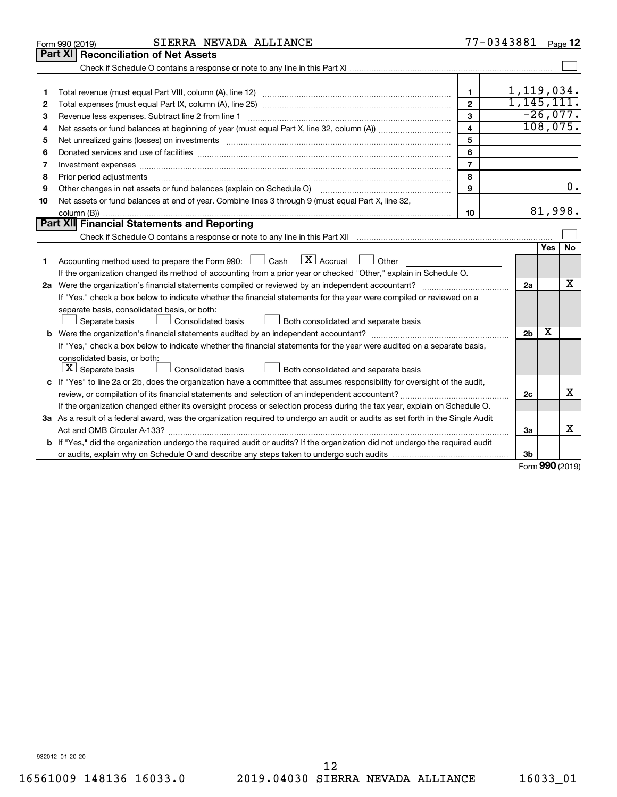| Part XI   Reconciliation of Net Assets<br>1,119,034.<br>$\mathbf{1}$<br>1<br>1,145,111.<br>$\mathbf{2}$<br>2<br>$-26,077.$<br>3<br>Revenue less expenses. Subtract line 2 from line 1<br>З<br>108,075.<br>$\overline{\mathbf{A}}$<br>4<br>5<br>Net unrealized gains (losses) on investments [111] www.martime.community.community.community.community.communi<br>5<br>6<br>Donated services and use of facilities [[111] matter contracts and use of facilities [[11] matter contracts and use of facilities [[11] matter contracts and use of facilities [[11] matter contracts and a service contract o<br>6<br>$\overline{7}$<br>7<br>Investment expenses www.communication.com/www.communication.com/www.communication.com/www.com<br>8<br>Prior period adjustments www.communication.communication.communication.com/<br>8<br>$\overline{0}$ .<br>Other changes in net assets or fund balances (explain on Schedule O)<br>9<br>9<br>Net assets or fund balances at end of year. Combine lines 3 through 9 (must equal Part X, line 32,<br>10<br>81,998.<br>10<br>Part XII Financial Statements and Reporting<br><b>No</b><br>Yes<br>Accounting method used to prepare the Form 990: $\Box$ Cash $\Box X$ Accrual<br>$\Box$ Other<br>1<br>If the organization changed its method of accounting from a prior year or checked "Other," explain in Schedule O.<br>X<br>2a<br>If "Yes," check a box below to indicate whether the financial statements for the year were compiled or reviewed on a<br>separate basis, consolidated basis, or both:<br>Both consolidated and separate basis<br>Separate basis<br>Consolidated basis<br>X<br>2 <sub>b</sub><br>If "Yes," check a box below to indicate whether the financial statements for the year were audited on a separate basis,<br>consolidated basis, or both:<br>$\lfloor x \rfloor$ Separate basis<br>Consolidated basis<br>Both consolidated and separate basis<br>c If "Yes" to line 2a or 2b, does the organization have a committee that assumes responsibility for oversight of the audit,<br>x<br>2c<br>If the organization changed either its oversight process or selection process during the tax year, explain on Schedule O.<br>3a As a result of a federal award, was the organization required to undergo an audit or audits as set forth in the Single Audit<br>x<br>3a<br>b If "Yes," did the organization undergo the required audit or audits? If the organization did not undergo the required audit<br>3b | SIERRA NEVADA ALLIANCE<br>Form 990 (2019) |  | 77-0343881 |  | Page 12 |  |  |  |  |  |
|--------------------------------------------------------------------------------------------------------------------------------------------------------------------------------------------------------------------------------------------------------------------------------------------------------------------------------------------------------------------------------------------------------------------------------------------------------------------------------------------------------------------------------------------------------------------------------------------------------------------------------------------------------------------------------------------------------------------------------------------------------------------------------------------------------------------------------------------------------------------------------------------------------------------------------------------------------------------------------------------------------------------------------------------------------------------------------------------------------------------------------------------------------------------------------------------------------------------------------------------------------------------------------------------------------------------------------------------------------------------------------------------------------------------------------------------------------------------------------------------------------------------------------------------------------------------------------------------------------------------------------------------------------------------------------------------------------------------------------------------------------------------------------------------------------------------------------------------------------------------------------------------------------------------------------------------------------------------------------------------------------------------------------------------------------------------------------------------------------------------------------------------------------------------------------------------------------------------------------------------------------------------------------------------------------------------------------------------------------------------------------------------------------------------------------------------------------------------------------------|-------------------------------------------|--|------------|--|---------|--|--|--|--|--|
|                                                                                                                                                                                                                                                                                                                                                                                                                                                                                                                                                                                                                                                                                                                                                                                                                                                                                                                                                                                                                                                                                                                                                                                                                                                                                                                                                                                                                                                                                                                                                                                                                                                                                                                                                                                                                                                                                                                                                                                                                                                                                                                                                                                                                                                                                                                                                                                                                                                                                      |                                           |  |            |  |         |  |  |  |  |  |
|                                                                                                                                                                                                                                                                                                                                                                                                                                                                                                                                                                                                                                                                                                                                                                                                                                                                                                                                                                                                                                                                                                                                                                                                                                                                                                                                                                                                                                                                                                                                                                                                                                                                                                                                                                                                                                                                                                                                                                                                                                                                                                                                                                                                                                                                                                                                                                                                                                                                                      |                                           |  |            |  |         |  |  |  |  |  |
|                                                                                                                                                                                                                                                                                                                                                                                                                                                                                                                                                                                                                                                                                                                                                                                                                                                                                                                                                                                                                                                                                                                                                                                                                                                                                                                                                                                                                                                                                                                                                                                                                                                                                                                                                                                                                                                                                                                                                                                                                                                                                                                                                                                                                                                                                                                                                                                                                                                                                      |                                           |  |            |  |         |  |  |  |  |  |
|                                                                                                                                                                                                                                                                                                                                                                                                                                                                                                                                                                                                                                                                                                                                                                                                                                                                                                                                                                                                                                                                                                                                                                                                                                                                                                                                                                                                                                                                                                                                                                                                                                                                                                                                                                                                                                                                                                                                                                                                                                                                                                                                                                                                                                                                                                                                                                                                                                                                                      |                                           |  |            |  |         |  |  |  |  |  |
|                                                                                                                                                                                                                                                                                                                                                                                                                                                                                                                                                                                                                                                                                                                                                                                                                                                                                                                                                                                                                                                                                                                                                                                                                                                                                                                                                                                                                                                                                                                                                                                                                                                                                                                                                                                                                                                                                                                                                                                                                                                                                                                                                                                                                                                                                                                                                                                                                                                                                      |                                           |  |            |  |         |  |  |  |  |  |
|                                                                                                                                                                                                                                                                                                                                                                                                                                                                                                                                                                                                                                                                                                                                                                                                                                                                                                                                                                                                                                                                                                                                                                                                                                                                                                                                                                                                                                                                                                                                                                                                                                                                                                                                                                                                                                                                                                                                                                                                                                                                                                                                                                                                                                                                                                                                                                                                                                                                                      |                                           |  |            |  |         |  |  |  |  |  |
|                                                                                                                                                                                                                                                                                                                                                                                                                                                                                                                                                                                                                                                                                                                                                                                                                                                                                                                                                                                                                                                                                                                                                                                                                                                                                                                                                                                                                                                                                                                                                                                                                                                                                                                                                                                                                                                                                                                                                                                                                                                                                                                                                                                                                                                                                                                                                                                                                                                                                      |                                           |  |            |  |         |  |  |  |  |  |
|                                                                                                                                                                                                                                                                                                                                                                                                                                                                                                                                                                                                                                                                                                                                                                                                                                                                                                                                                                                                                                                                                                                                                                                                                                                                                                                                                                                                                                                                                                                                                                                                                                                                                                                                                                                                                                                                                                                                                                                                                                                                                                                                                                                                                                                                                                                                                                                                                                                                                      |                                           |  |            |  |         |  |  |  |  |  |
|                                                                                                                                                                                                                                                                                                                                                                                                                                                                                                                                                                                                                                                                                                                                                                                                                                                                                                                                                                                                                                                                                                                                                                                                                                                                                                                                                                                                                                                                                                                                                                                                                                                                                                                                                                                                                                                                                                                                                                                                                                                                                                                                                                                                                                                                                                                                                                                                                                                                                      |                                           |  |            |  |         |  |  |  |  |  |
|                                                                                                                                                                                                                                                                                                                                                                                                                                                                                                                                                                                                                                                                                                                                                                                                                                                                                                                                                                                                                                                                                                                                                                                                                                                                                                                                                                                                                                                                                                                                                                                                                                                                                                                                                                                                                                                                                                                                                                                                                                                                                                                                                                                                                                                                                                                                                                                                                                                                                      |                                           |  |            |  |         |  |  |  |  |  |
|                                                                                                                                                                                                                                                                                                                                                                                                                                                                                                                                                                                                                                                                                                                                                                                                                                                                                                                                                                                                                                                                                                                                                                                                                                                                                                                                                                                                                                                                                                                                                                                                                                                                                                                                                                                                                                                                                                                                                                                                                                                                                                                                                                                                                                                                                                                                                                                                                                                                                      |                                           |  |            |  |         |  |  |  |  |  |
|                                                                                                                                                                                                                                                                                                                                                                                                                                                                                                                                                                                                                                                                                                                                                                                                                                                                                                                                                                                                                                                                                                                                                                                                                                                                                                                                                                                                                                                                                                                                                                                                                                                                                                                                                                                                                                                                                                                                                                                                                                                                                                                                                                                                                                                                                                                                                                                                                                                                                      |                                           |  |            |  |         |  |  |  |  |  |
|                                                                                                                                                                                                                                                                                                                                                                                                                                                                                                                                                                                                                                                                                                                                                                                                                                                                                                                                                                                                                                                                                                                                                                                                                                                                                                                                                                                                                                                                                                                                                                                                                                                                                                                                                                                                                                                                                                                                                                                                                                                                                                                                                                                                                                                                                                                                                                                                                                                                                      |                                           |  |            |  |         |  |  |  |  |  |
|                                                                                                                                                                                                                                                                                                                                                                                                                                                                                                                                                                                                                                                                                                                                                                                                                                                                                                                                                                                                                                                                                                                                                                                                                                                                                                                                                                                                                                                                                                                                                                                                                                                                                                                                                                                                                                                                                                                                                                                                                                                                                                                                                                                                                                                                                                                                                                                                                                                                                      |                                           |  |            |  |         |  |  |  |  |  |
|                                                                                                                                                                                                                                                                                                                                                                                                                                                                                                                                                                                                                                                                                                                                                                                                                                                                                                                                                                                                                                                                                                                                                                                                                                                                                                                                                                                                                                                                                                                                                                                                                                                                                                                                                                                                                                                                                                                                                                                                                                                                                                                                                                                                                                                                                                                                                                                                                                                                                      |                                           |  |            |  |         |  |  |  |  |  |
|                                                                                                                                                                                                                                                                                                                                                                                                                                                                                                                                                                                                                                                                                                                                                                                                                                                                                                                                                                                                                                                                                                                                                                                                                                                                                                                                                                                                                                                                                                                                                                                                                                                                                                                                                                                                                                                                                                                                                                                                                                                                                                                                                                                                                                                                                                                                                                                                                                                                                      |                                           |  |            |  |         |  |  |  |  |  |
|                                                                                                                                                                                                                                                                                                                                                                                                                                                                                                                                                                                                                                                                                                                                                                                                                                                                                                                                                                                                                                                                                                                                                                                                                                                                                                                                                                                                                                                                                                                                                                                                                                                                                                                                                                                                                                                                                                                                                                                                                                                                                                                                                                                                                                                                                                                                                                                                                                                                                      |                                           |  |            |  |         |  |  |  |  |  |
|                                                                                                                                                                                                                                                                                                                                                                                                                                                                                                                                                                                                                                                                                                                                                                                                                                                                                                                                                                                                                                                                                                                                                                                                                                                                                                                                                                                                                                                                                                                                                                                                                                                                                                                                                                                                                                                                                                                                                                                                                                                                                                                                                                                                                                                                                                                                                                                                                                                                                      |                                           |  |            |  |         |  |  |  |  |  |
|                                                                                                                                                                                                                                                                                                                                                                                                                                                                                                                                                                                                                                                                                                                                                                                                                                                                                                                                                                                                                                                                                                                                                                                                                                                                                                                                                                                                                                                                                                                                                                                                                                                                                                                                                                                                                                                                                                                                                                                                                                                                                                                                                                                                                                                                                                                                                                                                                                                                                      |                                           |  |            |  |         |  |  |  |  |  |
|                                                                                                                                                                                                                                                                                                                                                                                                                                                                                                                                                                                                                                                                                                                                                                                                                                                                                                                                                                                                                                                                                                                                                                                                                                                                                                                                                                                                                                                                                                                                                                                                                                                                                                                                                                                                                                                                                                                                                                                                                                                                                                                                                                                                                                                                                                                                                                                                                                                                                      |                                           |  |            |  |         |  |  |  |  |  |
|                                                                                                                                                                                                                                                                                                                                                                                                                                                                                                                                                                                                                                                                                                                                                                                                                                                                                                                                                                                                                                                                                                                                                                                                                                                                                                                                                                                                                                                                                                                                                                                                                                                                                                                                                                                                                                                                                                                                                                                                                                                                                                                                                                                                                                                                                                                                                                                                                                                                                      |                                           |  |            |  |         |  |  |  |  |  |
|                                                                                                                                                                                                                                                                                                                                                                                                                                                                                                                                                                                                                                                                                                                                                                                                                                                                                                                                                                                                                                                                                                                                                                                                                                                                                                                                                                                                                                                                                                                                                                                                                                                                                                                                                                                                                                                                                                                                                                                                                                                                                                                                                                                                                                                                                                                                                                                                                                                                                      |                                           |  |            |  |         |  |  |  |  |  |
|                                                                                                                                                                                                                                                                                                                                                                                                                                                                                                                                                                                                                                                                                                                                                                                                                                                                                                                                                                                                                                                                                                                                                                                                                                                                                                                                                                                                                                                                                                                                                                                                                                                                                                                                                                                                                                                                                                                                                                                                                                                                                                                                                                                                                                                                                                                                                                                                                                                                                      |                                           |  |            |  |         |  |  |  |  |  |
|                                                                                                                                                                                                                                                                                                                                                                                                                                                                                                                                                                                                                                                                                                                                                                                                                                                                                                                                                                                                                                                                                                                                                                                                                                                                                                                                                                                                                                                                                                                                                                                                                                                                                                                                                                                                                                                                                                                                                                                                                                                                                                                                                                                                                                                                                                                                                                                                                                                                                      |                                           |  |            |  |         |  |  |  |  |  |
|                                                                                                                                                                                                                                                                                                                                                                                                                                                                                                                                                                                                                                                                                                                                                                                                                                                                                                                                                                                                                                                                                                                                                                                                                                                                                                                                                                                                                                                                                                                                                                                                                                                                                                                                                                                                                                                                                                                                                                                                                                                                                                                                                                                                                                                                                                                                                                                                                                                                                      |                                           |  |            |  |         |  |  |  |  |  |
|                                                                                                                                                                                                                                                                                                                                                                                                                                                                                                                                                                                                                                                                                                                                                                                                                                                                                                                                                                                                                                                                                                                                                                                                                                                                                                                                                                                                                                                                                                                                                                                                                                                                                                                                                                                                                                                                                                                                                                                                                                                                                                                                                                                                                                                                                                                                                                                                                                                                                      |                                           |  |            |  |         |  |  |  |  |  |
|                                                                                                                                                                                                                                                                                                                                                                                                                                                                                                                                                                                                                                                                                                                                                                                                                                                                                                                                                                                                                                                                                                                                                                                                                                                                                                                                                                                                                                                                                                                                                                                                                                                                                                                                                                                                                                                                                                                                                                                                                                                                                                                                                                                                                                                                                                                                                                                                                                                                                      |                                           |  |            |  |         |  |  |  |  |  |
|                                                                                                                                                                                                                                                                                                                                                                                                                                                                                                                                                                                                                                                                                                                                                                                                                                                                                                                                                                                                                                                                                                                                                                                                                                                                                                                                                                                                                                                                                                                                                                                                                                                                                                                                                                                                                                                                                                                                                                                                                                                                                                                                                                                                                                                                                                                                                                                                                                                                                      |                                           |  |            |  |         |  |  |  |  |  |
|                                                                                                                                                                                                                                                                                                                                                                                                                                                                                                                                                                                                                                                                                                                                                                                                                                                                                                                                                                                                                                                                                                                                                                                                                                                                                                                                                                                                                                                                                                                                                                                                                                                                                                                                                                                                                                                                                                                                                                                                                                                                                                                                                                                                                                                                                                                                                                                                                                                                                      |                                           |  |            |  |         |  |  |  |  |  |
|                                                                                                                                                                                                                                                                                                                                                                                                                                                                                                                                                                                                                                                                                                                                                                                                                                                                                                                                                                                                                                                                                                                                                                                                                                                                                                                                                                                                                                                                                                                                                                                                                                                                                                                                                                                                                                                                                                                                                                                                                                                                                                                                                                                                                                                                                                                                                                                                                                                                                      |                                           |  |            |  |         |  |  |  |  |  |
|                                                                                                                                                                                                                                                                                                                                                                                                                                                                                                                                                                                                                                                                                                                                                                                                                                                                                                                                                                                                                                                                                                                                                                                                                                                                                                                                                                                                                                                                                                                                                                                                                                                                                                                                                                                                                                                                                                                                                                                                                                                                                                                                                                                                                                                                                                                                                                                                                                                                                      |                                           |  |            |  |         |  |  |  |  |  |
|                                                                                                                                                                                                                                                                                                                                                                                                                                                                                                                                                                                                                                                                                                                                                                                                                                                                                                                                                                                                                                                                                                                                                                                                                                                                                                                                                                                                                                                                                                                                                                                                                                                                                                                                                                                                                                                                                                                                                                                                                                                                                                                                                                                                                                                                                                                                                                                                                                                                                      |                                           |  |            |  |         |  |  |  |  |  |
|                                                                                                                                                                                                                                                                                                                                                                                                                                                                                                                                                                                                                                                                                                                                                                                                                                                                                                                                                                                                                                                                                                                                                                                                                                                                                                                                                                                                                                                                                                                                                                                                                                                                                                                                                                                                                                                                                                                                                                                                                                                                                                                                                                                                                                                                                                                                                                                                                                                                                      |                                           |  |            |  |         |  |  |  |  |  |
| $\sim$                                                                                                                                                                                                                                                                                                                                                                                                                                                                                                                                                                                                                                                                                                                                                                                                                                                                                                                                                                                                                                                                                                                                                                                                                                                                                                                                                                                                                                                                                                                                                                                                                                                                                                                                                                                                                                                                                                                                                                                                                                                                                                                                                                                                                                                                                                                                                                                                                                                                               |                                           |  |            |  |         |  |  |  |  |  |

Form (2019) **990**

932012 01-20-20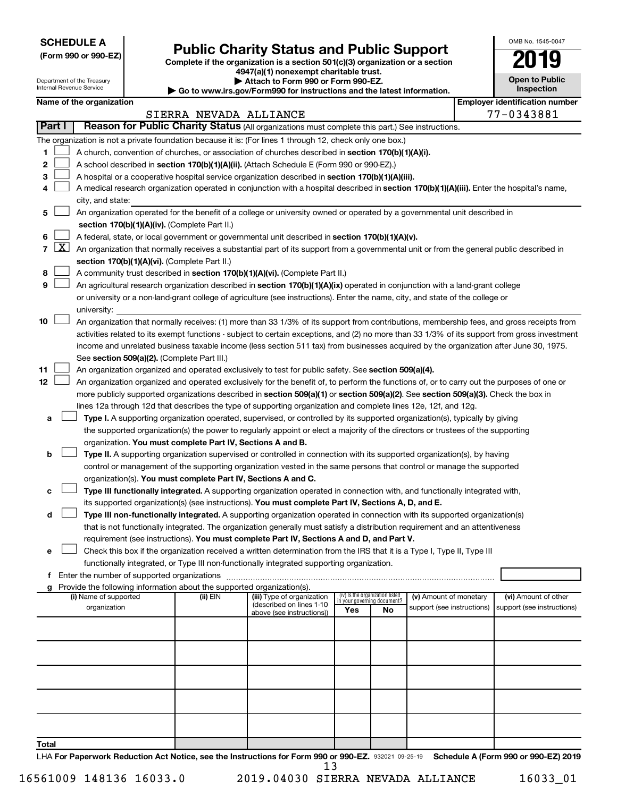**SCHEDULE A**

Department of the Treasury Internal Revenue Service

| (Form 990 or 990-EZ) |  |  |  |  |
|----------------------|--|--|--|--|
|----------------------|--|--|--|--|

# Form 990 or 990-EZ)<br>
Complete if the organization is a section 501(c)(3) organization or a section<br> **Public Charity Status and Public Support**

**4947(a)(1) nonexempt charitable trust. | Attach to Form 990 or Form 990-EZ.** 

**| Go to www.irs.gov/Form990 for instructions and the latest information.**

|    | <b>Open to Public</b><br>Inspection |
|----|-------------------------------------|
| ۱r | identification numi                 |

OMB No. 1545-0047

|  | Name of the organization |
|--|--------------------------|
|--|--------------------------|

|              |                                                                                                                                                                                                               | Name of the organization                                                                                                                          |                        |                                                        |                                                                |    |                            |  | <b>Employer identification number</b> |  |  |
|--------------|---------------------------------------------------------------------------------------------------------------------------------------------------------------------------------------------------------------|---------------------------------------------------------------------------------------------------------------------------------------------------|------------------------|--------------------------------------------------------|----------------------------------------------------------------|----|----------------------------|--|---------------------------------------|--|--|
|              |                                                                                                                                                                                                               |                                                                                                                                                   | SIERRA NEVADA ALLIANCE |                                                        |                                                                |    |                            |  | 77-0343881                            |  |  |
|              | Part I                                                                                                                                                                                                        | Reason for Public Charity Status (All organizations must complete this part.) See instructions.                                                   |                        |                                                        |                                                                |    |                            |  |                                       |  |  |
|              |                                                                                                                                                                                                               | The organization is not a private foundation because it is: (For lines 1 through 12, check only one box.)                                         |                        |                                                        |                                                                |    |                            |  |                                       |  |  |
| 1.           |                                                                                                                                                                                                               | A church, convention of churches, or association of churches described in section 170(b)(1)(A)(i).                                                |                        |                                                        |                                                                |    |                            |  |                                       |  |  |
| 2            |                                                                                                                                                                                                               | A school described in section 170(b)(1)(A)(ii). (Attach Schedule E (Form 990 or 990-EZ).)                                                         |                        |                                                        |                                                                |    |                            |  |                                       |  |  |
| з            |                                                                                                                                                                                                               | A hospital or a cooperative hospital service organization described in section 170(b)(1)(A)(iii).                                                 |                        |                                                        |                                                                |    |                            |  |                                       |  |  |
| 4            |                                                                                                                                                                                                               | A medical research organization operated in conjunction with a hospital described in section 170(b)(1)(A)(iii). Enter the hospital's name,        |                        |                                                        |                                                                |    |                            |  |                                       |  |  |
|              |                                                                                                                                                                                                               | city, and state:                                                                                                                                  |                        |                                                        |                                                                |    |                            |  |                                       |  |  |
| 5.           |                                                                                                                                                                                                               | An organization operated for the benefit of a college or university owned or operated by a governmental unit described in                         |                        |                                                        |                                                                |    |                            |  |                                       |  |  |
|              |                                                                                                                                                                                                               | section 170(b)(1)(A)(iv). (Complete Part II.)                                                                                                     |                        |                                                        |                                                                |    |                            |  |                                       |  |  |
| 6.           |                                                                                                                                                                                                               | A federal, state, or local government or governmental unit described in section 170(b)(1)(A)(v).                                                  |                        |                                                        |                                                                |    |                            |  |                                       |  |  |
|              |                                                                                                                                                                                                               | 7 $ X $ An organization that normally receives a substantial part of its support from a governmental unit or from the general public described in |                        |                                                        |                                                                |    |                            |  |                                       |  |  |
|              |                                                                                                                                                                                                               | section 170(b)(1)(A)(vi). (Complete Part II.)                                                                                                     |                        |                                                        |                                                                |    |                            |  |                                       |  |  |
| 8            |                                                                                                                                                                                                               |                                                                                                                                                   |                        |                                                        |                                                                |    |                            |  |                                       |  |  |
| 9            | A community trust described in section 170(b)(1)(A)(vi). (Complete Part II.)<br>An agricultural research organization described in section 170(b)(1)(A)(ix) operated in conjunction with a land-grant college |                                                                                                                                                   |                        |                                                        |                                                                |    |                            |  |                                       |  |  |
|              |                                                                                                                                                                                                               | or university or a non-land-grant college of agriculture (see instructions). Enter the name, city, and state of the college or                    |                        |                                                        |                                                                |    |                            |  |                                       |  |  |
|              |                                                                                                                                                                                                               | university:                                                                                                                                       |                        |                                                        |                                                                |    |                            |  |                                       |  |  |
| 10           |                                                                                                                                                                                                               | An organization that normally receives: (1) more than 33 1/3% of its support from contributions, membership fees, and gross receipts from         |                        |                                                        |                                                                |    |                            |  |                                       |  |  |
|              |                                                                                                                                                                                                               | activities related to its exempt functions - subject to certain exceptions, and (2) no more than 33 1/3% of its support from gross investment     |                        |                                                        |                                                                |    |                            |  |                                       |  |  |
|              |                                                                                                                                                                                                               |                                                                                                                                                   |                        |                                                        |                                                                |    |                            |  |                                       |  |  |
|              |                                                                                                                                                                                                               | income and unrelated business taxable income (less section 511 tax) from businesses acquired by the organization after June 30, 1975.             |                        |                                                        |                                                                |    |                            |  |                                       |  |  |
|              |                                                                                                                                                                                                               | See section 509(a)(2). (Complete Part III.)                                                                                                       |                        |                                                        |                                                                |    |                            |  |                                       |  |  |
| 11           |                                                                                                                                                                                                               | An organization organized and operated exclusively to test for public safety. See section 509(a)(4).                                              |                        |                                                        |                                                                |    |                            |  |                                       |  |  |
| 12           |                                                                                                                                                                                                               | An organization organized and operated exclusively for the benefit of, to perform the functions of, or to carry out the purposes of one or        |                        |                                                        |                                                                |    |                            |  |                                       |  |  |
|              |                                                                                                                                                                                                               | more publicly supported organizations described in section 509(a)(1) or section 509(a)(2). See section 509(a)(3). Check the box in                |                        |                                                        |                                                                |    |                            |  |                                       |  |  |
|              |                                                                                                                                                                                                               | lines 12a through 12d that describes the type of supporting organization and complete lines 12e, 12f, and 12g.                                    |                        |                                                        |                                                                |    |                            |  |                                       |  |  |
| а            |                                                                                                                                                                                                               | Type I. A supporting organization operated, supervised, or controlled by its supported organization(s), typically by giving                       |                        |                                                        |                                                                |    |                            |  |                                       |  |  |
|              |                                                                                                                                                                                                               | the supported organization(s) the power to regularly appoint or elect a majority of the directors or trustees of the supporting                   |                        |                                                        |                                                                |    |                            |  |                                       |  |  |
|              |                                                                                                                                                                                                               | organization. You must complete Part IV, Sections A and B.                                                                                        |                        |                                                        |                                                                |    |                            |  |                                       |  |  |
| b            |                                                                                                                                                                                                               | Type II. A supporting organization supervised or controlled in connection with its supported organization(s), by having                           |                        |                                                        |                                                                |    |                            |  |                                       |  |  |
|              |                                                                                                                                                                                                               | control or management of the supporting organization vested in the same persons that control or manage the supported                              |                        |                                                        |                                                                |    |                            |  |                                       |  |  |
|              |                                                                                                                                                                                                               | organization(s). You must complete Part IV, Sections A and C.                                                                                     |                        |                                                        |                                                                |    |                            |  |                                       |  |  |
| с            |                                                                                                                                                                                                               | Type III functionally integrated. A supporting organization operated in connection with, and functionally integrated with,                        |                        |                                                        |                                                                |    |                            |  |                                       |  |  |
|              |                                                                                                                                                                                                               | its supported organization(s) (see instructions). You must complete Part IV, Sections A, D, and E.                                                |                        |                                                        |                                                                |    |                            |  |                                       |  |  |
| d            |                                                                                                                                                                                                               | Type III non-functionally integrated. A supporting organization operated in connection with its supported organization(s)                         |                        |                                                        |                                                                |    |                            |  |                                       |  |  |
|              |                                                                                                                                                                                                               | that is not functionally integrated. The organization generally must satisfy a distribution requirement and an attentiveness                      |                        |                                                        |                                                                |    |                            |  |                                       |  |  |
|              |                                                                                                                                                                                                               | requirement (see instructions). You must complete Part IV, Sections A and D, and Part V.                                                          |                        |                                                        |                                                                |    |                            |  |                                       |  |  |
|              |                                                                                                                                                                                                               | Check this box if the organization received a written determination from the IRS that it is a Type I, Type II, Type III                           |                        |                                                        |                                                                |    |                            |  |                                       |  |  |
|              |                                                                                                                                                                                                               | functionally integrated, or Type III non-functionally integrated supporting organization.                                                         |                        |                                                        |                                                                |    |                            |  |                                       |  |  |
|              |                                                                                                                                                                                                               | f Enter the number of supported organizations                                                                                                     |                        |                                                        |                                                                |    |                            |  |                                       |  |  |
|              |                                                                                                                                                                                                               | g Provide the following information about the supported organization(s).                                                                          |                        |                                                        |                                                                |    |                            |  |                                       |  |  |
|              |                                                                                                                                                                                                               | (i) Name of supported                                                                                                                             | (ii) EIN               | (iii) Type of organization<br>(described on lines 1-10 | (iv) Is the organization listed<br>in your governing document? |    | (v) Amount of monetary     |  | (vi) Amount of other                  |  |  |
|              |                                                                                                                                                                                                               | organization                                                                                                                                      |                        | above (see instructions))                              | Yes                                                            | No | support (see instructions) |  | support (see instructions)            |  |  |
|              |                                                                                                                                                                                                               |                                                                                                                                                   |                        |                                                        |                                                                |    |                            |  |                                       |  |  |
|              |                                                                                                                                                                                                               |                                                                                                                                                   |                        |                                                        |                                                                |    |                            |  |                                       |  |  |
|              |                                                                                                                                                                                                               |                                                                                                                                                   |                        |                                                        |                                                                |    |                            |  |                                       |  |  |
|              |                                                                                                                                                                                                               |                                                                                                                                                   |                        |                                                        |                                                                |    |                            |  |                                       |  |  |
|              |                                                                                                                                                                                                               |                                                                                                                                                   |                        |                                                        |                                                                |    |                            |  |                                       |  |  |
|              |                                                                                                                                                                                                               |                                                                                                                                                   |                        |                                                        |                                                                |    |                            |  |                                       |  |  |
|              |                                                                                                                                                                                                               |                                                                                                                                                   |                        |                                                        |                                                                |    |                            |  |                                       |  |  |
|              |                                                                                                                                                                                                               |                                                                                                                                                   |                        |                                                        |                                                                |    |                            |  |                                       |  |  |
|              |                                                                                                                                                                                                               |                                                                                                                                                   |                        |                                                        |                                                                |    |                            |  |                                       |  |  |
|              |                                                                                                                                                                                                               |                                                                                                                                                   |                        |                                                        |                                                                |    |                            |  |                                       |  |  |
| <b>Total</b> |                                                                                                                                                                                                               |                                                                                                                                                   |                        |                                                        |                                                                |    |                            |  |                                       |  |  |
|              |                                                                                                                                                                                                               |                                                                                                                                                   |                        |                                                        |                                                                |    |                            |  |                                       |  |  |

LHA For Paperwork Reduction Act Notice, see the Instructions for Form 990 or 990-EZ. 932021 09-25-19 Schedule A (Form 990 or 990-EZ) 2019 13

16561009 148136 16033.0 2019.04030 SIERRA NEVADA ALLIANCE 16033\_01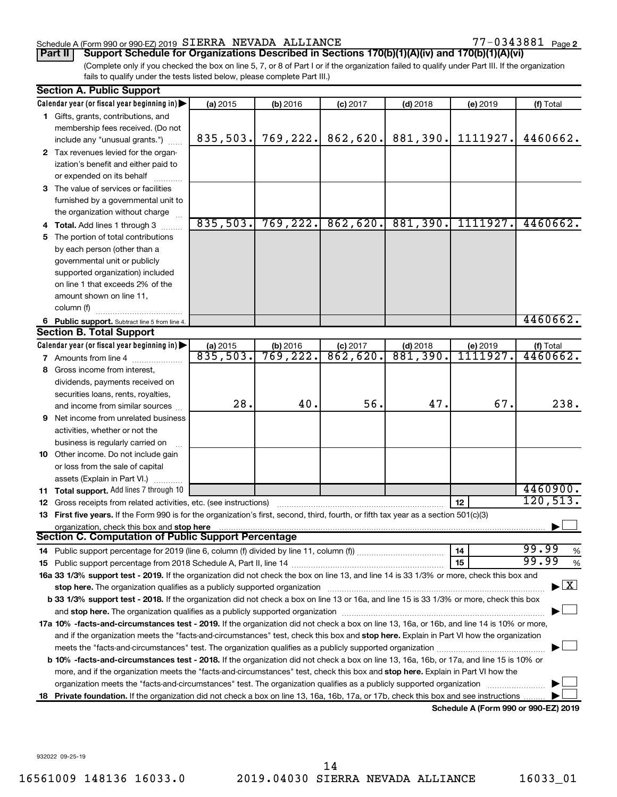77-0343881 Page 2

(Complete only if you checked the box on line 5, 7, or 8 of Part I or if the organization failed to qualify under Part III. If the organization fails to qualify under the tests listed below, please complete Part III.) **Part II Support Schedule for Organizations Described in Sections 170(b)(1)(A)(iv) and 170(b)(1)(A)(vi)**

|    | <b>Section A. Public Support</b>                                                                                                                                                                                               |          |          |            |            |                                      |                                 |  |  |  |  |
|----|--------------------------------------------------------------------------------------------------------------------------------------------------------------------------------------------------------------------------------|----------|----------|------------|------------|--------------------------------------|---------------------------------|--|--|--|--|
|    | Calendar year (or fiscal year beginning in)                                                                                                                                                                                    | (a) 2015 | (b) 2016 | $(c)$ 2017 | $(d)$ 2018 | (e) 2019                             | (f) Total                       |  |  |  |  |
|    | 1 Gifts, grants, contributions, and                                                                                                                                                                                            |          |          |            |            |                                      |                                 |  |  |  |  |
|    | membership fees received. (Do not                                                                                                                                                                                              |          |          |            |            |                                      |                                 |  |  |  |  |
|    | include any "unusual grants.")                                                                                                                                                                                                 | 835,503. | 769,222. | 862,620.   | 881,390.   | 1111927.                             | 4460662.                        |  |  |  |  |
|    | 2 Tax revenues levied for the organ-                                                                                                                                                                                           |          |          |            |            |                                      |                                 |  |  |  |  |
|    | ization's benefit and either paid to                                                                                                                                                                                           |          |          |            |            |                                      |                                 |  |  |  |  |
|    | or expended on its behalf                                                                                                                                                                                                      |          |          |            |            |                                      |                                 |  |  |  |  |
| з  | The value of services or facilities                                                                                                                                                                                            |          |          |            |            |                                      |                                 |  |  |  |  |
|    | furnished by a governmental unit to                                                                                                                                                                                            |          |          |            |            |                                      |                                 |  |  |  |  |
|    | the organization without charge                                                                                                                                                                                                |          |          |            |            |                                      |                                 |  |  |  |  |
|    | <b>Total.</b> Add lines 1 through 3                                                                                                                                                                                            | 835,503. | 769,222. | 862,620.   | 881,390.   | 1111927.                             | 4460662.                        |  |  |  |  |
| 5. | The portion of total contributions                                                                                                                                                                                             |          |          |            |            |                                      |                                 |  |  |  |  |
|    | by each person (other than a                                                                                                                                                                                                   |          |          |            |            |                                      |                                 |  |  |  |  |
|    | governmental unit or publicly                                                                                                                                                                                                  |          |          |            |            |                                      |                                 |  |  |  |  |
|    | supported organization) included                                                                                                                                                                                               |          |          |            |            |                                      |                                 |  |  |  |  |
|    | on line 1 that exceeds 2% of the                                                                                                                                                                                               |          |          |            |            |                                      |                                 |  |  |  |  |
|    | amount shown on line 11,                                                                                                                                                                                                       |          |          |            |            |                                      |                                 |  |  |  |  |
|    | column (f)                                                                                                                                                                                                                     |          |          |            |            |                                      |                                 |  |  |  |  |
|    | 6 Public support. Subtract line 5 from line 4.                                                                                                                                                                                 |          |          |            |            |                                      | 4460662.                        |  |  |  |  |
|    | <b>Section B. Total Support</b>                                                                                                                                                                                                |          |          |            |            |                                      |                                 |  |  |  |  |
|    | Calendar year (or fiscal year beginning in)                                                                                                                                                                                    | (a) 2015 | (b) 2016 | $(c)$ 2017 | $(d)$ 2018 | (e) 2019                             | (f) Total                       |  |  |  |  |
|    | 7 Amounts from line 4                                                                                                                                                                                                          | 835,503. | 769,222. | 862,620.   | 881,390.   | 1111927.                             | 4460662.                        |  |  |  |  |
| 8. | Gross income from interest,                                                                                                                                                                                                    |          |          |            |            |                                      |                                 |  |  |  |  |
|    | dividends, payments received on                                                                                                                                                                                                |          |          |            |            |                                      |                                 |  |  |  |  |
|    | securities loans, rents, royalties,                                                                                                                                                                                            |          |          |            |            |                                      |                                 |  |  |  |  |
|    | and income from similar sources                                                                                                                                                                                                | 28.      | 40.      | 56.        | 47.        | 67.                                  | 238.                            |  |  |  |  |
| 9  | Net income from unrelated business                                                                                                                                                                                             |          |          |            |            |                                      |                                 |  |  |  |  |
|    | activities, whether or not the                                                                                                                                                                                                 |          |          |            |            |                                      |                                 |  |  |  |  |
|    | business is regularly carried on                                                                                                                                                                                               |          |          |            |            |                                      |                                 |  |  |  |  |
|    | 10 Other income. Do not include gain                                                                                                                                                                                           |          |          |            |            |                                      |                                 |  |  |  |  |
|    | or loss from the sale of capital                                                                                                                                                                                               |          |          |            |            |                                      |                                 |  |  |  |  |
|    | assets (Explain in Part VI.)                                                                                                                                                                                                   |          |          |            |            |                                      |                                 |  |  |  |  |
|    | 11 Total support. Add lines 7 through 10                                                                                                                                                                                       |          |          |            |            |                                      | 4460900.                        |  |  |  |  |
|    | 12 Gross receipts from related activities, etc. (see instructions)                                                                                                                                                             |          |          |            |            | 12                                   | 120, 513.                       |  |  |  |  |
|    | 13 First five years. If the Form 990 is for the organization's first, second, third, fourth, or fifth tax year as a section 501(c)(3)                                                                                          |          |          |            |            |                                      |                                 |  |  |  |  |
|    | organization, check this box and stop here                                                                                                                                                                                     |          |          |            |            |                                      |                                 |  |  |  |  |
|    | <b>Section C. Computation of Public Support Percentage</b>                                                                                                                                                                     |          |          |            |            |                                      |                                 |  |  |  |  |
|    |                                                                                                                                                                                                                                |          |          |            |            | 14                                   | 99.99<br>%                      |  |  |  |  |
|    |                                                                                                                                                                                                                                |          |          |            |            | 15                                   | 99.99<br>%                      |  |  |  |  |
|    | 16a 33 1/3% support test - 2019. If the organization did not check the box on line 13, and line 14 is 33 1/3% or more, check this box and                                                                                      |          |          |            |            |                                      |                                 |  |  |  |  |
|    |                                                                                                                                                                                                                                |          |          |            |            |                                      | $\blacktriangleright$ $\vert$ X |  |  |  |  |
|    | b 33 1/3% support test - 2018. If the organization did not check a box on line 13 or 16a, and line 15 is 33 1/3% or more, check this box                                                                                       |          |          |            |            |                                      |                                 |  |  |  |  |
|    | and stop here. The organization qualifies as a publicly supported organization [110] content to the content of the content of the content of the content of the content of the content of the content of the content of the co |          |          |            |            |                                      |                                 |  |  |  |  |
|    | 17a 10% -facts-and-circumstances test - 2019. If the organization did not check a box on line 13, 16a, or 16b, and line 14 is 10% or more,                                                                                     |          |          |            |            |                                      |                                 |  |  |  |  |
|    | and if the organization meets the "facts-and-circumstances" test, check this box and stop here. Explain in Part VI how the organization                                                                                        |          |          |            |            |                                      |                                 |  |  |  |  |
|    |                                                                                                                                                                                                                                |          |          |            |            |                                      |                                 |  |  |  |  |
|    | b 10% -facts-and-circumstances test - 2018. If the organization did not check a box on line 13, 16a, 16b, or 17a, and line 15 is 10% or                                                                                        |          |          |            |            |                                      |                                 |  |  |  |  |
|    |                                                                                                                                                                                                                                |          |          |            |            |                                      |                                 |  |  |  |  |
|    | more, and if the organization meets the "facts-and-circumstances" test, check this box and stop here. Explain in Part VI how the                                                                                               |          |          |            |            |                                      |                                 |  |  |  |  |
| 18 | Private foundation. If the organization did not check a box on line 13, 16a, 16b, 17a, or 17b, check this box and see instructions                                                                                             |          |          |            |            |                                      |                                 |  |  |  |  |
|    |                                                                                                                                                                                                                                |          |          |            |            | Schodule A (Form 000 or 000 F7) 2010 |                                 |  |  |  |  |

**Schedule A (Form 990 or 990-EZ) 2019**

932022 09-25-19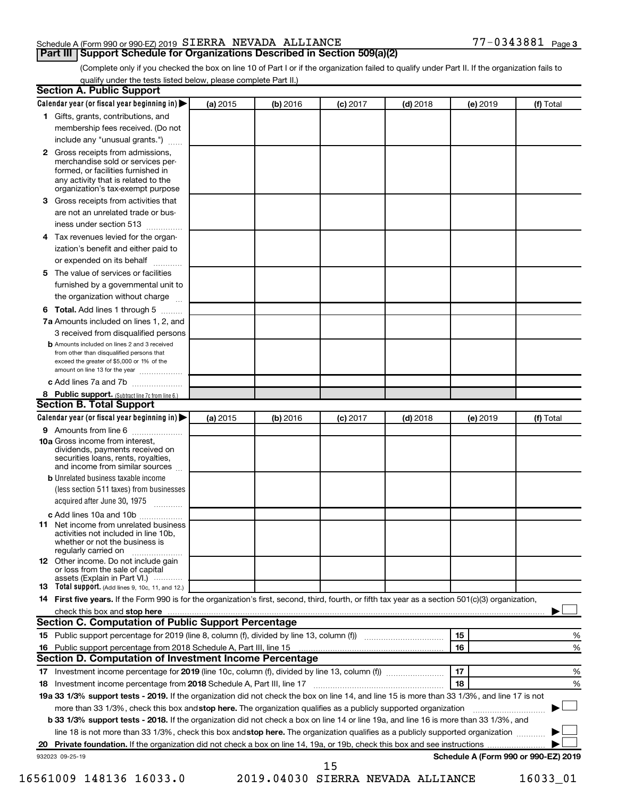**Part III Support Schedule for Organizations Described in Section 509(a)(2)** 

(Complete only if you checked the box on line 10 of Part I or if the organization failed to qualify under Part II. If the organization fails to qualify under the tests listed below, please complete Part II.)

| <b>Section A. Public Support</b>                                                                                                                                                                                         |          |          |            |            |          |                                      |
|--------------------------------------------------------------------------------------------------------------------------------------------------------------------------------------------------------------------------|----------|----------|------------|------------|----------|--------------------------------------|
| Calendar year (or fiscal year beginning in)                                                                                                                                                                              | (a) 2015 | (b) 2016 | $(c)$ 2017 | $(d)$ 2018 | (e) 2019 | (f) Total                            |
| 1 Gifts, grants, contributions, and                                                                                                                                                                                      |          |          |            |            |          |                                      |
| membership fees received. (Do not                                                                                                                                                                                        |          |          |            |            |          |                                      |
| include any "unusual grants.")                                                                                                                                                                                           |          |          |            |            |          |                                      |
| <b>2</b> Gross receipts from admissions,<br>merchandise sold or services per-<br>formed, or facilities furnished in<br>any activity that is related to the<br>organization's tax-exempt purpose                          |          |          |            |            |          |                                      |
| 3 Gross receipts from activities that                                                                                                                                                                                    |          |          |            |            |          |                                      |
| are not an unrelated trade or bus-                                                                                                                                                                                       |          |          |            |            |          |                                      |
| iness under section 513                                                                                                                                                                                                  |          |          |            |            |          |                                      |
| 4 Tax revenues levied for the organ-                                                                                                                                                                                     |          |          |            |            |          |                                      |
| ization's benefit and either paid to                                                                                                                                                                                     |          |          |            |            |          |                                      |
| or expended on its behalf                                                                                                                                                                                                |          |          |            |            |          |                                      |
| 5 The value of services or facilities                                                                                                                                                                                    |          |          |            |            |          |                                      |
| furnished by a governmental unit to                                                                                                                                                                                      |          |          |            |            |          |                                      |
| the organization without charge                                                                                                                                                                                          |          |          |            |            |          |                                      |
| 6 Total. Add lines 1 through 5                                                                                                                                                                                           |          |          |            |            |          |                                      |
| 7a Amounts included on lines 1, 2, and                                                                                                                                                                                   |          |          |            |            |          |                                      |
| 3 received from disqualified persons                                                                                                                                                                                     |          |          |            |            |          |                                      |
| <b>b</b> Amounts included on lines 2 and 3 received<br>from other than disqualified persons that<br>exceed the greater of \$5,000 or 1% of the<br>amount on line 13 for the year                                         |          |          |            |            |          |                                      |
| c Add lines 7a and 7b                                                                                                                                                                                                    |          |          |            |            |          |                                      |
| 8 Public support. (Subtract line 7c from line 6.)                                                                                                                                                                        |          |          |            |            |          |                                      |
| <b>Section B. Total Support</b>                                                                                                                                                                                          |          |          |            |            |          |                                      |
| Calendar year (or fiscal year beginning in)                                                                                                                                                                              | (a) 2015 | (b) 2016 | $(c)$ 2017 | $(d)$ 2018 | (e) 2019 | (f) Total                            |
| 9 Amounts from line 6                                                                                                                                                                                                    |          |          |            |            |          |                                      |
| <b>10a</b> Gross income from interest,<br>dividends, payments received on<br>securities loans, rents, royalties,<br>and income from similar sources                                                                      |          |          |            |            |          |                                      |
| <b>b</b> Unrelated business taxable income<br>(less section 511 taxes) from businesses<br>acquired after June 30, 1975                                                                                                   |          |          |            |            |          |                                      |
| c Add lines 10a and 10b<br><b>11</b> Net income from unrelated business<br>activities not included in line 10b.<br>whether or not the business is<br>regularly carried on<br><b>12</b> Other income. Do not include gain |          |          |            |            |          |                                      |
| or loss from the sale of capital<br>assets (Explain in Part VI.)                                                                                                                                                         |          |          |            |            |          |                                      |
| <b>13</b> Total support. (Add lines 9, 10c, 11, and 12.)                                                                                                                                                                 |          |          |            |            |          |                                      |
| 14 First five years. If the Form 990 is for the organization's first, second, third, fourth, or fifth tax year as a section 501(c)(3) organization,                                                                      |          |          |            |            |          |                                      |
| check this box and stop here <b>contained and the contained and stop here</b> check this box and stop here <b>contained and stop here</b>                                                                                |          |          |            |            |          |                                      |
| Section C. Computation of Public Support Percentage                                                                                                                                                                      |          |          |            |            |          |                                      |
|                                                                                                                                                                                                                          |          |          |            |            | 15       | ℅                                    |
| 16 Public support percentage from 2018 Schedule A, Part III, line 15                                                                                                                                                     |          |          |            |            | 16       | %                                    |
| Section D. Computation of Investment Income Percentage                                                                                                                                                                   |          |          |            |            |          |                                      |
|                                                                                                                                                                                                                          |          |          |            |            | 17       | %                                    |
| 18 Investment income percentage from 2018 Schedule A, Part III, line 17                                                                                                                                                  |          |          |            |            | 18       | %                                    |
| 19a 33 1/3% support tests - 2019. If the organization did not check the box on line 14, and line 15 is more than 33 1/3%, and line 17 is not                                                                             |          |          |            |            |          |                                      |
| more than 33 1/3%, check this box and stop here. The organization qualifies as a publicly supported organization                                                                                                         |          |          |            |            |          |                                      |
| <b>b 33 1/3% support tests - 2018.</b> If the organization did not check a box on line 14 or line 19a, and line 16 is more than 33 1/3%, and                                                                             |          |          |            |            |          |                                      |
| line 18 is not more than 33 1/3%, check this box and stop here. The organization qualifies as a publicly supported organization                                                                                          |          |          |            |            |          |                                      |
|                                                                                                                                                                                                                          |          |          |            |            |          |                                      |
| 932023 09-25-19                                                                                                                                                                                                          |          |          | 15         |            |          | Schedule A (Form 990 or 990-EZ) 2019 |
|                                                                                                                                                                                                                          |          |          |            |            |          |                                      |

16561009 148136 16033.0 2019.04030 SIERRA NEVADA ALLIANCE 16033\_01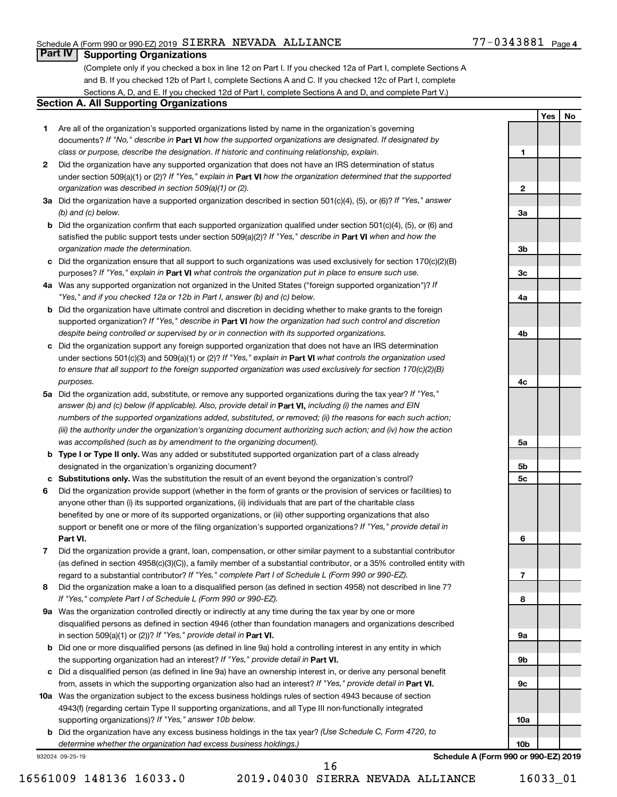**1**

**2**

**3a**

**3b**

**3c**

**4a**

**4b**

**4c**

**5a**

**5b 5c**

**6**

**7**

**8**

**9a**

**9b**

**9c**

**10a**

**10b**

**Yes No**

#### **Part IV Supporting Organizations**

(Complete only if you checked a box in line 12 on Part I. If you checked 12a of Part I, complete Sections A and B. If you checked 12b of Part I, complete Sections A and C. If you checked 12c of Part I, complete Sections A, D, and E. If you checked 12d of Part I, complete Sections A and D, and complete Part V.)

#### **Section A. All Supporting Organizations**

- **1** Are all of the organization's supported organizations listed by name in the organization's governing documents? If "No," describe in Part VI how the supported organizations are designated. If designated by *class or purpose, describe the designation. If historic and continuing relationship, explain.*
- **2** Did the organization have any supported organization that does not have an IRS determination of status under section 509(a)(1) or (2)? If "Yes," explain in Part **VI** how the organization determined that the supported *organization was described in section 509(a)(1) or (2).*
- **3a** Did the organization have a supported organization described in section 501(c)(4), (5), or (6)? If "Yes," answer *(b) and (c) below.*
- **b** Did the organization confirm that each supported organization qualified under section 501(c)(4), (5), or (6) and satisfied the public support tests under section 509(a)(2)? If "Yes," describe in Part VI when and how the *organization made the determination.*
- **c** Did the organization ensure that all support to such organizations was used exclusively for section 170(c)(2)(B) purposes? If "Yes," explain in Part VI what controls the organization put in place to ensure such use.
- **4 a** *If* Was any supported organization not organized in the United States ("foreign supported organization")? *"Yes," and if you checked 12a or 12b in Part I, answer (b) and (c) below.*
- **b** Did the organization have ultimate control and discretion in deciding whether to make grants to the foreign supported organization? If "Yes," describe in Part VI how the organization had such control and discretion *despite being controlled or supervised by or in connection with its supported organizations.*
- **c** Did the organization support any foreign supported organization that does not have an IRS determination under sections 501(c)(3) and 509(a)(1) or (2)? If "Yes," explain in Part VI what controls the organization used *to ensure that all support to the foreign supported organization was used exclusively for section 170(c)(2)(B) purposes.*
- **5a** Did the organization add, substitute, or remove any supported organizations during the tax year? If "Yes," answer (b) and (c) below (if applicable). Also, provide detail in **Part VI,** including (i) the names and EIN *numbers of the supported organizations added, substituted, or removed; (ii) the reasons for each such action; (iii) the authority under the organization's organizing document authorizing such action; and (iv) how the action was accomplished (such as by amendment to the organizing document).*
- **b Type I or Type II only.** Was any added or substituted supported organization part of a class already designated in the organization's organizing document?
- **c Substitutions only.**  Was the substitution the result of an event beyond the organization's control?
- **6** Did the organization provide support (whether in the form of grants or the provision of services or facilities) to **Part VI.** support or benefit one or more of the filing organization's supported organizations? If "Yes," provide detail in anyone other than (i) its supported organizations, (ii) individuals that are part of the charitable class benefited by one or more of its supported organizations, or (iii) other supporting organizations that also
- **7** Did the organization provide a grant, loan, compensation, or other similar payment to a substantial contributor regard to a substantial contributor? If "Yes," complete Part I of Schedule L (Form 990 or 990-EZ). (as defined in section 4958(c)(3)(C)), a family member of a substantial contributor, or a 35% controlled entity with
- **8** Did the organization make a loan to a disqualified person (as defined in section 4958) not described in line 7? *If "Yes," complete Part I of Schedule L (Form 990 or 990-EZ).*
- **9 a** Was the organization controlled directly or indirectly at any time during the tax year by one or more in section 509(a)(1) or (2))? If "Yes," provide detail in **Part VI.** disqualified persons as defined in section 4946 (other than foundation managers and organizations described
- **b** Did one or more disqualified persons (as defined in line 9a) hold a controlling interest in any entity in which the supporting organization had an interest? If "Yes," provide detail in Part VI.
- **c** Did a disqualified person (as defined in line 9a) have an ownership interest in, or derive any personal benefit from, assets in which the supporting organization also had an interest? If "Yes," provide detail in Part VI.
- **10 a** Was the organization subject to the excess business holdings rules of section 4943 because of section supporting organizations)? If "Yes," answer 10b below. 4943(f) (regarding certain Type II supporting organizations, and all Type III non-functionally integrated
	- **b** Did the organization have any excess business holdings in the tax year? (Use Schedule C, Form 4720, to *determine whether the organization had excess business holdings.)*

932024 09-25-19

**Schedule A (Form 990 or 990-EZ) 2019**

16

16561009 148136 16033.0 2019.04030 SIERRA NEVADA ALLIANCE 16033\_01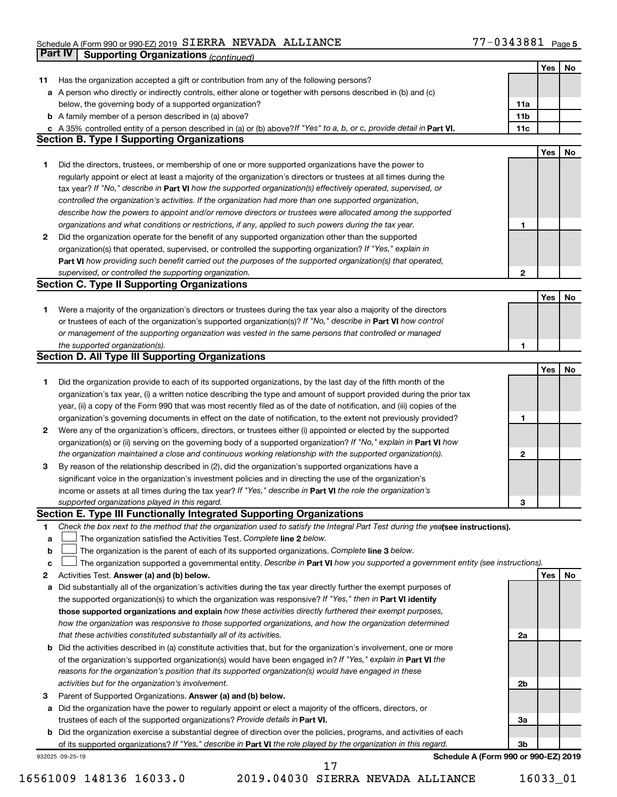#### Schedule A (Form 990 or 990-EZ) 2019 SIERRA NEVADA ALLIANCE NAME ARE ARREST MANAGEMENT ASSAULT Page SIERRA NEVADA ALLIANCE 77-0343881

|    | Part IV<br><b>Supporting Organizations (continued)</b>                                                                          |                 |     |    |
|----|---------------------------------------------------------------------------------------------------------------------------------|-----------------|-----|----|
|    |                                                                                                                                 |                 | Yes | No |
| 11 | Has the organization accepted a gift or contribution from any of the following persons?                                         |                 |     |    |
|    | a A person who directly or indirectly controls, either alone or together with persons described in (b) and (c)                  |                 |     |    |
|    | below, the governing body of a supported organization?                                                                          | 11a             |     |    |
|    | <b>b</b> A family member of a person described in (a) above?                                                                    | 11 <sub>b</sub> |     |    |
|    | c A 35% controlled entity of a person described in (a) or (b) above? If "Yes" to a, b, or c, provide detail in Part VI.         | 11c             |     |    |
|    | <b>Section B. Type I Supporting Organizations</b>                                                                               |                 |     |    |
|    |                                                                                                                                 |                 | Yes | No |
| 1  | Did the directors, trustees, or membership of one or more supported organizations have the power to                             |                 |     |    |
|    | regularly appoint or elect at least a majority of the organization's directors or trustees at all times during the              |                 |     |    |
|    | tax year? If "No," describe in Part VI how the supported organization(s) effectively operated, supervised, or                   |                 |     |    |
|    |                                                                                                                                 |                 |     |    |
|    | controlled the organization's activities. If the organization had more than one supported organization,                         |                 |     |    |
|    | describe how the powers to appoint and/or remove directors or trustees were allocated among the supported                       |                 |     |    |
|    | organizations and what conditions or restrictions, if any, applied to such powers during the tax year.                          | 1               |     |    |
| 2  | Did the organization operate for the benefit of any supported organization other than the supported                             |                 |     |    |
|    | organization(s) that operated, supervised, or controlled the supporting organization? If "Yes," explain in                      |                 |     |    |
|    | Part VI how providing such benefit carried out the purposes of the supported organization(s) that operated,                     |                 |     |    |
|    | supervised, or controlled the supporting organization.                                                                          | $\mathbf{2}$    |     |    |
|    | <b>Section C. Type II Supporting Organizations</b>                                                                              |                 |     |    |
|    |                                                                                                                                 |                 | Yes | No |
| 1. | Were a majority of the organization's directors or trustees during the tax year also a majority of the directors                |                 |     |    |
|    | or trustees of each of the organization's supported organization(s)? If "No," describe in Part VI how control                   |                 |     |    |
|    | or management of the supporting organization was vested in the same persons that controlled or managed                          |                 |     |    |
|    | the supported organization(s).                                                                                                  | 1               |     |    |
|    | <b>Section D. All Type III Supporting Organizations</b>                                                                         |                 |     |    |
|    |                                                                                                                                 |                 | Yes | No |
| 1  | Did the organization provide to each of its supported organizations, by the last day of the fifth month of the                  |                 |     |    |
|    | organization's tax year, (i) a written notice describing the type and amount of support provided during the prior tax           |                 |     |    |
|    | year, (ii) a copy of the Form 990 that was most recently filed as of the date of notification, and (iii) copies of the          |                 |     |    |
|    | organization's governing documents in effect on the date of notification, to the extent not previously provided?                | 1               |     |    |
| 2  | Were any of the organization's officers, directors, or trustees either (i) appointed or elected by the supported                |                 |     |    |
|    | organization(s) or (ii) serving on the governing body of a supported organization? If "No," explain in Part VI how              |                 |     |    |
|    | the organization maintained a close and continuous working relationship with the supported organization(s).                     | 2               |     |    |
| 3  | By reason of the relationship described in (2), did the organization's supported organizations have a                           |                 |     |    |
|    | significant voice in the organization's investment policies and in directing the use of the organization's                      |                 |     |    |
|    | income or assets at all times during the tax year? If "Yes," describe in Part VI the role the organization's                    |                 |     |    |
|    | supported organizations played in this regard.                                                                                  |                 |     |    |
|    | Section E. Type III Functionally Integrated Supporting Organizations                                                            | з               |     |    |
|    |                                                                                                                                 |                 |     |    |
| 1  | Check the box next to the method that the organization used to satisfy the Integral Part Test during the yealsee instructions). |                 |     |    |
| a  | The organization satisfied the Activities Test. Complete line 2 below.                                                          |                 |     |    |
| b  | The organization is the parent of each of its supported organizations. Complete line 3 below.                                   |                 |     |    |
| с  | The organization supported a governmental entity. Describe in Part VI how you supported a government entity (see instructions). |                 |     |    |
| 2  | Activities Test. Answer (a) and (b) below.                                                                                      |                 | Yes | No |
| а  | Did substantially all of the organization's activities during the tax year directly further the exempt purposes of              |                 |     |    |
|    | the supported organization(s) to which the organization was responsive? If "Yes," then in Part VI identify                      |                 |     |    |
|    | those supported organizations and explain how these activities directly furthered their exempt purposes,                        |                 |     |    |
|    | how the organization was responsive to those supported organizations, and how the organization determined                       |                 |     |    |
|    | that these activities constituted substantially all of its activities.                                                          | 2a              |     |    |
|    | <b>b</b> Did the activities described in (a) constitute activities that, but for the organization's involvement, one or more    |                 |     |    |
|    | of the organization's supported organization(s) would have been engaged in? If "Yes," explain in Part VI the                    |                 |     |    |
|    | reasons for the organization's position that its supported organization(s) would have engaged in these                          |                 |     |    |
|    | activities but for the organization's involvement.                                                                              | 2b              |     |    |
| з  | Parent of Supported Organizations. Answer (a) and (b) below.                                                                    |                 |     |    |
| а  | Did the organization have the power to regularly appoint or elect a majority of the officers, directors, or                     |                 |     |    |
|    | trustees of each of the supported organizations? Provide details in Part VI.                                                    | За              |     |    |
|    | <b>b</b> Did the organization exercise a substantial degree of direction over the policies, programs, and activities of each    |                 |     |    |
|    | of its supported organizations? If "Yes," describe in Part VI the role played by the organization in this regard.               | Зb              |     |    |
|    | Schedule A (Form 990 or 990-EZ) 2019<br>932025 09-25-19                                                                         |                 |     |    |
|    | 17                                                                                                                              |                 |     |    |

<sup>16561009 148136 16033.0 2019.04030</sup> SIERRA NEVADA ALLIANCE 16033\_01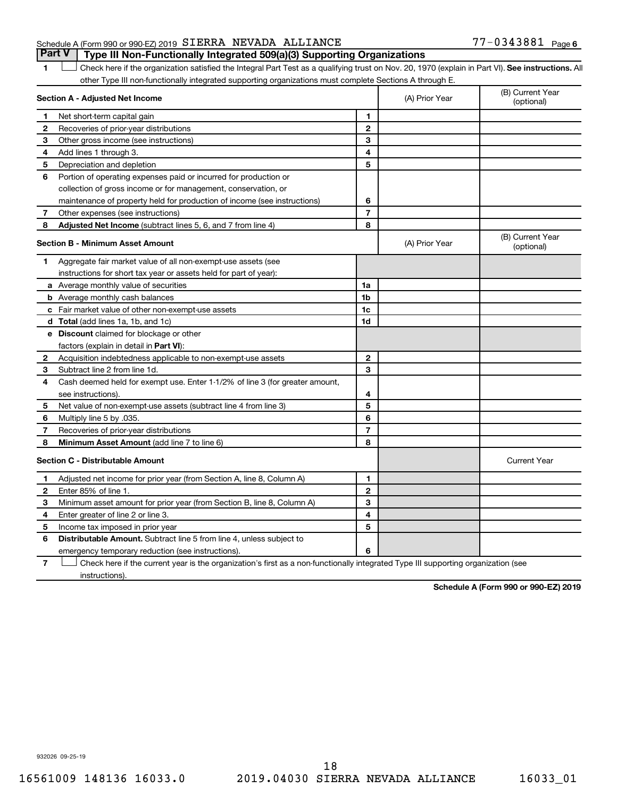1 **Letter See instructions.** All Check here if the organization satisfied the Integral Part Test as a qualifying trust on Nov. 20, 1970 (explain in Part VI). See instructions. All other Type III non-functionally integrated supporting organizations must complete Sections A through E. **Part V Type III Non-Functionally Integrated 509(a)(3) Supporting Organizations** 

|              | Section A - Adjusted Net Income                                              |                | (A) Prior Year | (B) Current Year<br>(optional) |
|--------------|------------------------------------------------------------------------------|----------------|----------------|--------------------------------|
| 1            | Net short-term capital gain                                                  | 1              |                |                                |
| $\mathbf{2}$ | Recoveries of prior-year distributions                                       | $\mathbf{2}$   |                |                                |
| 3            | Other gross income (see instructions)                                        | 3              |                |                                |
| 4            | Add lines 1 through 3.                                                       | 4              |                |                                |
| 5            | Depreciation and depletion                                                   | 5              |                |                                |
| 6            | Portion of operating expenses paid or incurred for production or             |                |                |                                |
|              | collection of gross income or for management, conservation, or               |                |                |                                |
|              | maintenance of property held for production of income (see instructions)     | 6              |                |                                |
| 7            | Other expenses (see instructions)                                            | $\overline{7}$ |                |                                |
| 8            | Adjusted Net Income (subtract lines 5, 6, and 7 from line 4)                 | 8              |                |                                |
|              | <b>Section B - Minimum Asset Amount</b>                                      |                | (A) Prior Year | (B) Current Year<br>(optional) |
| 1            | Aggregate fair market value of all non-exempt-use assets (see                |                |                |                                |
|              | instructions for short tax year or assets held for part of year):            |                |                |                                |
|              | a Average monthly value of securities                                        | 1a             |                |                                |
|              | <b>b</b> Average monthly cash balances                                       | 1 <sub>b</sub> |                |                                |
|              | c Fair market value of other non-exempt-use assets                           | 1 <sub>c</sub> |                |                                |
|              | d Total (add lines 1a, 1b, and 1c)                                           | 1d             |                |                                |
|              | <b>e</b> Discount claimed for blockage or other                              |                |                |                                |
|              | factors (explain in detail in Part VI):                                      |                |                |                                |
| 2            | Acquisition indebtedness applicable to non-exempt-use assets                 | $\mathbf{2}$   |                |                                |
| 3            | Subtract line 2 from line 1d.                                                | 3              |                |                                |
| 4            | Cash deemed held for exempt use. Enter 1-1/2% of line 3 (for greater amount, |                |                |                                |
|              | see instructions)                                                            | 4              |                |                                |
| 5            | Net value of non-exempt-use assets (subtract line 4 from line 3)             | 5              |                |                                |
| 6            | Multiply line 5 by .035.                                                     | 6              |                |                                |
| 7            | Recoveries of prior-year distributions                                       | $\overline{7}$ |                |                                |
| 8            | Minimum Asset Amount (add line 7 to line 6)                                  | 8              |                |                                |
|              | <b>Section C - Distributable Amount</b>                                      |                |                | <b>Current Year</b>            |
| 1            | Adjusted net income for prior year (from Section A, line 8, Column A)        | 1              |                |                                |
| 2            | Enter 85% of line 1.                                                         | $\mathbf{2}$   |                |                                |
| З            | Minimum asset amount for prior year (from Section B, line 8, Column A)       | 3              |                |                                |
| 4            | Enter greater of line 2 or line 3.                                           | 4              |                |                                |
| 5            | Income tax imposed in prior year                                             | 5              |                |                                |
| 6            | Distributable Amount. Subtract line 5 from line 4, unless subject to         |                |                |                                |
|              | emergency temporary reduction (see instructions).                            | 6              |                |                                |
|              |                                                                              |                |                |                                |

**7** Check here if the current year is the organization's first as a non-functionally integrated Type III supporting organization (see † instructions).

**Schedule A (Form 990 or 990-EZ) 2019**

932026 09-25-19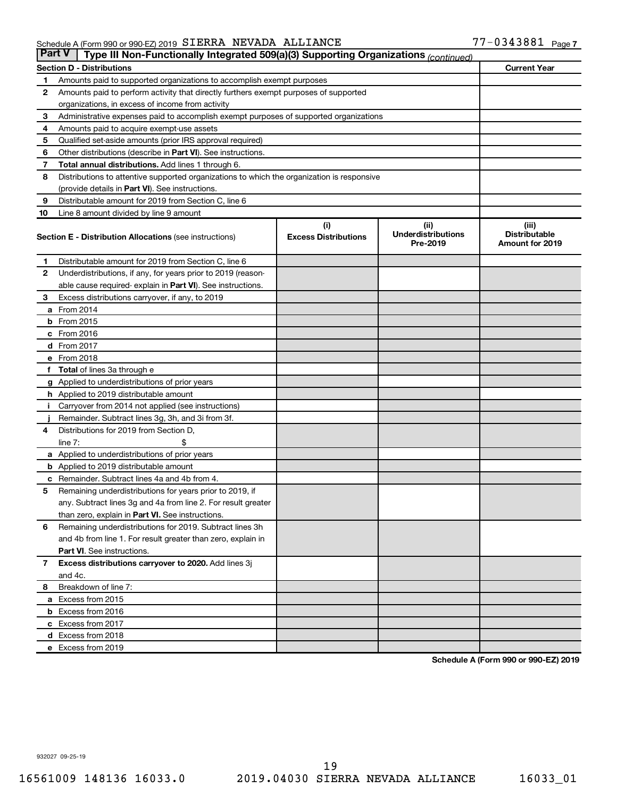#### Schedule A (Form 990 or 990-EZ) 2019 SIERRA NEVADA ALLIANCE NAME ARE ARREST MANAGEMENT ASSAULT Page SIERRA NEVADA ALLIANCE 77-0343881

| <b>Part V</b>  | Type III Non-Functionally Integrated 509(a)(3) Supporting Organizations (continued)        |                                    |                                               |                                                         |
|----------------|--------------------------------------------------------------------------------------------|------------------------------------|-----------------------------------------------|---------------------------------------------------------|
|                | <b>Section D - Distributions</b>                                                           |                                    |                                               | <b>Current Year</b>                                     |
| 1              | Amounts paid to supported organizations to accomplish exempt purposes                      |                                    |                                               |                                                         |
| $\mathbf{2}$   | Amounts paid to perform activity that directly furthers exempt purposes of supported       |                                    |                                               |                                                         |
|                | organizations, in excess of income from activity                                           |                                    |                                               |                                                         |
| 3              | Administrative expenses paid to accomplish exempt purposes of supported organizations      |                                    |                                               |                                                         |
| 4              | Amounts paid to acquire exempt-use assets                                                  |                                    |                                               |                                                         |
| 5              | Qualified set-aside amounts (prior IRS approval required)                                  |                                    |                                               |                                                         |
| 6              | Other distributions (describe in <b>Part VI</b> ). See instructions.                       |                                    |                                               |                                                         |
| 7              | Total annual distributions. Add lines 1 through 6.                                         |                                    |                                               |                                                         |
| 8              | Distributions to attentive supported organizations to which the organization is responsive |                                    |                                               |                                                         |
|                | (provide details in Part VI). See instructions.                                            |                                    |                                               |                                                         |
| 9              | Distributable amount for 2019 from Section C, line 6                                       |                                    |                                               |                                                         |
| 10             | Line 8 amount divided by line 9 amount                                                     |                                    |                                               |                                                         |
|                | <b>Section E - Distribution Allocations (see instructions)</b>                             | (i)<br><b>Excess Distributions</b> | (ii)<br><b>Underdistributions</b><br>Pre-2019 | (iii)<br><b>Distributable</b><br><b>Amount for 2019</b> |
| 1              | Distributable amount for 2019 from Section C, line 6                                       |                                    |                                               |                                                         |
| $\mathbf{2}$   | Underdistributions, if any, for years prior to 2019 (reason-                               |                                    |                                               |                                                         |
|                | able cause required- explain in Part VI). See instructions.                                |                                    |                                               |                                                         |
| 3              | Excess distributions carryover, if any, to 2019                                            |                                    |                                               |                                                         |
|                | a From 2014                                                                                |                                    |                                               |                                                         |
|                | $b$ From 2015                                                                              |                                    |                                               |                                                         |
|                | c From 2016                                                                                |                                    |                                               |                                                         |
|                | d From 2017                                                                                |                                    |                                               |                                                         |
|                | e From 2018                                                                                |                                    |                                               |                                                         |
|                | f Total of lines 3a through e                                                              |                                    |                                               |                                                         |
|                | <b>g</b> Applied to underdistributions of prior years                                      |                                    |                                               |                                                         |
|                | <b>h</b> Applied to 2019 distributable amount                                              |                                    |                                               |                                                         |
| Ť.             | Carryover from 2014 not applied (see instructions)                                         |                                    |                                               |                                                         |
|                | Remainder. Subtract lines 3g, 3h, and 3i from 3f.                                          |                                    |                                               |                                                         |
| 4              | Distributions for 2019 from Section D,                                                     |                                    |                                               |                                                         |
|                | line $7:$                                                                                  |                                    |                                               |                                                         |
|                | <b>a</b> Applied to underdistributions of prior years                                      |                                    |                                               |                                                         |
|                | <b>b</b> Applied to 2019 distributable amount                                              |                                    |                                               |                                                         |
| c              | Remainder. Subtract lines 4a and 4b from 4.                                                |                                    |                                               |                                                         |
| 5              | Remaining underdistributions for years prior to 2019, if                                   |                                    |                                               |                                                         |
|                | any. Subtract lines 3g and 4a from line 2. For result greater                              |                                    |                                               |                                                         |
|                | than zero, explain in Part VI. See instructions.                                           |                                    |                                               |                                                         |
| 6              | Remaining underdistributions for 2019. Subtract lines 3h                                   |                                    |                                               |                                                         |
|                | and 4b from line 1. For result greater than zero, explain in                               |                                    |                                               |                                                         |
|                | <b>Part VI.</b> See instructions.                                                          |                                    |                                               |                                                         |
| $\overline{7}$ | Excess distributions carryover to 2020. Add lines 3j                                       |                                    |                                               |                                                         |
|                | and 4c.                                                                                    |                                    |                                               |                                                         |
| 8              | Breakdown of line 7:                                                                       |                                    |                                               |                                                         |
|                | a Excess from 2015                                                                         |                                    |                                               |                                                         |
|                | <b>b</b> Excess from 2016                                                                  |                                    |                                               |                                                         |
|                | c Excess from 2017                                                                         |                                    |                                               |                                                         |
|                | d Excess from 2018                                                                         |                                    |                                               |                                                         |
|                | e Excess from 2019                                                                         |                                    |                                               |                                                         |

**Schedule A (Form 990 or 990-EZ) 2019**

932027 09-25-19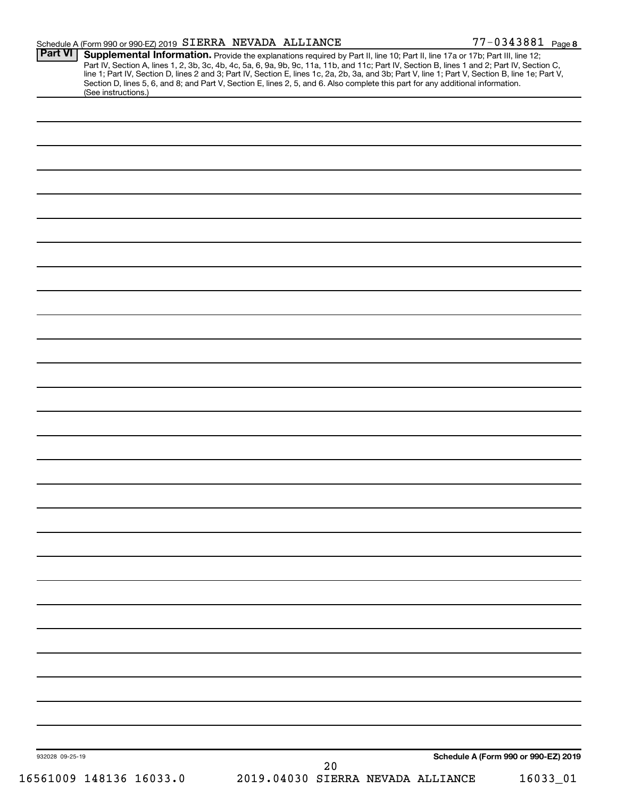| Schedule A (Form 990 or 990-EZ) 2019 SIERRA NEVADA ALLIANCE |                                                                                                                                                                                                                                                                                                                                                                                                                                                                                                                                                                      | 77-0343881 Page 8                    |
|-------------------------------------------------------------|----------------------------------------------------------------------------------------------------------------------------------------------------------------------------------------------------------------------------------------------------------------------------------------------------------------------------------------------------------------------------------------------------------------------------------------------------------------------------------------------------------------------------------------------------------------------|--------------------------------------|
| Part VI<br>(See instructions.)                              | Supplemental Information. Provide the explanations required by Part II, line 10; Part II, line 17a or 17b; Part III, line 12;<br>Part IV, Section A, lines 1, 2, 3b, 3c, 4b, 4c, 5a, 6, 9a, 9b, 9c, 11a, 11b, and 11c; Part IV, Section B, lines 1 and 2; Part IV, Section C,<br>line 1; Part IV, Section D, lines 2 and 3; Part IV, Section E, lines 1c, 2a, 2b, 3a, and 3b; Part V, line 1; Part V, Section B, line 1e; Part V,<br>Section D, lines 5, 6, and 8; and Part V, Section E, lines 2, 5, and 6. Also complete this part for any additional information. |                                      |
|                                                             |                                                                                                                                                                                                                                                                                                                                                                                                                                                                                                                                                                      |                                      |
|                                                             |                                                                                                                                                                                                                                                                                                                                                                                                                                                                                                                                                                      |                                      |
|                                                             |                                                                                                                                                                                                                                                                                                                                                                                                                                                                                                                                                                      |                                      |
|                                                             |                                                                                                                                                                                                                                                                                                                                                                                                                                                                                                                                                                      |                                      |
|                                                             |                                                                                                                                                                                                                                                                                                                                                                                                                                                                                                                                                                      |                                      |
|                                                             |                                                                                                                                                                                                                                                                                                                                                                                                                                                                                                                                                                      |                                      |
|                                                             |                                                                                                                                                                                                                                                                                                                                                                                                                                                                                                                                                                      |                                      |
|                                                             |                                                                                                                                                                                                                                                                                                                                                                                                                                                                                                                                                                      |                                      |
|                                                             |                                                                                                                                                                                                                                                                                                                                                                                                                                                                                                                                                                      |                                      |
|                                                             |                                                                                                                                                                                                                                                                                                                                                                                                                                                                                                                                                                      |                                      |
|                                                             |                                                                                                                                                                                                                                                                                                                                                                                                                                                                                                                                                                      |                                      |
|                                                             |                                                                                                                                                                                                                                                                                                                                                                                                                                                                                                                                                                      |                                      |
|                                                             |                                                                                                                                                                                                                                                                                                                                                                                                                                                                                                                                                                      |                                      |
|                                                             |                                                                                                                                                                                                                                                                                                                                                                                                                                                                                                                                                                      |                                      |
|                                                             |                                                                                                                                                                                                                                                                                                                                                                                                                                                                                                                                                                      |                                      |
|                                                             |                                                                                                                                                                                                                                                                                                                                                                                                                                                                                                                                                                      |                                      |
|                                                             |                                                                                                                                                                                                                                                                                                                                                                                                                                                                                                                                                                      |                                      |
|                                                             |                                                                                                                                                                                                                                                                                                                                                                                                                                                                                                                                                                      |                                      |
|                                                             |                                                                                                                                                                                                                                                                                                                                                                                                                                                                                                                                                                      |                                      |
|                                                             |                                                                                                                                                                                                                                                                                                                                                                                                                                                                                                                                                                      |                                      |
|                                                             |                                                                                                                                                                                                                                                                                                                                                                                                                                                                                                                                                                      |                                      |
|                                                             |                                                                                                                                                                                                                                                                                                                                                                                                                                                                                                                                                                      |                                      |
|                                                             |                                                                                                                                                                                                                                                                                                                                                                                                                                                                                                                                                                      |                                      |
|                                                             |                                                                                                                                                                                                                                                                                                                                                                                                                                                                                                                                                                      |                                      |
|                                                             |                                                                                                                                                                                                                                                                                                                                                                                                                                                                                                                                                                      |                                      |
|                                                             |                                                                                                                                                                                                                                                                                                                                                                                                                                                                                                                                                                      |                                      |
|                                                             |                                                                                                                                                                                                                                                                                                                                                                                                                                                                                                                                                                      |                                      |
|                                                             |                                                                                                                                                                                                                                                                                                                                                                                                                                                                                                                                                                      |                                      |
|                                                             |                                                                                                                                                                                                                                                                                                                                                                                                                                                                                                                                                                      |                                      |
|                                                             |                                                                                                                                                                                                                                                                                                                                                                                                                                                                                                                                                                      |                                      |
|                                                             |                                                                                                                                                                                                                                                                                                                                                                                                                                                                                                                                                                      |                                      |
|                                                             |                                                                                                                                                                                                                                                                                                                                                                                                                                                                                                                                                                      |                                      |
|                                                             |                                                                                                                                                                                                                                                                                                                                                                                                                                                                                                                                                                      |                                      |
| 932028 09-25-19                                             | 20                                                                                                                                                                                                                                                                                                                                                                                                                                                                                                                                                                   | Schedule A (Form 990 or 990-EZ) 2019 |
| 16561009 148136 16033.0                                     | 2019.04030 SIERRA NEVADA ALLIANCE                                                                                                                                                                                                                                                                                                                                                                                                                                                                                                                                    | 16033_01                             |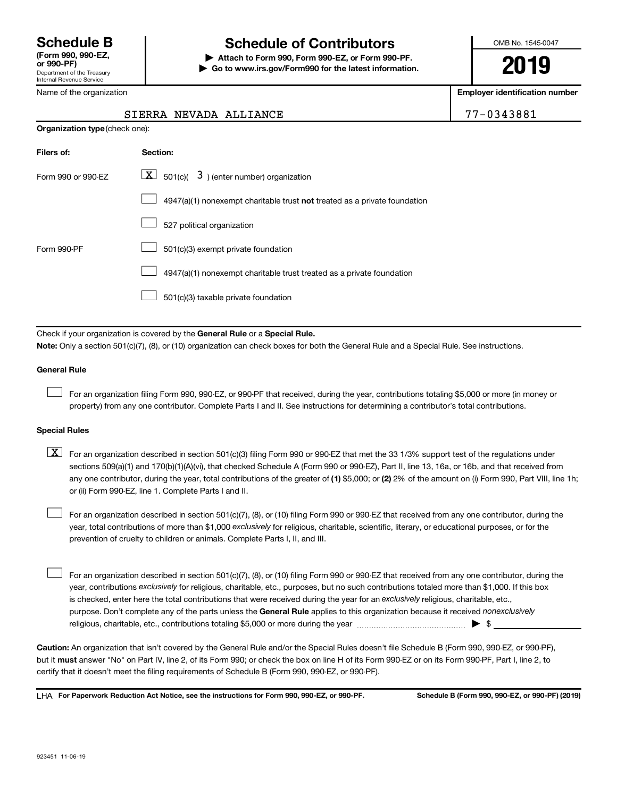Department of the Treasury Internal Revenue Service

## **Schedule B Schedule of Contributors**

**or 990-PF) | Attach to Form 990, Form 990-EZ, or Form 990-PF. | Go to www.irs.gov/Form990 for the latest information.** OMB No. 1545-0047

**2019**

**Employer identification number**

| Vame of the organization |  |
|--------------------------|--|
|                          |  |

**Organization type** (check one):

| Filers of:         | Section:                                                                  |
|--------------------|---------------------------------------------------------------------------|
| Form 990 or 990-EZ | $\boxed{\textbf{X}}$ 501(c)( 3) (enter number) organization               |
|                    | 4947(a)(1) nonexempt charitable trust not treated as a private foundation |
|                    | 527 political organization                                                |
| Form 990-PF        | 501(c)(3) exempt private foundation                                       |
|                    | 4947(a)(1) nonexempt charitable trust treated as a private foundation     |
|                    | 501(c)(3) taxable private foundation                                      |
|                    |                                                                           |

Check if your organization is covered by the General Rule or a Special Rule. **Note:**  Only a section 501(c)(7), (8), or (10) organization can check boxes for both the General Rule and a Special Rule. See instructions.

#### **General Rule**

 $\Box$ 

For an organization filing Form 990, 990-EZ, or 990-PF that received, during the year, contributions totaling \$5,000 or more (in money or property) from any one contributor. Complete Parts I and II. See instructions for determining a contributor's total contributions.

#### **Special Rules**

any one contributor, during the year, total contributions of the greater of (1) \$5,000; or (2) 2% of the amount on (i) Form 990, Part VIII, line 1h;  $\boxed{\text{X}}$  For an organization described in section 501(c)(3) filing Form 990 or 990-EZ that met the 33 1/3% support test of the regulations under sections 509(a)(1) and 170(b)(1)(A)(vi), that checked Schedule A (Form 990 or 990-EZ), Part II, line 13, 16a, or 16b, and that received from or (ii) Form 990-EZ, line 1. Complete Parts I and II.

year, total contributions of more than \$1,000 *exclusively* for religious, charitable, scientific, literary, or educational purposes, or for the For an organization described in section 501(c)(7), (8), or (10) filing Form 990 or 990-EZ that received from any one contributor, during the prevention of cruelty to children or animals. Complete Parts I, II, and III.  $\Box$ 

purpose. Don't complete any of the parts unless the General Rule applies to this organization because it received nonexclusively year, contributions exclusively for religious, charitable, etc., purposes, but no such contributions totaled more than \$1,000. If this box is checked, enter here the total contributions that were received during the year for an exclusively religious, charitable, etc., For an organization described in section 501(c)(7), (8), or (10) filing Form 990 or 990-EZ that received from any one contributor, during the religious, charitable, etc., contributions totaling \$5,000 or more during the year  $~\ldots\ldots\ldots\ldots\ldots\ldots\ldots\ldots\blacktriangleright~$ \$  $\Box$ 

**Caution:**  An organization that isn't covered by the General Rule and/or the Special Rules doesn't file Schedule B (Form 990, 990-EZ, or 990-PF),  **must** but it answer "No" on Part IV, line 2, of its Form 990; or check the box on line H of its Form 990-EZ or on its Form 990-PF, Part I, line 2, to certify that it doesn't meet the filing requirements of Schedule B (Form 990, 990-EZ, or 990-PF).

**For Paperwork Reduction Act Notice, see the instructions for Form 990, 990-EZ, or 990-PF. Schedule B (Form 990, 990-EZ, or 990-PF) (2019)** LHA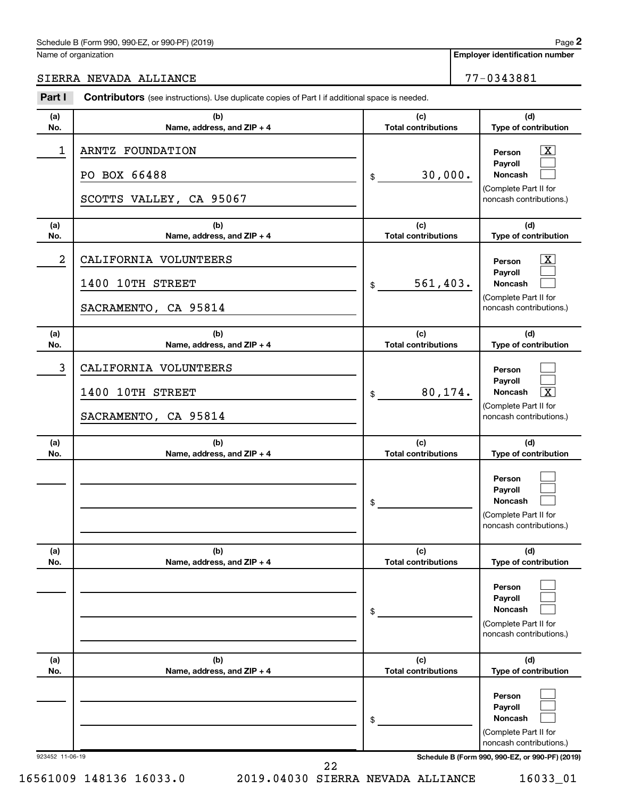#### Schedule B (Form 990, 990-EZ, or 990-PF) (2019)

Name of organization

**Employer identification number**

SIERRA NEVADA ALLIANCE 77-0343881

| Part I         | Contributors (see instructions). Use duplicate copies of Part I if additional space is needed. |                                   |                                                                                                          |
|----------------|------------------------------------------------------------------------------------------------|-----------------------------------|----------------------------------------------------------------------------------------------------------|
| (a)<br>No.     | (b)<br>Name, address, and ZIP + 4                                                              | (c)<br><b>Total contributions</b> | (d)<br>Type of contribution                                                                              |
| $\mathbf 1$    | ARNTZ FOUNDATION<br>PO BOX 66488<br>SCOTTS VALLEY, CA 95067                                    | 30,000.<br>\$                     | $\boxed{\mathbf{X}}$<br>Person<br>Payroll<br>Noncash<br>(Complete Part II for<br>noncash contributions.) |
| (a)<br>No.     | (b)<br>Name, address, and ZIP + 4                                                              | (c)<br><b>Total contributions</b> | (d)<br>Type of contribution                                                                              |
| $\overline{a}$ | CALIFORNIA VOLUNTEERS<br>1400 10TH STREET<br>SACRAMENTO, CA 95814                              | 561,403.<br>\$                    | $\mathbf{X}$<br>Person<br>Payroll<br>Noncash<br>(Complete Part II for<br>noncash contributions.)         |
| (a)<br>No.     | (b)<br>Name, address, and ZIP + 4                                                              | (c)<br><b>Total contributions</b> | (d)<br>Type of contribution                                                                              |
| 3              | CALIFORNIA VOLUNTEERS<br>1400 10TH STREET<br>SACRAMENTO, CA 95814                              | 80,174.<br>\$                     | Person<br>Payroll<br>$\boxed{\text{X}}$<br>Noncash<br>(Complete Part II for<br>noncash contributions.)   |
| (a)<br>No.     | (b)<br>Name, address, and ZIP + 4                                                              | (c)<br><b>Total contributions</b> | (d)<br>Type of contribution                                                                              |
|                |                                                                                                | \$                                | Person<br>Payroll<br>Noncash<br>(Complete Part II for<br>noncash contributions.)                         |
| (a)<br>No.     | (b)<br>Name, address, and ZIP + 4                                                              | (c)<br><b>Total contributions</b> | (d)<br>Type of contribution                                                                              |
|                |                                                                                                | \$                                | Person<br>Payroll<br><b>Noncash</b><br>(Complete Part II for<br>noncash contributions.)                  |
| (a)<br>No.     | (b)<br>Name, address, and ZIP + 4                                                              | (c)<br><b>Total contributions</b> | (d)<br>Type of contribution                                                                              |
|                |                                                                                                | \$                                | Person<br>Payroll<br>Noncash<br>(Complete Part II for<br>noncash contributions.)                         |
|                |                                                                                                |                                   |                                                                                                          |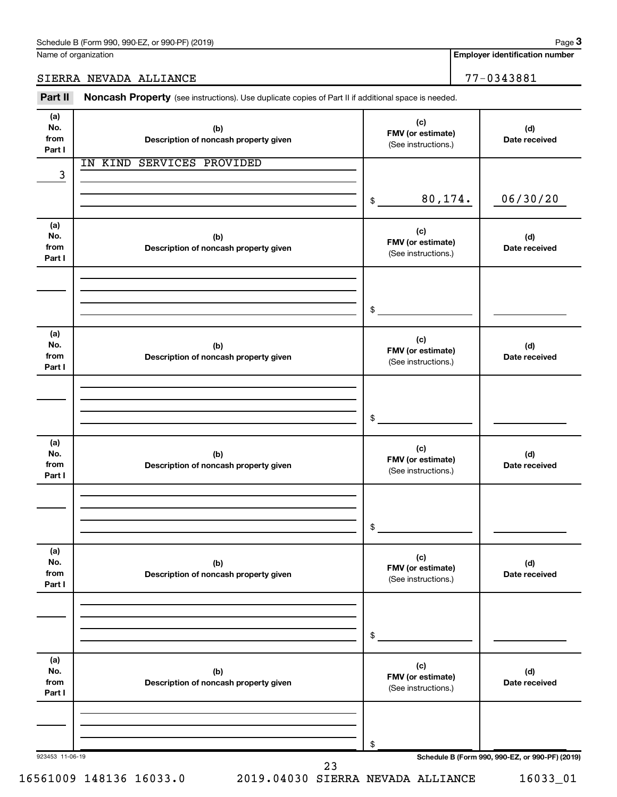Name of organization

**Employer identification number**

### SIERRA NEVADA ALLIANCE 77-0343881

Part II Noncash Property (see instructions). Use duplicate copies of Part II if additional space is needed.

| (a)<br>No.<br>from<br>Part I | (b)<br>Description of noncash property given | (c)<br>FMV (or estimate)<br>(See instructions.) | (d)<br>Date received                            |
|------------------------------|----------------------------------------------|-------------------------------------------------|-------------------------------------------------|
| 3                            | IN KIND SERVICES PROVIDED                    |                                                 |                                                 |
|                              |                                              | 80,174.<br>$\mathsf{\$}$                        | 06/30/20                                        |
| (a)<br>No.<br>from<br>Part I | (b)<br>Description of noncash property given | (c)<br>FMV (or estimate)<br>(See instructions.) | (d)<br>Date received                            |
|                              |                                              | \$                                              |                                                 |
| (a)<br>No.<br>from<br>Part I | (b)<br>Description of noncash property given | (c)<br>FMV (or estimate)<br>(See instructions.) | (d)<br>Date received                            |
|                              |                                              | $\mathfrak{S}$                                  |                                                 |
| (a)<br>No.<br>from<br>Part I | (b)<br>Description of noncash property given | (c)<br>FMV (or estimate)<br>(See instructions.) | (d)<br>Date received                            |
|                              |                                              | \$                                              |                                                 |
| (a)<br>No.<br>from<br>Part I | (b)<br>Description of noncash property given | (c)<br>FMV (or estimate)<br>(See instructions.) | (d)<br>Date received                            |
|                              |                                              | \$                                              |                                                 |
| (a)<br>No.<br>from<br>Part I | (b)<br>Description of noncash property given | (c)<br>FMV (or estimate)<br>(See instructions.) | (d)<br>Date received                            |
|                              |                                              | \$                                              |                                                 |
| 923453 11-06-19              | 23                                           |                                                 | Schedule B (Form 990, 990-EZ, or 990-PF) (2019) |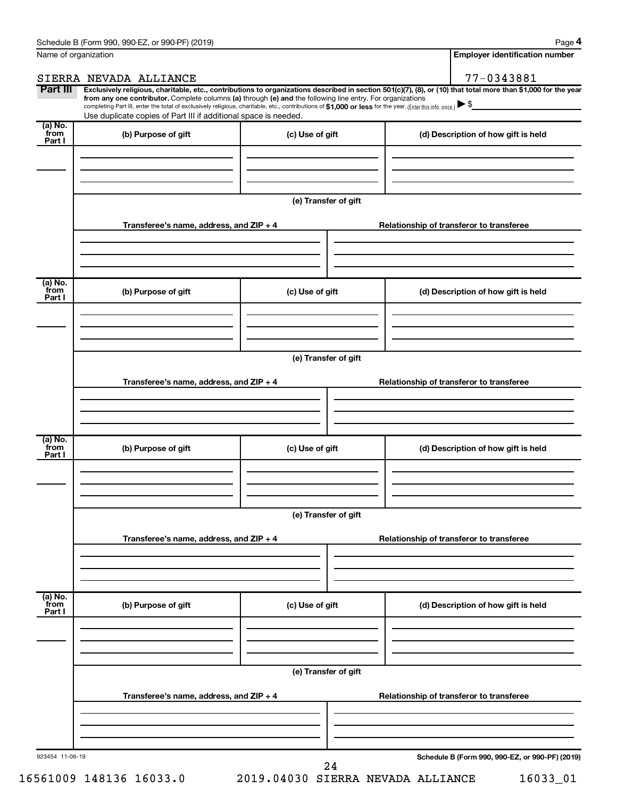**4**

| Name of organization                   |                                                                                                                                                                                                                                                                                                                                                                                                                                                                                                             |                      | <b>Employer identification number</b>           |  |
|----------------------------------------|-------------------------------------------------------------------------------------------------------------------------------------------------------------------------------------------------------------------------------------------------------------------------------------------------------------------------------------------------------------------------------------------------------------------------------------------------------------------------------------------------------------|----------------------|-------------------------------------------------|--|
|                                        | SIERRA NEVADA ALLIANCE                                                                                                                                                                                                                                                                                                                                                                                                                                                                                      |                      | 77-0343881                                      |  |
| Part III                               | Exclusively religious, charitable, etc., contributions to organizations described in section 501(c)(7), (8), or (10) that total more than \$1,000 for the year<br>from any one contributor. Complete columns (a) through (e) and the following line entry. For organizations<br>completing Part III, enter the total of exclusively religious, charitable, etc., contributions of \$1,000 or less for the year. (Enter this info. once.)<br>Use duplicate copies of Part III if additional space is needed. |                      |                                                 |  |
| (a) No.<br>from<br>Part I              | (b) Purpose of gift                                                                                                                                                                                                                                                                                                                                                                                                                                                                                         | (c) Use of gift      | (d) Description of how gift is held             |  |
|                                        |                                                                                                                                                                                                                                                                                                                                                                                                                                                                                                             |                      |                                                 |  |
|                                        |                                                                                                                                                                                                                                                                                                                                                                                                                                                                                                             | (e) Transfer of gift |                                                 |  |
|                                        | Transferee's name, address, and ZIP + 4                                                                                                                                                                                                                                                                                                                                                                                                                                                                     |                      | Relationship of transferor to transferee        |  |
| $\overline{a}$ ) No.<br>from<br>Part I | (b) Purpose of gift                                                                                                                                                                                                                                                                                                                                                                                                                                                                                         | (c) Use of gift      | (d) Description of how gift is held             |  |
|                                        |                                                                                                                                                                                                                                                                                                                                                                                                                                                                                                             |                      |                                                 |  |
|                                        |                                                                                                                                                                                                                                                                                                                                                                                                                                                                                                             | (e) Transfer of gift |                                                 |  |
|                                        | Transferee's name, address, and ZIP + 4                                                                                                                                                                                                                                                                                                                                                                                                                                                                     |                      | Relationship of transferor to transferee        |  |
| $\overline{a}$ ) No.<br>from<br>Part I | (b) Purpose of gift                                                                                                                                                                                                                                                                                                                                                                                                                                                                                         | (c) Use of gift      | (d) Description of how gift is held             |  |
|                                        |                                                                                                                                                                                                                                                                                                                                                                                                                                                                                                             |                      |                                                 |  |
|                                        | Transferee's name, address, and ZIP + 4                                                                                                                                                                                                                                                                                                                                                                                                                                                                     | (e) Transfer of gift | Relationship of transferor to transferee        |  |
|                                        |                                                                                                                                                                                                                                                                                                                                                                                                                                                                                                             |                      |                                                 |  |
| (a) No.<br>from<br>Part I              | (b) Purpose of gift                                                                                                                                                                                                                                                                                                                                                                                                                                                                                         | (c) Use of gift      | (d) Description of how gift is held             |  |
|                                        |                                                                                                                                                                                                                                                                                                                                                                                                                                                                                                             | (e) Transfer of gift |                                                 |  |
|                                        | Transferee's name, address, and ZIP + 4                                                                                                                                                                                                                                                                                                                                                                                                                                                                     |                      | Relationship of transferor to transferee        |  |
|                                        |                                                                                                                                                                                                                                                                                                                                                                                                                                                                                                             |                      |                                                 |  |
| 923454 11-06-19                        |                                                                                                                                                                                                                                                                                                                                                                                                                                                                                                             | 24                   | Schedule B (Form 990, 990-EZ, or 990-PF) (2019) |  |

16561009 148136 16033.0 2019.04030 SIERRA NEVADA ALLIANCE 16033\_01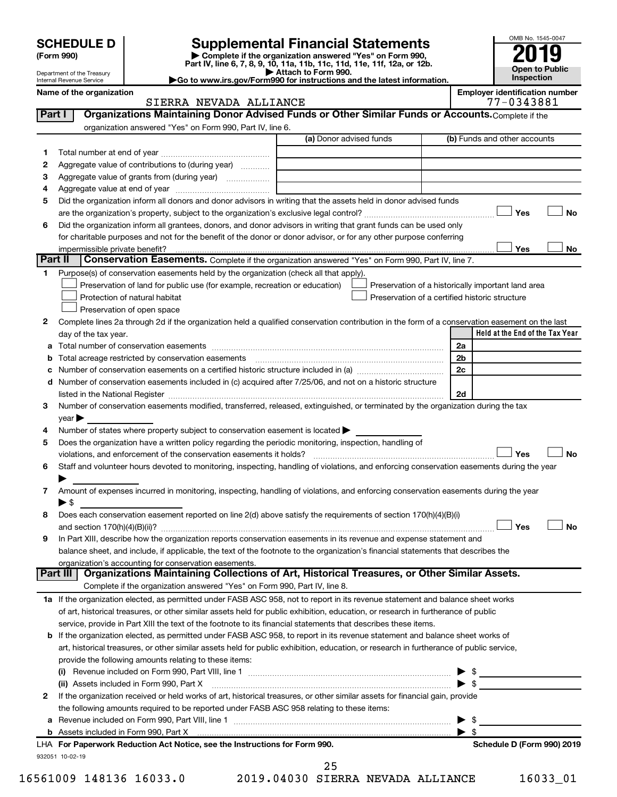# **SCHEDULE D Supplemental Financial Statements**<br> **Form 990 2019**<br> **Part IV** line 6.7.8.9.10, 11a, 11b, 11d, 11d, 11d, 11d, 11d, 12a, 0r, 12b

**(Form 990) | Complete if the organization answered "Yes" on Form 990, Part IV, line 6, 7, 8, 9, 10, 11a, 11b, 11c, 11d, 11e, 11f, 12a, or 12b.**

**| Attach to Form 990. |Go to www.irs.gov/Form990 for instructions and the latest information.**



Department of the Treasury Internal Revenue Service

**Name of the organization Employer identification number**

|          | SIERRA NEVADA ALLIANCE                                                                                                                         |                                                |                         | 77-0343881                                         |
|----------|------------------------------------------------------------------------------------------------------------------------------------------------|------------------------------------------------|-------------------------|----------------------------------------------------|
| Part I   | Organizations Maintaining Donor Advised Funds or Other Similar Funds or Accounts. Complete if the                                              |                                                |                         |                                                    |
|          | organization answered "Yes" on Form 990, Part IV, line 6.                                                                                      |                                                |                         |                                                    |
|          |                                                                                                                                                | (a) Donor advised funds                        |                         | (b) Funds and other accounts                       |
| 1        |                                                                                                                                                |                                                |                         |                                                    |
| 2        | Aggregate value of contributions to (during year)                                                                                              |                                                |                         |                                                    |
| З        |                                                                                                                                                |                                                |                         |                                                    |
| 4        |                                                                                                                                                |                                                |                         |                                                    |
| 5        | Did the organization inform all donors and donor advisors in writing that the assets held in donor advised funds                               |                                                |                         |                                                    |
|          |                                                                                                                                                |                                                |                         | Yes<br>No                                          |
| 6        | Did the organization inform all grantees, donors, and donor advisors in writing that grant funds can be used only                              |                                                |                         |                                                    |
|          | for charitable purposes and not for the benefit of the donor or donor advisor, or for any other purpose conferring                             |                                                |                         |                                                    |
|          |                                                                                                                                                |                                                |                         | Yes<br>No                                          |
| Part II  | Conservation Easements. Complete if the organization answered "Yes" on Form 990, Part IV, line 7.                                              |                                                |                         |                                                    |
| 1        | Purpose(s) of conservation easements held by the organization (check all that apply).                                                          |                                                |                         |                                                    |
|          |                                                                                                                                                |                                                |                         |                                                    |
|          | Preservation of land for public use (for example, recreation or education)<br>Protection of natural habitat                                    |                                                |                         | Preservation of a historically important land area |
|          |                                                                                                                                                | Preservation of a certified historic structure |                         |                                                    |
|          | Preservation of open space                                                                                                                     |                                                |                         |                                                    |
| 2        | Complete lines 2a through 2d if the organization held a qualified conservation contribution in the form of a conservation easement on the last |                                                |                         |                                                    |
|          | day of the tax year.                                                                                                                           |                                                |                         | Held at the End of the Tax Year                    |
| а        |                                                                                                                                                |                                                | 2a                      |                                                    |
| b        |                                                                                                                                                |                                                | 2b                      |                                                    |
| с        |                                                                                                                                                |                                                | 2c                      |                                                    |
|          | d Number of conservation easements included in (c) acquired after 7/25/06, and not on a historic structure                                     |                                                |                         |                                                    |
|          | listed in the National Register [111] [12] The Mational Register [11] Matter Mathematical Register [11] Matter                                 |                                                | 2d                      |                                                    |
| З        | Number of conservation easements modified, transferred, released, extinguished, or terminated by the organization during the tax               |                                                |                         |                                                    |
|          | year                                                                                                                                           |                                                |                         |                                                    |
| 4        | Number of states where property subject to conservation easement is located >                                                                  |                                                |                         |                                                    |
| 5        | Does the organization have a written policy regarding the periodic monitoring, inspection, handling of                                         |                                                |                         |                                                    |
|          | violations, and enforcement of the conservation easements it holds?                                                                            |                                                |                         | <b>No</b><br>Yes                                   |
| 6        | Staff and volunteer hours devoted to monitoring, inspecting, handling of violations, and enforcing conservation easements during the year      |                                                |                         |                                                    |
|          |                                                                                                                                                |                                                |                         |                                                    |
| 7        | Amount of expenses incurred in monitoring, inspecting, handling of violations, and enforcing conservation easements during the year            |                                                |                         |                                                    |
|          | $\blacktriangleright$ \$                                                                                                                       |                                                |                         |                                                    |
| 8        | Does each conservation easement reported on line 2(d) above satisfy the requirements of section 170(h)(4)(B)(i)                                |                                                |                         |                                                    |
|          |                                                                                                                                                |                                                |                         | Yes<br>No                                          |
| 9        | In Part XIII, describe how the organization reports conservation easements in its revenue and expense statement and                            |                                                |                         |                                                    |
|          | balance sheet, and include, if applicable, the text of the footnote to the organization's financial statements that describes the              |                                                |                         |                                                    |
|          | organization's accounting for conservation easements.                                                                                          |                                                |                         |                                                    |
| Part III | Organizations Maintaining Collections of Art, Historical Treasures, or Other Similar Assets.                                                   |                                                |                         |                                                    |
|          | Complete if the organization answered "Yes" on Form 990, Part IV, line 8.                                                                      |                                                |                         |                                                    |
|          | 1a If the organization elected, as permitted under FASB ASC 958, not to report in its revenue statement and balance sheet works                |                                                |                         |                                                    |
|          | of art, historical treasures, or other similar assets held for public exhibition, education, or research in furtherance of public              |                                                |                         |                                                    |
|          | service, provide in Part XIII the text of the footnote to its financial statements that describes these items.                                 |                                                |                         |                                                    |
|          | b If the organization elected, as permitted under FASB ASC 958, to report in its revenue statement and balance sheet works of                  |                                                |                         |                                                    |
|          | art, historical treasures, or other similar assets held for public exhibition, education, or research in furtherance of public service,        |                                                |                         |                                                    |
|          | provide the following amounts relating to these items:                                                                                         |                                                |                         |                                                    |
|          |                                                                                                                                                |                                                |                         | $\frac{1}{2}$                                      |
|          | (ii) Assets included in Form 990, Part X                                                                                                       |                                                |                         | $\blacktriangleright$ \$                           |
| 2        | If the organization received or held works of art, historical treasures, or other similar assets for financial gain, provide                   |                                                |                         |                                                    |
|          | the following amounts required to be reported under FASB ASC 958 relating to these items:                                                      |                                                |                         |                                                    |
| а        |                                                                                                                                                |                                                |                         | \$                                                 |
|          |                                                                                                                                                |                                                | $\blacktriangleright$ s |                                                    |
|          | LHA For Paperwork Reduction Act Notice, see the Instructions for Form 990.                                                                     |                                                |                         | Schedule D (Form 990) 2019                         |

| LHA For Paperwork Reduction Act Notice, see the Instructions for Form 9 |
|-------------------------------------------------------------------------|
| 932051 10-02-19                                                         |

25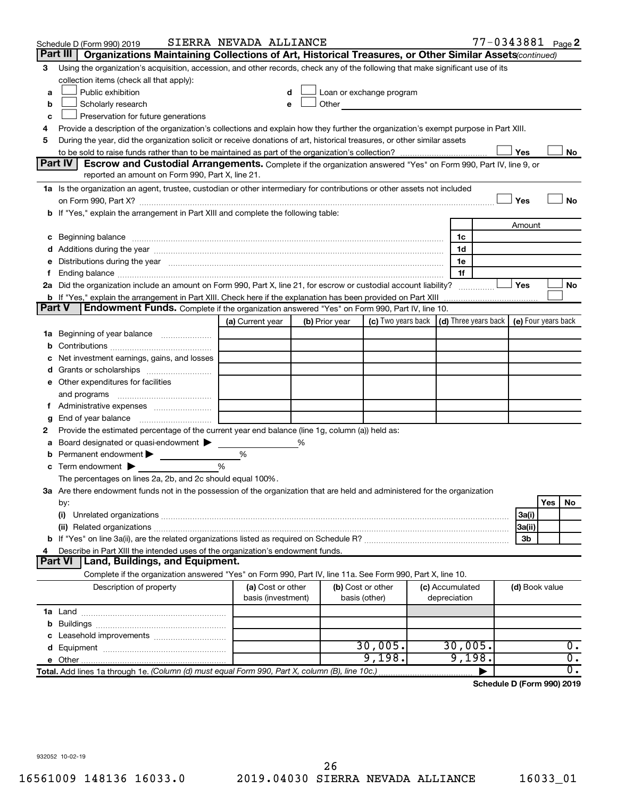|               | Schedule D (Form 990) 2019                                                                                                                                                                                                     | SIERRA NEVADA ALLIANCE                  |   |                |                                                                                                                                                                                                                               |                                 |   |                | 77-0343881 Page 2   |
|---------------|--------------------------------------------------------------------------------------------------------------------------------------------------------------------------------------------------------------------------------|-----------------------------------------|---|----------------|-------------------------------------------------------------------------------------------------------------------------------------------------------------------------------------------------------------------------------|---------------------------------|---|----------------|---------------------|
|               | Organizations Maintaining Collections of Art, Historical Treasures, or Other Similar Assets (continued)<br>Part III                                                                                                            |                                         |   |                |                                                                                                                                                                                                                               |                                 |   |                |                     |
| 3             | Using the organization's acquisition, accession, and other records, check any of the following that make significant use of its                                                                                                |                                         |   |                |                                                                                                                                                                                                                               |                                 |   |                |                     |
|               | collection items (check all that apply):                                                                                                                                                                                       |                                         |   |                |                                                                                                                                                                                                                               |                                 |   |                |                     |
| a             | Public exhibition                                                                                                                                                                                                              |                                         |   |                | Loan or exchange program                                                                                                                                                                                                      |                                 |   |                |                     |
| b             | Scholarly research                                                                                                                                                                                                             |                                         |   |                | Other and the contract of the contract of the contract of the contract of the contract of the contract of the contract of the contract of the contract of the contract of the contract of the contract of the contract of the |                                 |   |                |                     |
| c             | Preservation for future generations                                                                                                                                                                                            |                                         |   |                |                                                                                                                                                                                                                               |                                 |   |                |                     |
| 4             | Provide a description of the organization's collections and explain how they further the organization's exempt purpose in Part XIII.                                                                                           |                                         |   |                |                                                                                                                                                                                                                               |                                 |   |                |                     |
| 5             | During the year, did the organization solicit or receive donations of art, historical treasures, or other similar assets                                                                                                       |                                         |   |                |                                                                                                                                                                                                                               |                                 |   | Yes            |                     |
|               | Part IV I<br><b>Escrow and Custodial Arrangements.</b> Complete if the organization answered "Yes" on Form 990, Part IV, line 9, or                                                                                            |                                         |   |                |                                                                                                                                                                                                                               |                                 |   |                | No                  |
|               | reported an amount on Form 990, Part X, line 21.                                                                                                                                                                               |                                         |   |                |                                                                                                                                                                                                                               |                                 |   |                |                     |
|               | 1a Is the organization an agent, trustee, custodian or other intermediary for contributions or other assets not included                                                                                                       |                                         |   |                |                                                                                                                                                                                                                               |                                 |   |                |                     |
|               |                                                                                                                                                                                                                                |                                         |   |                |                                                                                                                                                                                                                               |                                 |   | Yes            | No                  |
|               | b If "Yes," explain the arrangement in Part XIII and complete the following table:                                                                                                                                             |                                         |   |                |                                                                                                                                                                                                                               |                                 |   |                |                     |
|               |                                                                                                                                                                                                                                |                                         |   |                |                                                                                                                                                                                                                               |                                 |   | Amount         |                     |
|               | c Beginning balance measurements and the contract of the contract of the contract of the contract of the contract of the contract of the contract of the contract of the contract of the contract of the contract of the contr |                                         |   |                |                                                                                                                                                                                                                               | 1c                              |   |                |                     |
|               |                                                                                                                                                                                                                                |                                         |   |                |                                                                                                                                                                                                                               | 1d                              |   |                |                     |
| е             | Distributions during the year manufactured and an account of the year manufactured and the year manufactured and the year manufactured and the year manufactured and the year manufactured and the year manufactured and the y |                                         |   |                |                                                                                                                                                                                                                               | 1e                              |   |                |                     |
| f.            | Ending balance manufacture contract contract and contract contract contract contract contract contract contract contract contract contract contract contract contract contract contract contract contract contract contract co |                                         |   |                |                                                                                                                                                                                                                               | 1f                              |   |                |                     |
|               | 2a Did the organization include an amount on Form 990, Part X, line 21, for escrow or custodial account liability?                                                                                                             |                                         |   |                |                                                                                                                                                                                                                               |                                 | . | Yes            | No                  |
|               | <b>b</b> If "Yes," explain the arrangement in Part XIII. Check here if the explanation has been provided on Part XIII                                                                                                          |                                         |   |                |                                                                                                                                                                                                                               |                                 |   |                |                     |
| <b>Part V</b> | <b>Endowment Funds.</b> Complete if the organization answered "Yes" on Form 990, Part IV, line 10.                                                                                                                             |                                         |   |                |                                                                                                                                                                                                                               |                                 |   |                |                     |
|               |                                                                                                                                                                                                                                | (a) Current year                        |   | (b) Prior year | (c) Two years back $\vert$ (d) Three years back $\vert$                                                                                                                                                                       |                                 |   |                | (e) Four years back |
|               | 1a Beginning of year balance                                                                                                                                                                                                   |                                         |   |                |                                                                                                                                                                                                                               |                                 |   |                |                     |
| b             |                                                                                                                                                                                                                                |                                         |   |                |                                                                                                                                                                                                                               |                                 |   |                |                     |
| c             | Net investment earnings, gains, and losses                                                                                                                                                                                     |                                         |   |                |                                                                                                                                                                                                                               |                                 |   |                |                     |
| d             | Grants or scholarships                                                                                                                                                                                                         |                                         |   |                |                                                                                                                                                                                                                               |                                 |   |                |                     |
|               | e Other expenditures for facilities                                                                                                                                                                                            |                                         |   |                |                                                                                                                                                                                                                               |                                 |   |                |                     |
|               | and programs                                                                                                                                                                                                                   |                                         |   |                |                                                                                                                                                                                                                               |                                 |   |                |                     |
| t.            | Administrative expenses                                                                                                                                                                                                        |                                         |   |                |                                                                                                                                                                                                                               |                                 |   |                |                     |
| g<br>2        | Provide the estimated percentage of the current year end balance (line 1g, column (a)) held as:                                                                                                                                |                                         |   |                |                                                                                                                                                                                                                               |                                 |   |                |                     |
| а             | Board designated or quasi-endowment                                                                                                                                                                                            |                                         | % |                |                                                                                                                                                                                                                               |                                 |   |                |                     |
| b             | Permanent endowment                                                                                                                                                                                                            | %                                       |   |                |                                                                                                                                                                                                                               |                                 |   |                |                     |
| с             | Term endowment $\blacktriangleright$                                                                                                                                                                                           | %                                       |   |                |                                                                                                                                                                                                                               |                                 |   |                |                     |
|               | The percentages on lines 2a, 2b, and 2c should equal 100%.                                                                                                                                                                     |                                         |   |                |                                                                                                                                                                                                                               |                                 |   |                |                     |
|               | 3a Are there endowment funds not in the possession of the organization that are held and administered for the organization                                                                                                     |                                         |   |                |                                                                                                                                                                                                                               |                                 |   |                |                     |
|               | by:                                                                                                                                                                                                                            |                                         |   |                |                                                                                                                                                                                                                               |                                 |   |                | Yes<br>No.          |
|               | (i)                                                                                                                                                                                                                            |                                         |   |                |                                                                                                                                                                                                                               |                                 |   | 3a(i)          |                     |
|               |                                                                                                                                                                                                                                |                                         |   |                |                                                                                                                                                                                                                               |                                 |   | 3a(ii)         |                     |
|               |                                                                                                                                                                                                                                |                                         |   |                |                                                                                                                                                                                                                               |                                 |   | 3b             |                     |
| 4             | Describe in Part XIII the intended uses of the organization's endowment funds.                                                                                                                                                 |                                         |   |                |                                                                                                                                                                                                                               |                                 |   |                |                     |
|               | <b>Part VI</b><br>  Land, Buildings, and Equipment.                                                                                                                                                                            |                                         |   |                |                                                                                                                                                                                                                               |                                 |   |                |                     |
|               | Complete if the organization answered "Yes" on Form 990, Part IV, line 11a. See Form 990, Part X, line 10.                                                                                                                     |                                         |   |                |                                                                                                                                                                                                                               |                                 |   |                |                     |
|               | Description of property                                                                                                                                                                                                        | (a) Cost or other<br>basis (investment) |   | basis (other)  | (b) Cost or other                                                                                                                                                                                                             | (c) Accumulated<br>depreciation |   | (d) Book value |                     |
|               |                                                                                                                                                                                                                                |                                         |   |                |                                                                                                                                                                                                                               |                                 |   |                |                     |
| b             |                                                                                                                                                                                                                                |                                         |   |                |                                                                                                                                                                                                                               |                                 |   |                |                     |
| с             | Leasehold improvements                                                                                                                                                                                                         |                                         |   |                |                                                                                                                                                                                                                               |                                 |   |                |                     |
|               |                                                                                                                                                                                                                                |                                         |   |                | 30,005.                                                                                                                                                                                                                       | $30,005$ .                      |   |                | 0.                  |
|               |                                                                                                                                                                                                                                |                                         |   |                | 9,198.                                                                                                                                                                                                                        | 9,198.                          |   |                | $\overline{0}$ .    |
|               | Total. Add lines 1a through 1e. (Column (d) must equal Form 990, Part X, column (B), line 10c.)                                                                                                                                |                                         |   |                |                                                                                                                                                                                                                               |                                 |   |                | σ.                  |

**Schedule D (Form 990) 2019**

932052 10-02-19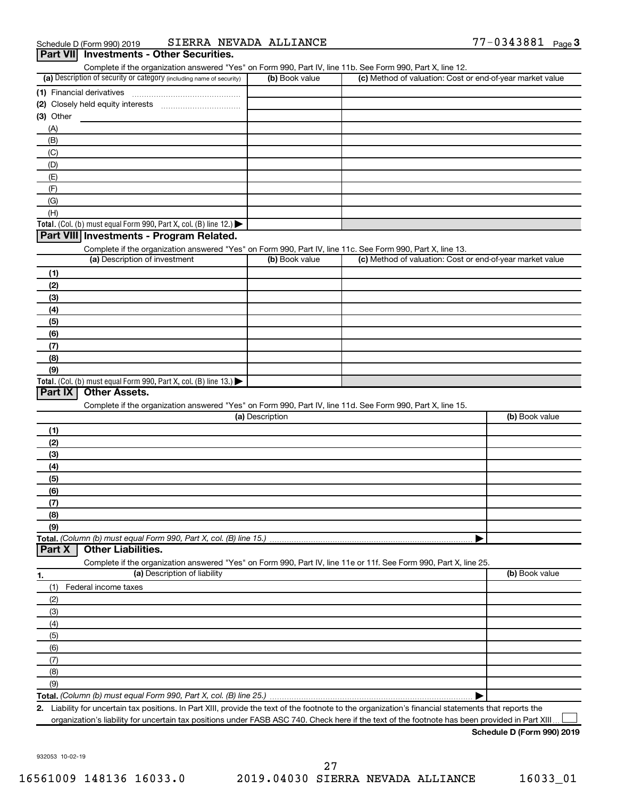| (a) Description of security or category (including name of security)                                              |                 | Complete if the organization answered "Yes" on Form 990, Part IV, line 11b. See Form 990, Part X, line 12. |                |
|-------------------------------------------------------------------------------------------------------------------|-----------------|------------------------------------------------------------------------------------------------------------|----------------|
|                                                                                                                   | (b) Book value  | (c) Method of valuation: Cost or end-of-year market value                                                  |                |
|                                                                                                                   |                 |                                                                                                            |                |
|                                                                                                                   |                 |                                                                                                            |                |
| (3) Other                                                                                                         |                 |                                                                                                            |                |
| (A)                                                                                                               |                 |                                                                                                            |                |
| (B)                                                                                                               |                 |                                                                                                            |                |
| (C)                                                                                                               |                 |                                                                                                            |                |
| (D)                                                                                                               |                 |                                                                                                            |                |
| (E)                                                                                                               |                 |                                                                                                            |                |
| (F)                                                                                                               |                 |                                                                                                            |                |
| (G)                                                                                                               |                 |                                                                                                            |                |
| (H)                                                                                                               |                 |                                                                                                            |                |
| Total. (Col. (b) must equal Form 990, Part X, col. (B) line 12.)                                                  |                 |                                                                                                            |                |
| Part VIII Investments - Program Related.                                                                          |                 |                                                                                                            |                |
| Complete if the organization answered "Yes" on Form 990, Part IV, line 11c. See Form 990, Part X, line 13.        |                 |                                                                                                            |                |
| (a) Description of investment                                                                                     | (b) Book value  | (c) Method of valuation: Cost or end-of-year market value                                                  |                |
| (1)                                                                                                               |                 |                                                                                                            |                |
| (2)                                                                                                               |                 |                                                                                                            |                |
| (3)                                                                                                               |                 |                                                                                                            |                |
| (4)                                                                                                               |                 |                                                                                                            |                |
|                                                                                                                   |                 |                                                                                                            |                |
| (5)                                                                                                               |                 |                                                                                                            |                |
| (6)                                                                                                               |                 |                                                                                                            |                |
| (7)                                                                                                               |                 |                                                                                                            |                |
| (8)                                                                                                               |                 |                                                                                                            |                |
| (9)                                                                                                               |                 |                                                                                                            |                |
| Total. (Col. (b) must equal Form 990, Part X, col. (B) line 13.) $\blacktriangleright$                            |                 |                                                                                                            |                |
| Part IX<br><b>Other Assets.</b>                                                                                   |                 |                                                                                                            |                |
| Complete if the organization answered "Yes" on Form 990, Part IV, line 11d. See Form 990, Part X, line 15.        |                 |                                                                                                            |                |
|                                                                                                                   | (a) Description |                                                                                                            | (b) Book value |
| (1)                                                                                                               |                 |                                                                                                            |                |
| (2)                                                                                                               |                 |                                                                                                            |                |
| (3)                                                                                                               |                 |                                                                                                            |                |
| (4)                                                                                                               |                 |                                                                                                            |                |
|                                                                                                                   |                 |                                                                                                            |                |
| (5)                                                                                                               |                 |                                                                                                            |                |
|                                                                                                                   |                 |                                                                                                            |                |
| (6)                                                                                                               |                 |                                                                                                            |                |
| (7)                                                                                                               |                 |                                                                                                            |                |
| (8)                                                                                                               |                 |                                                                                                            |                |
| (9)                                                                                                               |                 |                                                                                                            |                |
|                                                                                                                   |                 |                                                                                                            |                |
| Total. (Column (b) must equal Form 990, Part X, col. (B) line 15.)<br><b>Other Liabilities.</b><br>Part X         |                 |                                                                                                            |                |
| Complete if the organization answered "Yes" on Form 990, Part IV, line 11e or 11f. See Form 990, Part X, line 25. |                 |                                                                                                            |                |
| (a) Description of liability                                                                                      |                 |                                                                                                            | (b) Book value |
| Federal income taxes<br>(1)                                                                                       |                 |                                                                                                            |                |
| (2)                                                                                                               |                 |                                                                                                            |                |
| (3)                                                                                                               |                 |                                                                                                            |                |
| (4)                                                                                                               |                 |                                                                                                            |                |
| (5)                                                                                                               |                 |                                                                                                            |                |
| (6)                                                                                                               |                 |                                                                                                            |                |
| (7)                                                                                                               |                 |                                                                                                            |                |
| 1.<br>(8)                                                                                                         |                 |                                                                                                            |                |
| (9)                                                                                                               |                 |                                                                                                            |                |

**2.** Liability for uncertain tax positions. In Part XIII, provide the text of the footnote to the organization's financial statements that reports the organization's liability for uncertain tax positions under FASB ASC 740. Check here if the text of the footnote has been provided in Part XIII  $\perp$ 

#### **Schedule D (Form 990) 2019**

932053 10-02-19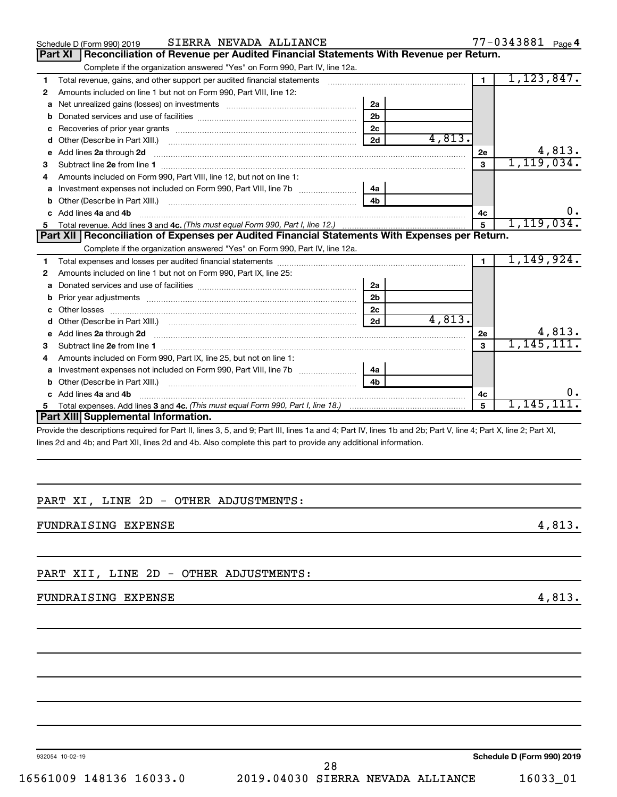| SIERRA NEVADA ALLIANCE<br>Schedule D (Form 990) 2019                                                                                                                                                                                     |                |        |                | 77-0343881 Page 4 |
|------------------------------------------------------------------------------------------------------------------------------------------------------------------------------------------------------------------------------------------|----------------|--------|----------------|-------------------|
| Reconciliation of Revenue per Audited Financial Statements With Revenue per Return.<br><b>Part XI</b>                                                                                                                                    |                |        |                |                   |
| Complete if the organization answered "Yes" on Form 990, Part IV, line 12a.                                                                                                                                                              |                |        |                |                   |
| Total revenue, gains, and other support per audited financial statements<br>1                                                                                                                                                            |                |        | $\overline{1}$ | 1, 123, 847.      |
| Amounts included on line 1 but not on Form 990, Part VIII, line 12:<br>2                                                                                                                                                                 |                |        |                |                   |
| a                                                                                                                                                                                                                                        | 2a             |        |                |                   |
| b                                                                                                                                                                                                                                        | 2 <sub>b</sub> |        |                |                   |
| c                                                                                                                                                                                                                                        | 2 <sub>c</sub> |        |                |                   |
| d                                                                                                                                                                                                                                        | 2d             | 4,813. |                |                   |
| Add lines 2a through 2d <b>continuum continuum contract and continuum contract a</b> through 2d continuum contract and continuum contract a term of the contract and contract a term of the contract and contract a term of the con<br>е |                |        | 2e             | 4,813.            |
| З                                                                                                                                                                                                                                        |                |        | 3              | 1, 119, 034.      |
| Amounts included on Form 990. Part VIII. line 12, but not on line 1:<br>4                                                                                                                                                                |                |        |                |                   |
|                                                                                                                                                                                                                                          | - 4a           |        |                |                   |
| b                                                                                                                                                                                                                                        | 4 <sub>h</sub> |        |                |                   |
| Add lines 4a and 4b<br>c.                                                                                                                                                                                                                |                |        | 4c             |                   |
|                                                                                                                                                                                                                                          |                |        | $\overline{5}$ | 1, 119, 034.      |
| Part XII   Reconciliation of Expenses per Audited Financial Statements With Expenses per Return.                                                                                                                                         |                |        |                |                   |
| Complete if the organization answered "Yes" on Form 990, Part IV, line 12a.                                                                                                                                                              |                |        |                |                   |
| 1                                                                                                                                                                                                                                        |                |        | $\blacksquare$ | 1,149,924.        |
| Amounts included on line 1 but not on Form 990, Part IX, line 25:<br>2                                                                                                                                                                   |                |        |                |                   |
| a                                                                                                                                                                                                                                        |                |        |                |                   |
|                                                                                                                                                                                                                                          | 2a             |        |                |                   |
| b                                                                                                                                                                                                                                        | 2 <sub>b</sub> |        |                |                   |
| Other losses<br>c                                                                                                                                                                                                                        | 2c             |        |                |                   |
| d                                                                                                                                                                                                                                        | 2d             | 4,813. |                |                   |
| Add lines 2a through 2d <b>contained a contained a contained a contained a</b> contained a contact the contact of the contact of the contact of the contact of the contact of the contact of the contact of the contact of the cont<br>e |                |        | <b>2e</b>      | 4,813.            |
| Subtract line 2e from line 1 <b>manufacture in the contract of the 2e</b> from line 1<br>З                                                                                                                                               |                |        | 3              | 1, 145, 111.      |
| Amounts included on Form 990, Part IX, line 25, but not on line 1:                                                                                                                                                                       |                |        |                |                   |
| Investment expenses not included on Form 990, Part VIII, line 7b<br>a                                                                                                                                                                    | 4a             |        |                |                   |
| b                                                                                                                                                                                                                                        | 4 <sub>b</sub> |        |                |                   |
| Add lines 4a and 4b<br>c.                                                                                                                                                                                                                |                |        | 4c             | υ.                |
| 5<br>Part XIII Supplemental Information.                                                                                                                                                                                                 |                |        | 5              | 1,145,111.        |

Provide the descriptions required for Part II, lines 3, 5, and 9; Part III, lines 1a and 4; Part IV, lines 1b and 2b; Part V, line 4; Part X, line 2; Part XI, lines 2d and 4b; and Part XII, lines 2d and 4b. Also complete this part to provide any additional information.

### PART XI, LINE 2D - OTHER ADJUSTMENTS:

FUNDRAISING EXPENSE 4,813.

PART XII, LINE 2D - OTHER ADJUSTMENTS:

### FUNDRAISING EXPENSE 4,813.

932054 10-02-19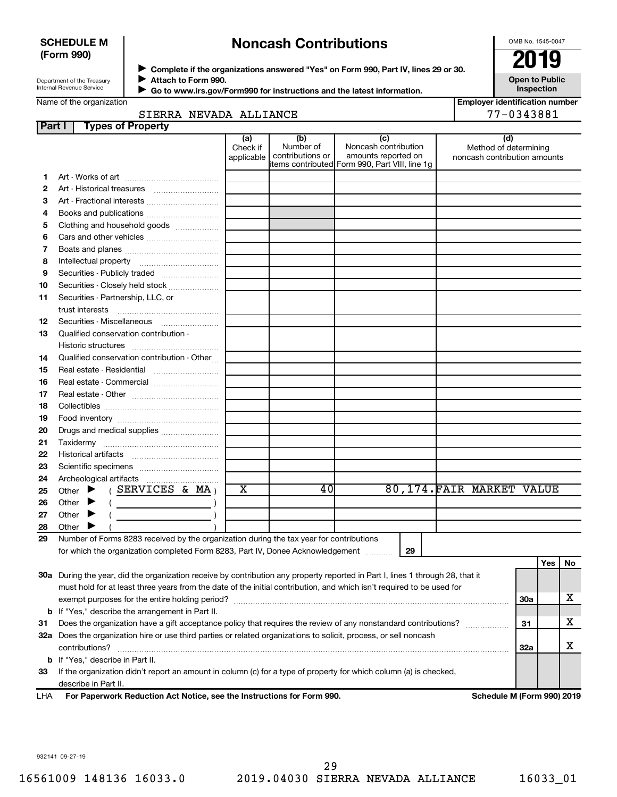#### **SCHEDULE M (Form 990)**

## **Noncash Contributions**

OMB No. 1545-0047

| Department of the Treasury      |  |
|---------------------------------|--|
| <b>Internal Revenue Service</b> |  |

◆ Complete if the organizations answered "Yes" on Form 990, Part IV, lines 29 or 30.<br>▶ Complete if the organizations answered "Yes" on Form 990, Part IV, lines 29 or 30. **Attach to Form 990.**  $\blacktriangleright$ 

 **Go to www.irs.gov/Form990 for instructions and the latest information.** J

**Inspection Employer identification number**

**Open to Public**

| Name of the organization |  |
|--------------------------|--|
|--------------------------|--|

SIERRA NEVADA ALLIANCE 77-0343881

| Part I   | <b>Types of Property</b>                                                                                                       |                               |                                      |                                                                                                       |    |                                                              |     |     |    |
|----------|--------------------------------------------------------------------------------------------------------------------------------|-------------------------------|--------------------------------------|-------------------------------------------------------------------------------------------------------|----|--------------------------------------------------------------|-----|-----|----|
|          |                                                                                                                                | (a)<br>Check if<br>applicable | (b)<br>Number of<br>contributions or | (c)<br>Noncash contribution<br>amounts reported on<br>litems contributed Form 990, Part VIII, line 1g |    | (d)<br>Method of determining<br>noncash contribution amounts |     |     |    |
|          |                                                                                                                                |                               |                                      |                                                                                                       |    |                                                              |     |     |    |
| 1        |                                                                                                                                |                               |                                      |                                                                                                       |    |                                                              |     |     |    |
| 2        |                                                                                                                                |                               |                                      |                                                                                                       |    |                                                              |     |     |    |
| З        | Art - Fractional interests                                                                                                     |                               |                                      |                                                                                                       |    |                                                              |     |     |    |
| 4        |                                                                                                                                |                               |                                      |                                                                                                       |    |                                                              |     |     |    |
| 5        | Clothing and household goods                                                                                                   |                               |                                      |                                                                                                       |    |                                                              |     |     |    |
| 6        |                                                                                                                                |                               |                                      |                                                                                                       |    |                                                              |     |     |    |
| 7        |                                                                                                                                |                               |                                      |                                                                                                       |    |                                                              |     |     |    |
| 8        |                                                                                                                                |                               |                                      |                                                                                                       |    |                                                              |     |     |    |
| 9        | Securities - Publicly traded                                                                                                   |                               |                                      |                                                                                                       |    |                                                              |     |     |    |
| 10       | Securities - Closely held stock                                                                                                |                               |                                      |                                                                                                       |    |                                                              |     |     |    |
| 11       | Securities - Partnership, LLC, or                                                                                              |                               |                                      |                                                                                                       |    |                                                              |     |     |    |
|          | trust interests                                                                                                                |                               |                                      |                                                                                                       |    |                                                              |     |     |    |
| 12       | Securities - Miscellaneous                                                                                                     |                               |                                      |                                                                                                       |    |                                                              |     |     |    |
| 13       | Qualified conservation contribution -                                                                                          |                               |                                      |                                                                                                       |    |                                                              |     |     |    |
|          |                                                                                                                                |                               |                                      |                                                                                                       |    |                                                              |     |     |    |
| 14       | Qualified conservation contribution - Other                                                                                    |                               |                                      |                                                                                                       |    |                                                              |     |     |    |
| 15       | Real estate - Residential                                                                                                      |                               |                                      |                                                                                                       |    |                                                              |     |     |    |
| 16       | Real estate - Commercial                                                                                                       |                               |                                      |                                                                                                       |    |                                                              |     |     |    |
| 17       |                                                                                                                                |                               |                                      |                                                                                                       |    |                                                              |     |     |    |
| 18       |                                                                                                                                |                               |                                      |                                                                                                       |    |                                                              |     |     |    |
| 19       |                                                                                                                                |                               |                                      |                                                                                                       |    |                                                              |     |     |    |
| 20       | Drugs and medical supplies                                                                                                     |                               |                                      |                                                                                                       |    |                                                              |     |     |    |
| 21       |                                                                                                                                |                               |                                      |                                                                                                       |    |                                                              |     |     |    |
| 22       |                                                                                                                                |                               |                                      |                                                                                                       |    |                                                              |     |     |    |
| 23       |                                                                                                                                |                               |                                      |                                                                                                       |    |                                                              |     |     |    |
| 24       |                                                                                                                                |                               |                                      |                                                                                                       |    |                                                              |     |     |    |
| 25       | $($ SERVICES & MA $($<br>Other $\blacktriangleright$                                                                           | х                             | 40                                   |                                                                                                       |    | 80,174. FAIR MARKET VALUE                                    |     |     |    |
| 26       | Other<br>▶                                                                                                                     |                               |                                      |                                                                                                       |    |                                                              |     |     |    |
| 27       |                                                                                                                                |                               |                                      |                                                                                                       |    |                                                              |     |     |    |
|          | Other                                                                                                                          |                               |                                      |                                                                                                       |    |                                                              |     |     |    |
| 28<br>29 | Other                                                                                                                          |                               |                                      |                                                                                                       |    |                                                              |     |     |    |
|          | Number of Forms 8283 received by the organization during the tax year for contributions                                        |                               |                                      |                                                                                                       | 29 |                                                              |     |     |    |
|          | for which the organization completed Form 8283, Part IV, Donee Acknowledgement                                                 |                               |                                      |                                                                                                       |    |                                                              |     |     |    |
|          |                                                                                                                                |                               |                                      |                                                                                                       |    |                                                              |     | Yes | No |
|          | 30a During the year, did the organization receive by contribution any property reported in Part I, lines 1 through 28, that it |                               |                                      |                                                                                                       |    |                                                              |     |     |    |
|          | must hold for at least three years from the date of the initial contribution, and which isn't required to be used for          |                               |                                      |                                                                                                       |    |                                                              |     |     | x. |
|          |                                                                                                                                |                               |                                      |                                                                                                       |    |                                                              | 30a |     |    |
|          | <b>b</b> If "Yes," describe the arrangement in Part II.                                                                        |                               |                                      |                                                                                                       |    |                                                              |     |     |    |
| 31       | Does the organization have a gift acceptance policy that requires the review of any nonstandard contributions?                 |                               |                                      |                                                                                                       |    |                                                              | 31  |     | x  |
|          | 32a Does the organization hire or use third parties or related organizations to solicit, process, or sell noncash              |                               |                                      |                                                                                                       |    |                                                              |     |     |    |
|          | contributions?                                                                                                                 |                               |                                      |                                                                                                       |    |                                                              | 32a |     | x  |
|          | <b>b</b> If "Yes," describe in Part II.                                                                                        |                               |                                      |                                                                                                       |    |                                                              |     |     |    |
| 33       | If the organization didn't report an amount in column (c) for a type of property for which column (a) is checked,              |                               |                                      |                                                                                                       |    |                                                              |     |     |    |
|          | describe in Part II.                                                                                                           |                               |                                      |                                                                                                       |    |                                                              |     |     |    |
| LHA      | For Paperwork Reduction Act Notice, see the Instructions for Form 990.                                                         |                               |                                      |                                                                                                       |    | Schedule M (Form 990) 2019                                   |     |     |    |

**For Paperwork Reduction Act Notice, see the Instructions for Form 990. Schedule M (Form 990) 2019**

932141 09-27-19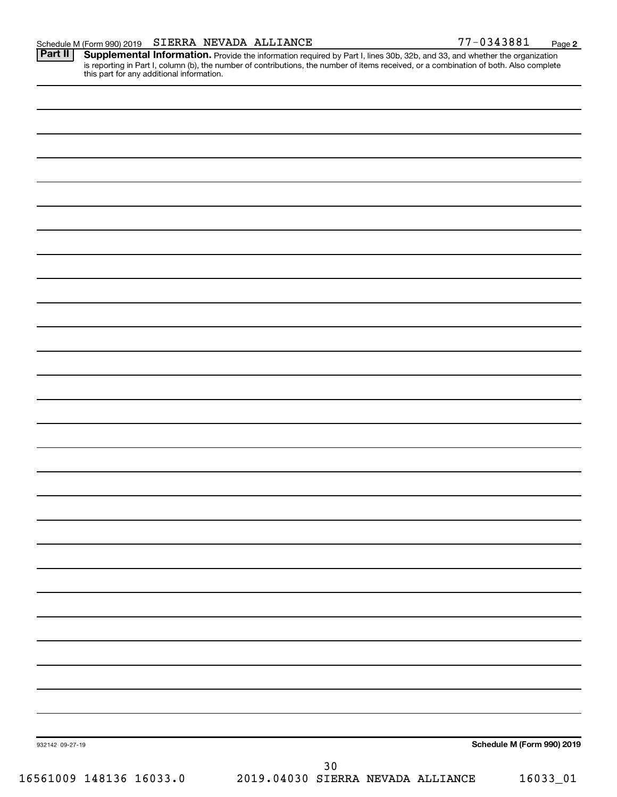Part II | Supplemental Information. Provide the information required by Part I, lines 30b, 32b, and 33, and whether the organization is reporting in Part I, column (b), the number of contributions, the number of items received, or a combination of both. Also complete this part for any additional information.

932142 09-27-19 **Schedule M (Form 990) 2019** 16561009 148136 16033.0 2019.04030 SIERRA NEVADA ALLIANCE 16033\_01 30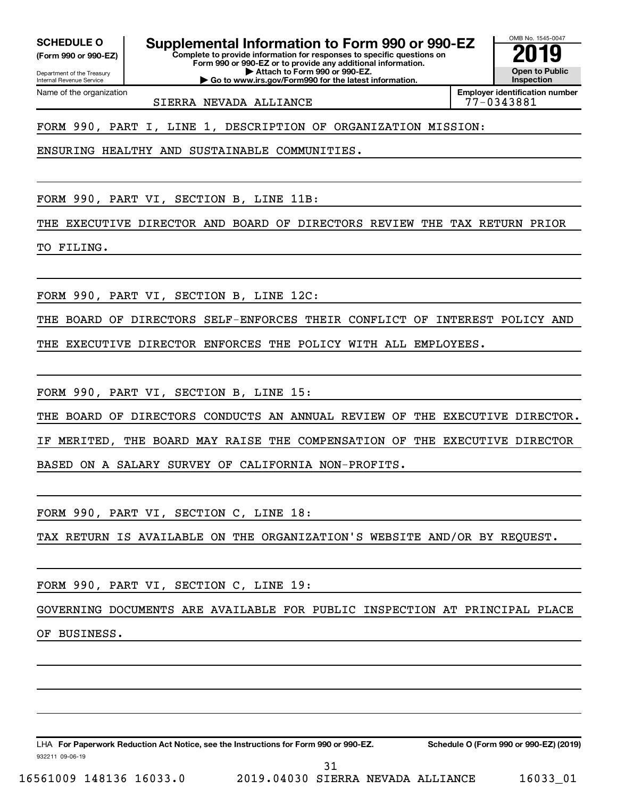**(Form 990 or 990-EZ)**

**Complete to provide information for responses to specific questions on SCHEDULE O Supplemental Information to Form 990 or 990-EZ 2019** 

Department of the Treasury Internal Revenue Service Name of the organization **Form 990 or 990-EZ or to provide any additional information. | Attach to Form 990 or 990-EZ. | Go to www.irs.gov/Form990 for the latest information.**

**Open to Public Inspection Employer identification number**

OMB No. 1545-0047

SIERRA NEVADA ALLIANCE 77-0343881

FORM 990, PART I, LINE 1, DESCRIPTION OF ORGANIZATION MISSION:

ENSURING HEALTHY AND SUSTAINABLE COMMUNITIES.

FORM 990, PART VI, SECTION B, LINE 11B:

THE EXECUTIVE DIRECTOR AND BOARD OF DIRECTORS REVIEW THE TAX RETURN PRIOR

TO FILING.

FORM 990, PART VI, SECTION B, LINE 12C:

THE BOARD OF DIRECTORS SELF-ENFORCES THEIR CONFLICT OF INTEREST POLICY AND

THE EXECUTIVE DIRECTOR ENFORCES THE POLICY WITH ALL EMPLOYEES.

FORM 990, PART VI, SECTION B, LINE 15:

THE BOARD OF DIRECTORS CONDUCTS AN ANNUAL REVIEW OF THE EXECUTIVE DIRECTOR. IF MERITED, THE BOARD MAY RAISE THE COMPENSATION OF THE EXECUTIVE DIRECTOR BASED ON A SALARY SURVEY OF CALIFORNIA NON-PROFITS.

FORM 990, PART VI, SECTION C, LINE 18:

TAX RETURN IS AVAILABLE ON THE ORGANIZATION'S WEBSITE AND/OR BY REQUEST.

FORM 990, PART VI, SECTION C, LINE 19:

GOVERNING DOCUMENTS ARE AVAILABLE FOR PUBLIC INSPECTION AT PRINCIPAL PLACE

OF BUSINESS.

932211 09-06-19 LHA For Paperwork Reduction Act Notice, see the Instructions for Form 990 or 990-EZ. Schedule O (Form 990 or 990-EZ) (2019)

16561009 148136 16033.0 2019.04030 SIERRA NEVADA ALLIANCE 16033\_01 31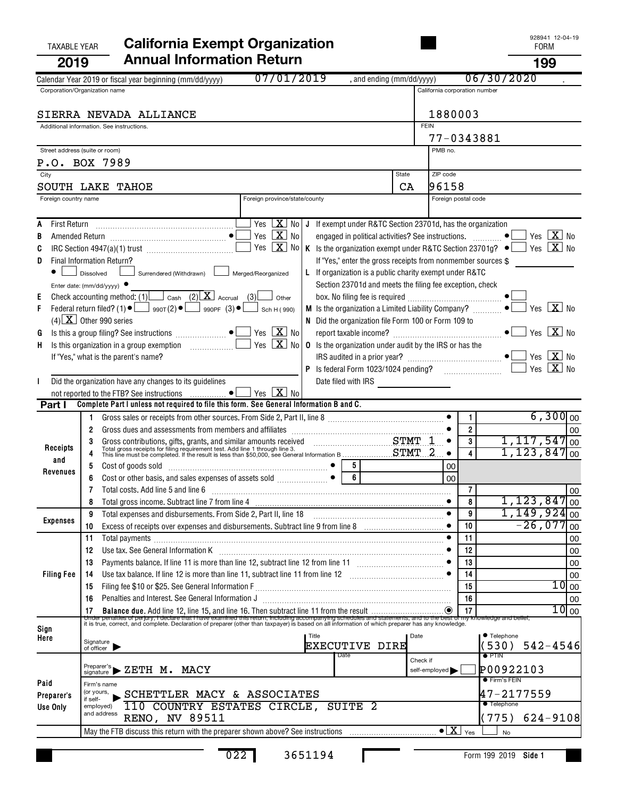|              | 2019                           |                         | <b>Annual Information Return</b>                                                                                                                                                                                                      |              |                               |                         | 199                                                                                                         |
|--------------|--------------------------------|-------------------------|---------------------------------------------------------------------------------------------------------------------------------------------------------------------------------------------------------------------------------------|--------------|-------------------------------|-------------------------|-------------------------------------------------------------------------------------------------------------|
|              |                                |                         | 07/01/2019<br>, and ending (mm/dd/yyyy)<br>Calendar Year 2019 or fiscal year beginning (mm/dd/yyyy)                                                                                                                                   |              |                               |                         | 06/30/2020                                                                                                  |
|              | Corporation/Organization name  |                         |                                                                                                                                                                                                                                       |              | California corporation number |                         |                                                                                                             |
|              |                                |                         |                                                                                                                                                                                                                                       |              |                               |                         |                                                                                                             |
|              |                                |                         | SIERRA NEVADA ALLIANCE<br>Additional information. See instructions.                                                                                                                                                                   | <b>FEIN</b>  | 1880003                       |                         |                                                                                                             |
|              |                                |                         |                                                                                                                                                                                                                                       |              | 77-0343881                    |                         |                                                                                                             |
|              | Street address (suite or room) |                         |                                                                                                                                                                                                                                       |              | PMB no.                       |                         |                                                                                                             |
|              |                                |                         | P.O. BOX 7989                                                                                                                                                                                                                         |              |                               |                         |                                                                                                             |
| City         |                                |                         |                                                                                                                                                                                                                                       | <b>State</b> | ZIP code                      |                         |                                                                                                             |
|              |                                |                         | SOUTH LAKE TAHOE                                                                                                                                                                                                                      | CA           | 96158                         |                         |                                                                                                             |
|              | Foreign country name           |                         | Foreign province/state/county                                                                                                                                                                                                         |              | Foreign postal code           |                         |                                                                                                             |
|              |                                |                         |                                                                                                                                                                                                                                       |              |                               |                         |                                                                                                             |
| A            |                                |                         | $X$ No<br>Yes  <br>J If exempt under R&TC Section 23701d, has the organization<br>Yes $X$ No                                                                                                                                          |              |                               |                         |                                                                                                             |
|              |                                |                         | engaged in political activities? See instructions.  ●  <br>Yes $X$ No                                                                                                                                                                 |              |                               |                         | Yes $X$ No<br>K Is the organization exempt under R&TC Section 23701g? $\bullet$ Yes $\boxed{\mathbf{X}}$ No |
| D            |                                |                         | Final Information Return?<br>If "Yes," enter the gross receipts from nonmember sources \$                                                                                                                                             |              |                               |                         |                                                                                                             |
|              |                                | Dissolved               | Surrendered (Withdrawn) Lacker Merged/Reorganized<br>L If organization is a public charity exempt under R&TC                                                                                                                          |              |                               |                         |                                                                                                             |
|              | Enter date: (mm/dd/yyyy)       |                         | Section 23701d and meets the filing fee exception, check                                                                                                                                                                              |              |                               |                         |                                                                                                             |
| Е            |                                |                         | Check accounting method: $(1)$ $\overline{\bigcup_{\text{Cash}} (2) \times}$ Accrual (3)<br>Other                                                                                                                                     |              |                               |                         |                                                                                                             |
|              |                                |                         | Federal return filed? (1) $\bullet$ $\Box$ 990T(2) $\bullet$ $\Box$ 990PF (3) $\bullet$<br><b>M</b> Is the organization a Limited Liability Company? $\Box$<br>Sch H (990)                                                            |              |                               |                         | Yes $X$ No                                                                                                  |
|              |                                |                         | (4) $X$ Other 990 series<br>N Did the organization file Form 100 or Form 109 to                                                                                                                                                       |              |                               |                         |                                                                                                             |
| G            |                                |                         | $\boxed{\text{X}}$ No<br>Yes                                                                                                                                                                                                          |              |                               |                         | Yes $X$ No                                                                                                  |
| H.           |                                |                         | Yes $X$ No<br><b>0</b> Is the organization under audit by the IRS or has the                                                                                                                                                          |              |                               |                         | Yes $\boxed{\mathbf{X}}$ No                                                                                 |
|              |                                |                         | If "Yes," what is the parent's name?<br>P Is federal Form 1023/1024 pending?                                                                                                                                                          |              |                               |                         | Yes $X$ No                                                                                                  |
|              |                                |                         | Did the organization have any changes to its guidelines                                                                                                                                                                               |              |                               |                         |                                                                                                             |
|              |                                |                         | Yes $\boxed{\mathbf{X}}$ No                                                                                                                                                                                                           |              |                               |                         |                                                                                                             |
|              | Part I                         |                         | Complete Part I unless not required to file this form. See General Information B and C.                                                                                                                                               |              |                               |                         |                                                                                                             |
|              |                                |                         |                                                                                                                                                                                                                                       |              |                               | 1                       | $6,300 _{00}$                                                                                               |
|              |                                |                         | Gross dues and assessments from members and affiliates [111] contains the same state and assessments from members and affiliates [11] contains the substitution of the state and state and state and state and state and state        |              |                               | $\overline{\mathbf{2}}$ | 00                                                                                                          |
|              | Receipts                       |                         | Gross contributions, gifts, grants, and similar amounts received<br>Total gross receipts for filing requirement test. Add line 1 through line 3.<br>This line must be completed. If the result is less than \$50,000, see General Inf |              | $\bullet$                     | 3                       | 1,117,547<br>00<br>1,123,847                                                                                |
|              | and                            |                         |                                                                                                                                                                                                                                       |              | $\bullet$                     | 4                       | 00                                                                                                          |
|              | Revenues                       |                         | Cost of goods sold<br>$\overline{6}$                                                                                                                                                                                                  |              | 00<br>00                      |                         |                                                                                                             |
|              |                                |                         | Total costs. Add line 5 and line 6 [11] manufacture contracts and line 6 [11] manufacture contracts and line 6                                                                                                                        |              |                               | 7                       | 00                                                                                                          |
|              |                                |                         | Total gross income. Subtract line 7 from line 4                                                                                                                                                                                       |              | $\bullet$                     | 8                       | 123<br>,847<br>00                                                                                           |
|              |                                |                         | Total expenses and disbursements. From Side 2, Part II, line 18                                                                                                                                                                       |              | $\bullet$                     | 9                       | $149,924$ <sub>00</sub>                                                                                     |
|              | <b>Expenses</b>                | 10                      |                                                                                                                                                                                                                                       |              |                               | 10                      | $-26,07$<br>00                                                                                              |
|              |                                | 11                      |                                                                                                                                                                                                                                       |              |                               | 11                      | 00                                                                                                          |
|              |                                | 12                      |                                                                                                                                                                                                                                       |              |                               | 12                      | 00                                                                                                          |
|              |                                | 13                      |                                                                                                                                                                                                                                       |              |                               | 13                      | 00                                                                                                          |
|              | <b>Filing Fee</b>              | 14                      | Use tax balance. If line 12 is more than line 11, subtract line 11 from line 12                                                                                                                                                       |              |                               | 14<br>15                | 00<br>10                                                                                                    |
|              |                                | 15<br>16                | Penalties and Interest. See General Information J                                                                                                                                                                                     |              |                               | 16                      | oo<br>00                                                                                                    |
|              |                                |                         |                                                                                                                                                                                                                                       |              |                               |                         | 1000                                                                                                        |
|              |                                |                         |                                                                                                                                                                                                                                       |              |                               |                         |                                                                                                             |
| Sign<br>Here |                                |                         | Title                                                                                                                                                                                                                                 | Date         |                               |                         | ● Telephone                                                                                                 |
|              |                                | Signature<br>of officer | EXECUTIVE DIRE                                                                                                                                                                                                                        |              |                               |                         | (530)<br>$542 - 4546$                                                                                       |
|              |                                |                         | Date                                                                                                                                                                                                                                  | Check if     |                               |                         | $\bullet$ PTIN                                                                                              |
|              |                                | Preparer's<br>signature | > ZETH M. MACY                                                                                                                                                                                                                        |              | self-employed                 |                         | P00922103<br><b>•</b> Firm's FEIN                                                                           |
| Paid         |                                | (or yours,              | Firm's name                                                                                                                                                                                                                           |              |                               |                         | 47-2177559                                                                                                  |
|              | Preparer's<br>Use Only         | if self-<br>employed)   | SCHETTLER MACY & ASSOCIATES<br>110 COUNTRY ESTATES CIRCLE, SUITE 2                                                                                                                                                                    |              |                               |                         | <b>• Telephone</b>                                                                                          |
|              |                                |                         | and address<br><b>RENO, NV 89511</b>                                                                                                                                                                                                  |              |                               |                         | (775)<br>$624 - 9108$                                                                                       |
|              |                                |                         |                                                                                                                                                                                                                                       |              |                               |                         | No                                                                                                          |
|              |                                |                         |                                                                                                                                                                                                                                       |              |                               |                         |                                                                                                             |

TAXABLE YEAR **California Exempt Organization California Exempt Organization** 

п

928941 12-04-19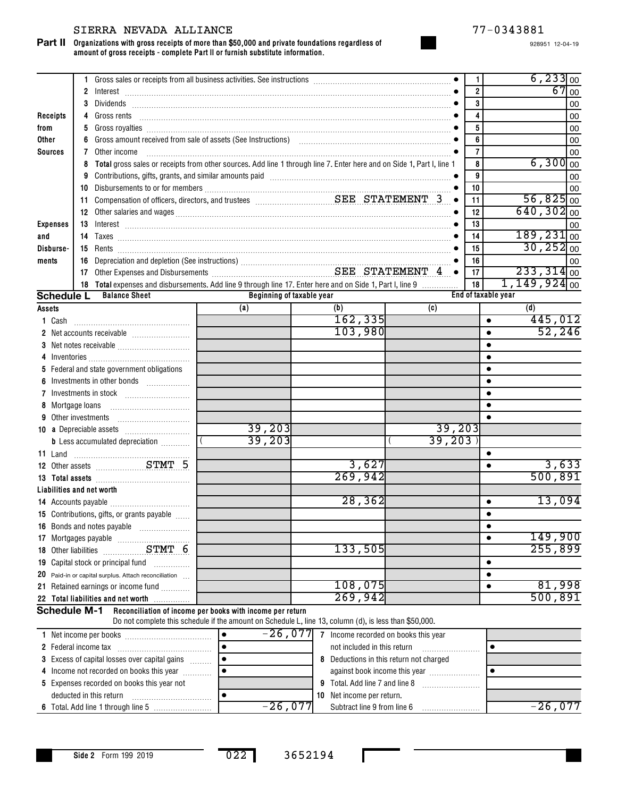#### SIERRA NEVADA ALLIANCE 77-0343881

**Organizations with gross receipts of more than \$50,000 and private foundations regardless of amount of gross receipts - complete Part II or furnish substitute information. Part II**

928951 12-04-19

|                 |                             |                                                                                                                                                                                                                                |     |                           |                                         |                               | $\mathbf{1}$            | $6,233$ 00                |    |
|-----------------|-----------------------------|--------------------------------------------------------------------------------------------------------------------------------------------------------------------------------------------------------------------------------|-----|---------------------------|-----------------------------------------|-------------------------------|-------------------------|---------------------------|----|
|                 |                             |                                                                                                                                                                                                                                |     |                           |                                         |                               | $\overline{2}$          | $67$ 00                   |    |
|                 | 3                           |                                                                                                                                                                                                                                |     |                           |                                         |                               | $\overline{\mathbf{3}}$ |                           | 00 |
| Receipts        | 4                           |                                                                                                                                                                                                                                |     |                           |                                         |                               | $\overline{\mathbf{4}}$ |                           | 00 |
| from            | 5                           |                                                                                                                                                                                                                                |     |                           |                                         |                               | 5                       |                           | 00 |
| Other           | 6                           |                                                                                                                                                                                                                                | 6   |                           | 00                                      |                               |                         |                           |    |
| <b>Sources</b>  | 7                           | $\overline{7}$                                                                                                                                                                                                                 |     | 00                        |                                         |                               |                         |                           |    |
|                 | 8                           | Total gross sales or receipts from other sources. Add line 1 through line 7. Enter here and on Side 1, Part I, line 1                                                                                                          |     |                           |                                         |                               | 8                       | $6,300$ <sub>00</sub>     |    |
|                 |                             | 9 Contributions, gifts, grants, and similar amounts paid [11] content to the contributions, gifts, grants, and similar amounts paid [11] content content of the content of the content of the content of the content of the co |     |                           |                                         |                               | 9                       |                           | 00 |
|                 |                             |                                                                                                                                                                                                                                |     |                           |                                         |                               | 10                      |                           | 00 |
|                 |                             |                                                                                                                                                                                                                                |     |                           |                                         |                               | 11                      | $56,825$ <sub>00</sub>    |    |
|                 |                             |                                                                                                                                                                                                                                |     |                           |                                         |                               | 12                      | $640,302$ <sub>00</sub>   |    |
| <b>Expenses</b> |                             |                                                                                                                                                                                                                                |     |                           |                                         |                               | 13                      |                           | 00 |
| and             |                             |                                                                                                                                                                                                                                |     |                           |                                         |                               | 14                      | $189, 231$ <sub>00</sub>  |    |
| Disburse-       |                             |                                                                                                                                                                                                                                |     |                           |                                         |                               | 15                      | $30, 252$ <sub>00</sub>   |    |
| ments           |                             |                                                                                                                                                                                                                                |     |                           |                                         |                               | 16                      |                           | 00 |
|                 |                             | 16 Depreciation and depletion (See instructions)<br>17 Other Expenses and Disbursements<br>26 Other Expenses and Disbursements<br>26 Other Expenses and Disbursements                                                          |     |                           |                                         |                               | 17                      | $233,314$ <sub>00</sub>   |    |
|                 |                             | 18 Total expenses and disbursements. Add line 9 through line 17. Enter here and on Side 1, Part I, line 9                                                                                                                      |     |                           |                                         |                               | 18                      | $1,149,924$ <sub>00</sub> |    |
|                 | <b>Schedule L</b>           | <b>Balance Sheet</b>                                                                                                                                                                                                           |     | Beginning of taxable year |                                         |                               |                         | End of taxable year       |    |
| Assets          |                             |                                                                                                                                                                                                                                | (a) |                           | (b)                                     | (c)                           |                         | (d)                       |    |
| 1 Cash          |                             |                                                                                                                                                                                                                                |     |                           | 162, 335                                |                               |                         | 445,012<br>$\bullet$      |    |
|                 |                             |                                                                                                                                                                                                                                |     |                           | 103,980                                 |                               |                         | 52, 246<br>$\bullet$      |    |
|                 |                             |                                                                                                                                                                                                                                |     |                           |                                         |                               |                         |                           |    |
|                 |                             |                                                                                                                                                                                                                                |     |                           |                                         |                               |                         |                           |    |
|                 |                             | 5 Federal and state government obligations                                                                                                                                                                                     |     |                           |                                         |                               |                         |                           |    |
|                 |                             | Investments in other bonds                                                                                                                                                                                                     |     |                           |                                         |                               |                         |                           |    |
| 7               |                             |                                                                                                                                                                                                                                |     |                           |                                         |                               |                         |                           |    |
|                 | 8 Mortgage loans            |                                                                                                                                                                                                                                |     |                           |                                         |                               |                         |                           |    |
|                 | 9 Other investments         |                                                                                                                                                                                                                                |     |                           |                                         |                               |                         |                           |    |
|                 |                             |                                                                                                                                                                                                                                |     | 39,203                    |                                         | 39,203                        |                         |                           |    |
|                 |                             | <b>b</b> Less accumulated depreciation <i></i>                                                                                                                                                                                 |     | 39,203                    |                                         | 39,203                        |                         |                           |    |
|                 |                             |                                                                                                                                                                                                                                |     |                           |                                         |                               |                         |                           |    |
|                 |                             | 12 Other assets STMT 5                                                                                                                                                                                                         |     |                           | 3,627                                   |                               |                         | 3,633<br>$\bullet$        |    |
|                 |                             |                                                                                                                                                                                                                                |     |                           | 269,942                                 |                               |                         | 500, 891                  |    |
|                 |                             | Liabilities and net worth                                                                                                                                                                                                      |     |                           |                                         |                               |                         |                           |    |
|                 |                             |                                                                                                                                                                                                                                |     |                           | 28, 362                                 |                               |                         | 13,094                    |    |
|                 |                             | 15 Contributions, gifts, or grants payable                                                                                                                                                                                     |     |                           |                                         |                               |                         |                           |    |
|                 |                             | 16 Bonds and notes payable                                                                                                                                                                                                     |     |                           |                                         |                               |                         | $\bullet$                 |    |
|                 |                             |                                                                                                                                                                                                                                |     |                           |                                         |                               |                         | 149,900                   |    |
|                 |                             |                                                                                                                                                                                                                                |     |                           | 133,505                                 |                               |                         | 255,899                   |    |
|                 |                             | 19 Capital stock or principal fund                                                                                                                                                                                             |     |                           |                                         |                               |                         |                           |    |
|                 |                             | 20 Paid-in or capital surplus. Attach reconciliation                                                                                                                                                                           |     |                           |                                         |                               |                         |                           |    |
|                 |                             | 21 Retained earnings or income fund                                                                                                                                                                                            |     |                           | 108,075                                 |                               |                         | 81,998                    |    |
|                 |                             | 22 Total liabilities and net worth                                                                                                                                                                                             |     |                           | 269,942                                 |                               |                         | 500, 891                  |    |
|                 | <b>Schedule M-1</b>         | Reconciliation of income per books with income per return                                                                                                                                                                      |     |                           |                                         |                               |                         |                           |    |
|                 |                             | Do not complete this schedule if the amount on Schedule L, line 13, column (d), is less than \$50,000.                                                                                                                         |     |                           |                                         |                               |                         |                           |    |
|                 |                             |                                                                                                                                                                                                                                |     | $-26,077$                 | 7 Income recorded on books this year    |                               |                         |                           |    |
|                 | <b>2</b> Federal income tax |                                                                                                                                                                                                                                |     |                           | not included in this return             |                               |                         |                           |    |
|                 |                             | 3 Excess of capital losses over capital gains                                                                                                                                                                                  |     |                           | 8 Deductions in this return not charged |                               |                         |                           |    |
|                 |                             | 4 Income not recorded on books this year                                                                                                                                                                                       |     |                           |                                         | against book income this year |                         |                           |    |
|                 |                             | 5 Expenses recorded on books this year not                                                                                                                                                                                     |     |                           | 9 Total. Add line 7 and line 8          |                               |                         |                           |    |

**Side 2** Form 199 2019

 $~\ldots~\ldots~\ldots~$ 

deducted in this return

**6** Total. Add line 1 through line 5 ………………………( **-26,077| Subtract line 9 from line** 6 ………………………

•

022 3652194

**10** Net income per return.

Subtract line 9 from line 6 -26,077 -26,077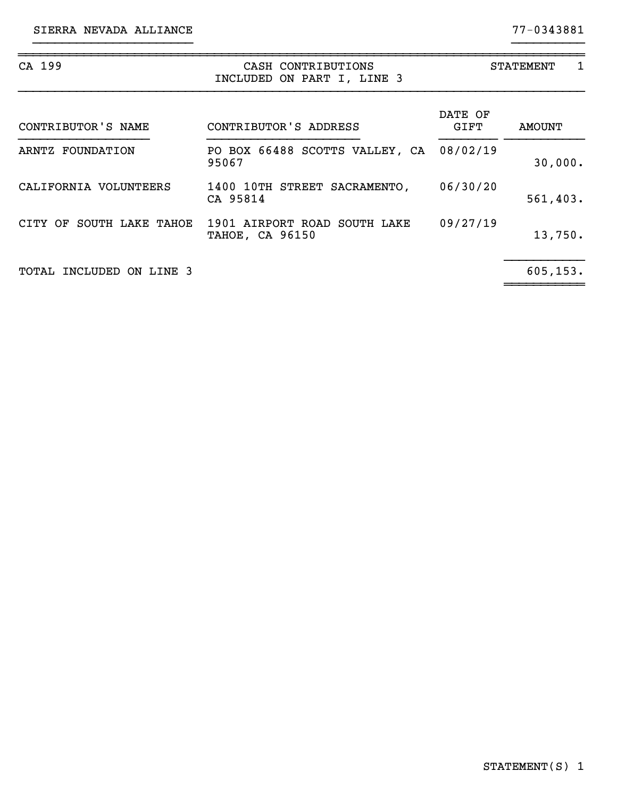| CA 199                      | CASH CONTRIBUTIONS<br>INCLUDED ON PART I, LINE 3       | <b>STATEMENT</b><br>1 |               |  |  |
|-----------------------------|--------------------------------------------------------|-----------------------|---------------|--|--|
| CONTRIBUTOR'S NAME          | CONTRIBUTOR'S ADDRESS                                  | DATE OF<br>GIFT       | <b>AMOUNT</b> |  |  |
| ARNTZ FOUNDATION            | PO BOX 66488 SCOTTS VALLEY, CA<br>95067                | 08/02/19              | 30,000.       |  |  |
| CALIFORNIA VOLUNTEERS       | 1400 10TH STREET SACRAMENTO,<br>CA 95814               | 06/30/20              | 561,403.      |  |  |
| SOUTH LAKE TAHOE<br>CITY OF | 1901 AIRPORT ROAD SOUTH LAKE<br><b>TAHOE, CA 96150</b> | 09/27/19              | 13,750.       |  |  |
| INCLUDED ON LINE 3<br>TOTAL |                                                        |                       | 605, 153.     |  |  |

}}}}}}}}}}}}}}}}}}}}}} }}}}}}}}}}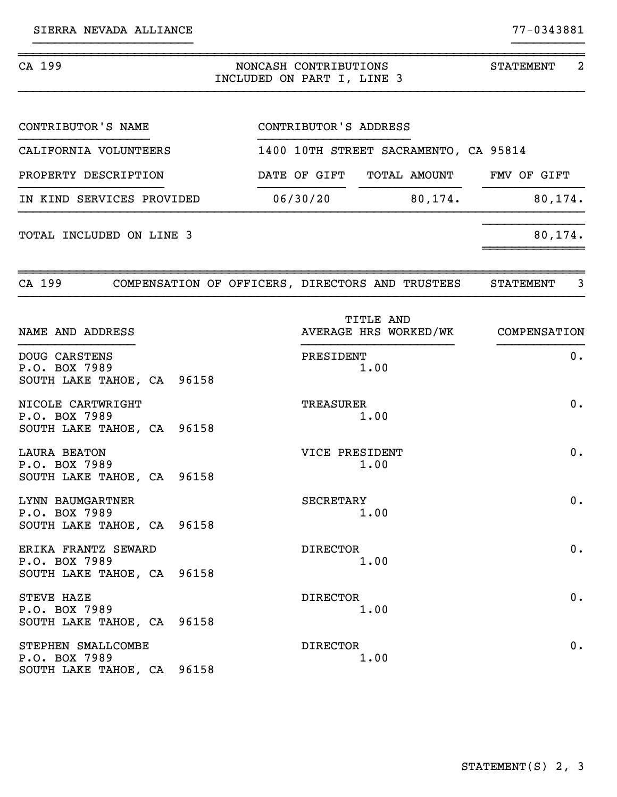| CA 199                                                                 |  | NONCASH CONTRIBUTIONS<br>INCLUDED ON PART I, LINE 3 |                  |                                                 | 2<br>STATEMENT                   |
|------------------------------------------------------------------------|--|-----------------------------------------------------|------------------|-------------------------------------------------|----------------------------------|
| CONTRIBUTOR'S NAME                                                     |  |                                                     |                  | CONTRIBUTOR'S ADDRESS                           |                                  |
| CALIFORNIA VOLUNTEERS                                                  |  |                                                     |                  | 1400 10TH STREET SACRAMENTO, CA 95814           |                                  |
| PROPERTY DESCRIPTION                                                   |  |                                                     |                  | DATE OF GIFT TOTAL AMOUNT FMV OF GIFT           |                                  |
| IN KIND SERVICES PROVIDED                                              |  |                                                     |                  | $06/30/20$ 80,174. 80,174.                      |                                  |
| TOTAL INCLUDED ON LINE 3                                               |  |                                                     |                  |                                                 | 80, 174.                         |
| CA 199 COMPENSATION OF OFFICERS, DIRECTORS AND TRUSTEES                |  |                                                     |                  |                                                 | $\mathbf{3}$<br><b>STATEMENT</b> |
| NAME AND ADDRESS                                                       |  |                                                     |                  | TITLE AND<br>AVERAGE HRS WORKED/WK COMPENSATION |                                  |
| <b>DOUG CARSTENS</b><br>P.O. BOX 7989<br>SOUTH LAKE TAHOE, CA 96158    |  |                                                     | PRESIDENT        | 1.00                                            | 0.                               |
| NICOLE CARTWRIGHT<br>P.O. BOX 7989<br>SOUTH LAKE TAHOE, CA 96158       |  |                                                     | <b>TREASURER</b> | 1.00                                            | 0.                               |
| <b>LAURA BEATON</b><br>P.O. BOX 7989<br>SOUTH LAKE TAHOE, CA 96158     |  |                                                     | VICE PRESIDENT   | 1.00                                            | 0.                               |
| <b>LYNN BAUMGARTNER</b><br>P.O. BOX 7989<br>SOUTH LAKE TAHOE, CA 96158 |  |                                                     | SECRETARY        | 1.00                                            | $0$ .                            |
| ERIKA FRANTZ SEWARD<br>P.O. BOX 7989<br>SOUTH LAKE TAHOE, CA 96158     |  |                                                     | <b>DIRECTOR</b>  | 1.00                                            | 0.                               |
| STEVE HAZE<br>P.O. BOX 7989<br>SOUTH LAKE TAHOE, CA 96158              |  |                                                     | <b>DIRECTOR</b>  | 1.00                                            | 0.                               |
| STEPHEN SMALLCOMBE<br>P.O. BOX 7989<br>SOUTH LAKE TAHOE, CA 96158      |  |                                                     | <b>DIRECTOR</b>  | 1.00                                            | 0.                               |

}}}}}}}}}}}}}}}}}}}}}} }}}}}}}}}}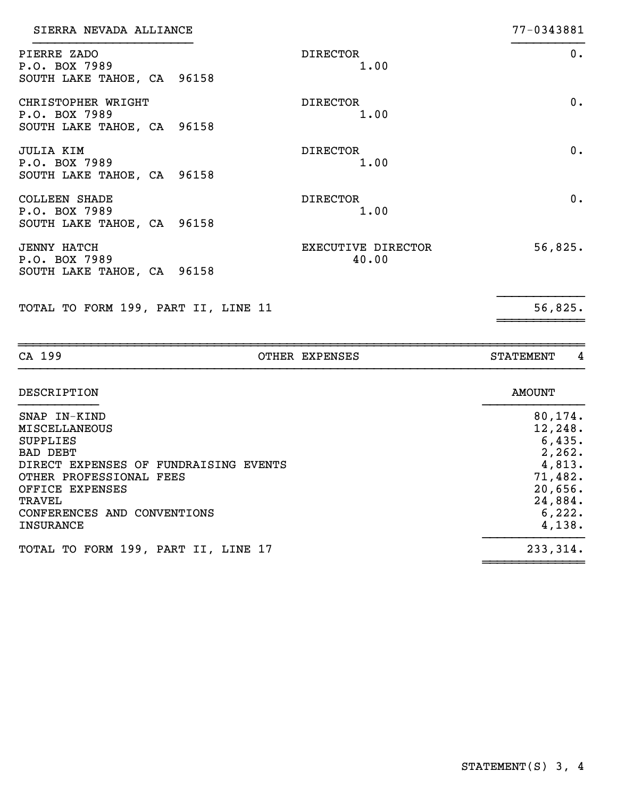| SIERRA NEVADA ALLIANCE                                              |                             | 77-0343881            |
|---------------------------------------------------------------------|-----------------------------|-----------------------|
| PIERRE ZADO<br>P.O. BOX 7989<br>SOUTH LAKE TAHOE, CA 96158          | <b>DIRECTOR</b><br>1.00     | $0$ .                 |
| CHRISTOPHER WRIGHT<br>P.O. BOX 7989<br>SOUTH LAKE TAHOE, CA 96158   | <b>DIRECTOR</b><br>1.00     | 0.                    |
| <b>JULIA KIM</b><br>P.O. BOX 7989<br>SOUTH LAKE TAHOE, CA 96158     | <b>DIRECTOR</b><br>1.00     | 0.                    |
| <b>COLLEEN SHADE</b><br>P.O. BOX 7989<br>SOUTH LAKE TAHOE, CA 96158 | <b>DIRECTOR</b><br>1.00     | 0.                    |
| <b>JENNY HATCH</b><br>P.O. BOX 7989<br>SOUTH LAKE TAHOE, CA 96158   | EXECUTIVE DIRECTOR<br>40.00 | 56,825.               |
| TOTAL TO FORM 199, PART II, LINE 11                                 |                             | 56,825.               |
| CA 199                                                              | OTHER EXPENSES              | <b>STATEMENT</b><br>4 |
| DESCRIPTION                                                         |                             | <b>AMOUNT</b>         |

| SNAP IN-KIND                          | 80, 174. |
|---------------------------------------|----------|
| <b>MISCELLANEOUS</b>                  | 12, 248. |
| <b>SUPPLIES</b>                       | 6,435.   |
| BAD DEBT                              | 2, 262.  |
| DIRECT EXPENSES OF FUNDRAISING EVENTS | 4,813.   |
| OTHER PROFESSIONAL FEES               | 71,482.  |
| OFFICE EXPENSES                       | 20,656.  |
| TRAVEL                                | 24,884.  |
| CONFERENCES AND CONVENTIONS           | 6,222.   |
| <b>INSURANCE</b>                      | 4,138.   |
| TOTAL TO FORM 199, PART II, LINE 17   | 233,314. |
|                                       |          |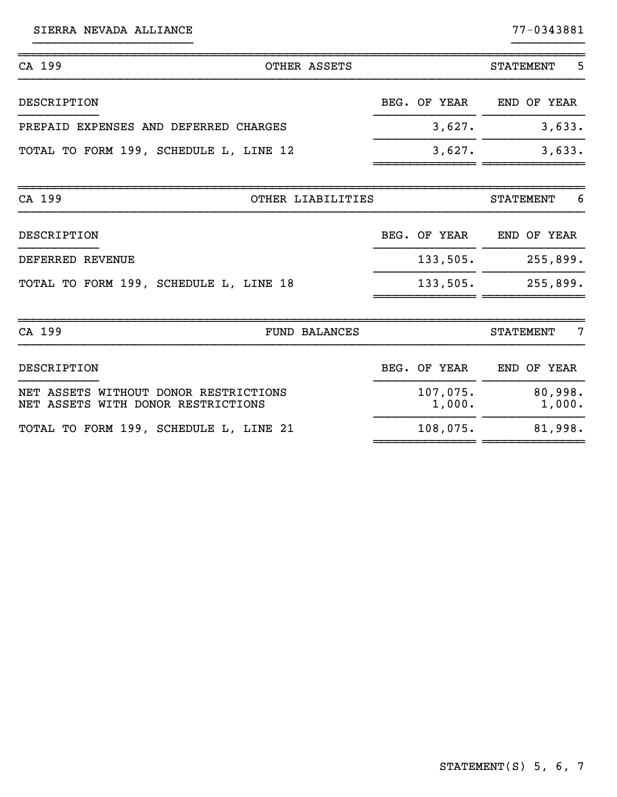SIERRA NEVADA ALLIANCE 77-0343881

| CA 199                                                                      | OTHER ASSETS         |                    | <b>STATEMENT</b><br>5               |
|-----------------------------------------------------------------------------|----------------------|--------------------|-------------------------------------|
| <b>DESCRIPTION</b>                                                          |                      | BEG. OF YEAR       | END OF YEAR                         |
| PREPAID EXPENSES AND DEFERRED CHARGES                                       |                      | 3,627.             | 3,633.                              |
| TOTAL TO FORM 199, SCHEDULE L, LINE 12                                      |                      | 3,627.             | 3,633.                              |
| CA 199                                                                      | OTHER LIABILITIES    |                    | <b>STATEMENT</b><br>6               |
| DESCRIPTION                                                                 |                      | BEG. OF YEAR       | END OF YEAR                         |
| DEFERRED REVENUE                                                            |                      | 133,505.           | 255,899.                            |
| TOTAL TO FORM 199, SCHEDULE L, LINE 18                                      |                      | 133,505.           | 255,899.                            |
| CA 199                                                                      | <b>FUND BALANCES</b> |                    | $7\phantom{.0}$<br><b>STATEMENT</b> |
| DESCRIPTION                                                                 |                      | BEG. OF YEAR       | END OF YEAR                         |
| NET ASSETS WITHOUT DONOR RESTRICTIONS<br>NET ASSETS WITH DONOR RESTRICTIONS |                      | 107,075.<br>1,000. | 80,998.<br>1,000.                   |
| TOTAL TO FORM 199, SCHEDULE L, LINE 21                                      |                      | 108,075.           | 81,998.                             |

}}}}}}}}}}}}}}}}}}}}}} }}}}}}}}}}

~~~~~~~~~~~~~~ ~~~~~~~~~~~~~~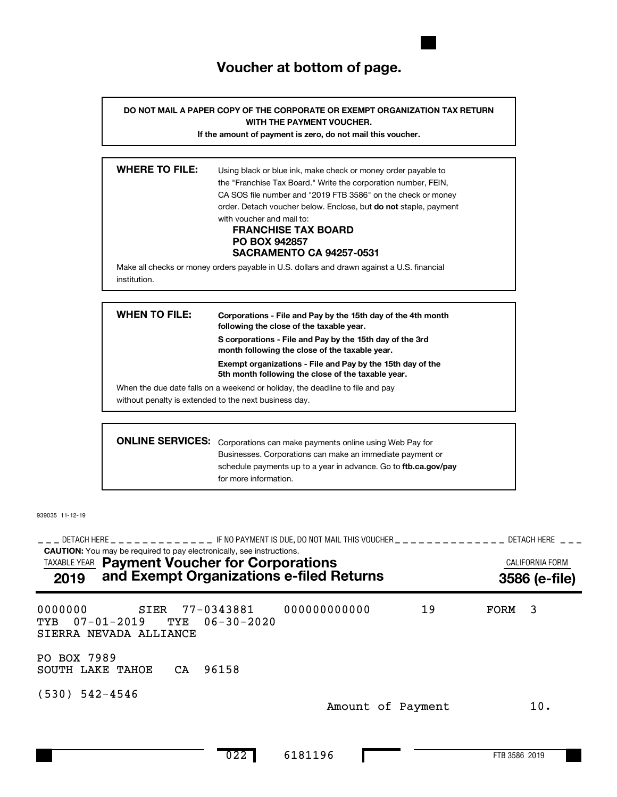## **Voucher at bottom of page.**

**DO NOT MAIL A PAPER COPY OF THE CORPORATE OR EXEMPT ORGANIZATION TAX RETURN WITH THE PAYMENT VOUCHER.**

**If the amount of payment is zero, do not mail this voucher.**

| <b>WHERE TO FILE:</b>                                                                                      | Using black or blue ink, make check or money order payable to<br>the "Franchise Tax Board." Write the corporation number, FEIN,<br>CA SOS file number and "2019 FTB 3586" on the check or money<br>order. Detach voucher below. Enclose, but <b>do not</b> staple, payment<br>with voucher and mail to:<br><b>FRANCHISE TAX BOARD</b><br><b>PO BOX 942857</b><br><b>SACRAMENTO CA 94257-0531</b> |  |  |  |
|------------------------------------------------------------------------------------------------------------|--------------------------------------------------------------------------------------------------------------------------------------------------------------------------------------------------------------------------------------------------------------------------------------------------------------------------------------------------------------------------------------------------|--|--|--|
| Make all checks or money orders payable in U.S. dollars and drawn against a U.S. financial<br>institution. |                                                                                                                                                                                                                                                                                                                                                                                                  |  |  |  |

|                                                                                                                                        | WHEN TO FILE: | Corporations - File and Pay by the 15th day of the 4th month<br>following the close of the taxable year.         |  |  |
|----------------------------------------------------------------------------------------------------------------------------------------|---------------|------------------------------------------------------------------------------------------------------------------|--|--|
|                                                                                                                                        |               | S corporations - File and Pay by the 15th day of the 3rd<br>month following the close of the taxable year.       |  |  |
|                                                                                                                                        |               | Exempt organizations - File and Pay by the 15th day of the<br>5th month following the close of the taxable year. |  |  |
| When the due date falls on a weekend or holiday, the deadline to file and pay<br>without penalty is extended to the next business day. |               |                                                                                                                  |  |  |
|                                                                                                                                        |               |                                                                                                                  |  |  |
|                                                                                                                                        |               | <b>ONLINE SERVICES:</b> Corporations can make payments online using Web Pay for                                  |  |  |

schedule payments up to a year in advance. Go to ftb.ca.gov/pay Businesses. Corporations can make an immediate payment or for more information.

939035 11-12-19

**CAUTION:** You may be required to pay electronically, see instructions. \_\_\_ DETACH HERE \_ \_ \_ \_ \_ \_ \_ \_ \_ \_ \_ \_ F NO PAYMENT IS DUE, DO NOT MAIL THIS VOUCHER \_ \_ \_ \_ \_ \_ \_ \_ \_ \_ \_ \_ \_ \_ DETACH HERE \_ \_ \_ TAXABLE YEAR CALIFORNIA FORM **Payment Voucher for Corporations 2019 and Exempt Organizations e-filed Returns 3586 (e-file)** 0000000 SIER 77-0343881 000000000000 19 FORM 3 TYB 07-01-2019 TYE 06-30-2020 SIERRA NEVADA ALLIANCE PO BOX 7989 SOUTH LAKE TAHOE CA 96158 (530) 542-4546 Amount of Payment 10.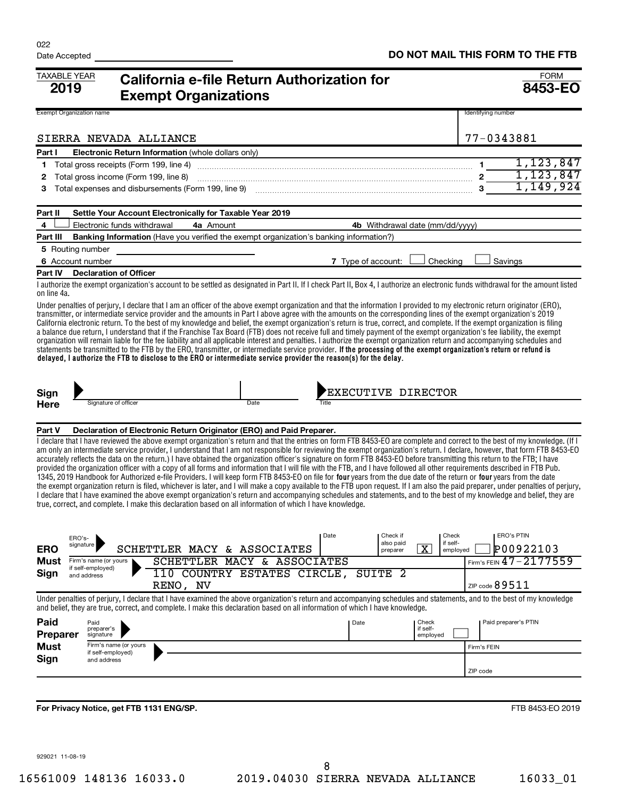| <b>TAXABLE YEAR</b><br>2019                                                                                                                                                                                                                                                                                                                                                                                                                                                                                                                                                                                                                                                                                                                                                                                                                                                                                                                                                                                                                                                                                                                                                                                                                                                                                                                                                                                                                                                                     |                                            | <b>Exempt Organizations</b>                              | California e-file Return Authorization for                                                                                                                                                                                                                                                             |                    |                       |                                     |          | <b>FORM</b><br>8453-EO                                                                                                                                                            |
|-------------------------------------------------------------------------------------------------------------------------------------------------------------------------------------------------------------------------------------------------------------------------------------------------------------------------------------------------------------------------------------------------------------------------------------------------------------------------------------------------------------------------------------------------------------------------------------------------------------------------------------------------------------------------------------------------------------------------------------------------------------------------------------------------------------------------------------------------------------------------------------------------------------------------------------------------------------------------------------------------------------------------------------------------------------------------------------------------------------------------------------------------------------------------------------------------------------------------------------------------------------------------------------------------------------------------------------------------------------------------------------------------------------------------------------------------------------------------------------------------|--------------------------------------------|----------------------------------------------------------|--------------------------------------------------------------------------------------------------------------------------------------------------------------------------------------------------------------------------------------------------------------------------------------------------------|--------------------|-----------------------|-------------------------------------|----------|-----------------------------------------------------------------------------------------------------------------------------------------------------------------------------------|
|                                                                                                                                                                                                                                                                                                                                                                                                                                                                                                                                                                                                                                                                                                                                                                                                                                                                                                                                                                                                                                                                                                                                                                                                                                                                                                                                                                                                                                                                                                 | <b>Exempt Organization name</b>            |                                                          |                                                                                                                                                                                                                                                                                                        |                    |                       |                                     |          | Identifying number                                                                                                                                                                |
|                                                                                                                                                                                                                                                                                                                                                                                                                                                                                                                                                                                                                                                                                                                                                                                                                                                                                                                                                                                                                                                                                                                                                                                                                                                                                                                                                                                                                                                                                                 | SIERRA NEVADA ALLIANCE                     |                                                          |                                                                                                                                                                                                                                                                                                        |                    |                       |                                     |          | 77-0343881                                                                                                                                                                        |
| Part I                                                                                                                                                                                                                                                                                                                                                                                                                                                                                                                                                                                                                                                                                                                                                                                                                                                                                                                                                                                                                                                                                                                                                                                                                                                                                                                                                                                                                                                                                          |                                            | Electronic Return Information (whole dollars only)       |                                                                                                                                                                                                                                                                                                        |                    |                       |                                     |          |                                                                                                                                                                                   |
| 1                                                                                                                                                                                                                                                                                                                                                                                                                                                                                                                                                                                                                                                                                                                                                                                                                                                                                                                                                                                                                                                                                                                                                                                                                                                                                                                                                                                                                                                                                               |                                            |                                                          |                                                                                                                                                                                                                                                                                                        |                    |                       |                                     |          | 1,123,847<br>1                                                                                                                                                                    |
| 2                                                                                                                                                                                                                                                                                                                                                                                                                                                                                                                                                                                                                                                                                                                                                                                                                                                                                                                                                                                                                                                                                                                                                                                                                                                                                                                                                                                                                                                                                               | Total gross income (Form 199, line 8)      |                                                          |                                                                                                                                                                                                                                                                                                        |                    |                       |                                     |          | 1,123,847                                                                                                                                                                         |
| з                                                                                                                                                                                                                                                                                                                                                                                                                                                                                                                                                                                                                                                                                                                                                                                                                                                                                                                                                                                                                                                                                                                                                                                                                                                                                                                                                                                                                                                                                               |                                            |                                                          |                                                                                                                                                                                                                                                                                                        |                    |                       |                                     |          | 1,149,924                                                                                                                                                                         |
| Part II                                                                                                                                                                                                                                                                                                                                                                                                                                                                                                                                                                                                                                                                                                                                                                                                                                                                                                                                                                                                                                                                                                                                                                                                                                                                                                                                                                                                                                                                                         |                                            | Settle Your Account Electronically for Taxable Year 2019 |                                                                                                                                                                                                                                                                                                        |                    |                       |                                     |          |                                                                                                                                                                                   |
| 4                                                                                                                                                                                                                                                                                                                                                                                                                                                                                                                                                                                                                                                                                                                                                                                                                                                                                                                                                                                                                                                                                                                                                                                                                                                                                                                                                                                                                                                                                               | Electronic funds withdrawal                | 4a Amount                                                |                                                                                                                                                                                                                                                                                                        |                    |                       | 4b Withdrawal date (mm/dd/yyyy)     |          |                                                                                                                                                                                   |
| Part III                                                                                                                                                                                                                                                                                                                                                                                                                                                                                                                                                                                                                                                                                                                                                                                                                                                                                                                                                                                                                                                                                                                                                                                                                                                                                                                                                                                                                                                                                        |                                            |                                                          | Banking Information (Have you verified the exempt organization's banking information?)                                                                                                                                                                                                                 |                    |                       |                                     |          |                                                                                                                                                                                   |
|                                                                                                                                                                                                                                                                                                                                                                                                                                                                                                                                                                                                                                                                                                                                                                                                                                                                                                                                                                                                                                                                                                                                                                                                                                                                                                                                                                                                                                                                                                 | 5 Routing number                           |                                                          |                                                                                                                                                                                                                                                                                                        |                    |                       |                                     |          |                                                                                                                                                                                   |
|                                                                                                                                                                                                                                                                                                                                                                                                                                                                                                                                                                                                                                                                                                                                                                                                                                                                                                                                                                                                                                                                                                                                                                                                                                                                                                                                                                                                                                                                                                 | 6 Account number                           |                                                          |                                                                                                                                                                                                                                                                                                        | 7 Type of account: |                       | Checking                            |          | Savings                                                                                                                                                                           |
| Part IV                                                                                                                                                                                                                                                                                                                                                                                                                                                                                                                                                                                                                                                                                                                                                                                                                                                                                                                                                                                                                                                                                                                                                                                                                                                                                                                                                                                                                                                                                         | <b>Declaration of Officer</b>              |                                                          |                                                                                                                                                                                                                                                                                                        |                    |                       |                                     |          |                                                                                                                                                                                   |
| on line 4a.                                                                                                                                                                                                                                                                                                                                                                                                                                                                                                                                                                                                                                                                                                                                                                                                                                                                                                                                                                                                                                                                                                                                                                                                                                                                                                                                                                                                                                                                                     |                                            |                                                          |                                                                                                                                                                                                                                                                                                        |                    |                       |                                     |          | I authorize the exempt organization's account to be settled as designated in Part II. If I check Part II, Box 4, I authorize an electronic funds withdrawal for the amount listed |
| Under penalties of perjury, I declare that I am an officer of the above exempt organization and that the information I provided to my electronic return originator (ERO),<br>transmitter, or intermediate service provider and the amounts in Part I above agree with the amounts on the corresponding lines of the exempt organization's 2019<br>California electronic return. To the best of my knowledge and belief, the exempt organization's return is true, correct, and complete. If the exempt organization is filing<br>a balance due return, I understand that if the Franchise Tax Board (FTB) does not receive full and timely payment of the exempt organization's fee liability, the exempt<br>organization will remain liable for the fee liability and all applicable interest and penalties. I authorize the exempt organization return and accompanying schedules and<br>statements be transmitted to the FTB by the ERO, transmitter, or intermediate service provider. If the processing of the exempt organization's return or refund is<br>delayed, I authorize the FTB to disclose to the ERO or intermediate service provider the reason(s) for the delay.                                                                                                                                                                                                                                                                                                              |                                            |                                                          |                                                                                                                                                                                                                                                                                                        |                    |                       |                                     |          |                                                                                                                                                                                   |
| Sign                                                                                                                                                                                                                                                                                                                                                                                                                                                                                                                                                                                                                                                                                                                                                                                                                                                                                                                                                                                                                                                                                                                                                                                                                                                                                                                                                                                                                                                                                            |                                            |                                                          |                                                                                                                                                                                                                                                                                                        | EXECUTIVE DIRECTOR |                       |                                     |          |                                                                                                                                                                                   |
| <b>Here</b>                                                                                                                                                                                                                                                                                                                                                                                                                                                                                                                                                                                                                                                                                                                                                                                                                                                                                                                                                                                                                                                                                                                                                                                                                                                                                                                                                                                                                                                                                     | Signature of officer                       |                                                          | Date                                                                                                                                                                                                                                                                                                   | Title              |                       |                                     |          |                                                                                                                                                                                   |
| Part V                                                                                                                                                                                                                                                                                                                                                                                                                                                                                                                                                                                                                                                                                                                                                                                                                                                                                                                                                                                                                                                                                                                                                                                                                                                                                                                                                                                                                                                                                          |                                            |                                                          |                                                                                                                                                                                                                                                                                                        |                    |                       |                                     |          |                                                                                                                                                                                   |
| Declaration of Electronic Return Originator (ERO) and Paid Preparer.<br>I declare that I have reviewed the above exempt organization's return and that the entries on form FTB 8453-EO are complete and correct to the best of my knowledge. (If I<br>am only an intermediate service provider, I understand that I am not responsible for reviewing the exempt organization's return. I declare, however, that form FTB 8453-EO<br>accurately reflects the data on the return.) I have obtained the organization officer's signature on form FTB 8453-EO before transmitting this return to the FTB; I have<br>provided the organization officer with a copy of all forms and information that I will file with the FTB, and I have followed all other requirements described in FTB Pub.<br>1345, 2019 Handbook for Authorized e-file Providers. I will keep form FTB 8453-EO on file for four years from the due date of the return or four years from the date<br>the exempt organization return is filed, whichever is later, and I will make a copy available to the FTB upon request. If I am also the paid preparer, under penalties of perjury,<br>I declare that I have examined the above exempt organization's return and accompanying schedules and statements, and to the best of my knowledge and belief, they are<br>true, correct, and complete. I make this declaration based on all information of which I have knowledge.<br><b>ERO's PTIN</b><br>Date<br>Check if<br>Check |                                            |                                                          |                                                                                                                                                                                                                                                                                                        |                    |                       |                                     |          |                                                                                                                                                                                   |
| ERO                                                                                                                                                                                                                                                                                                                                                                                                                                                                                                                                                                                                                                                                                                                                                                                                                                                                                                                                                                                                                                                                                                                                                                                                                                                                                                                                                                                                                                                                                             | ERO's-<br>signature                        |                                                          | SCHETTLER MACY & ASSOCIATES                                                                                                                                                                                                                                                                            |                    | also paid<br>preparer | if self-<br>$\overline{\texttt{x}}$ | employed | P00922103                                                                                                                                                                         |
| Must                                                                                                                                                                                                                                                                                                                                                                                                                                                                                                                                                                                                                                                                                                                                                                                                                                                                                                                                                                                                                                                                                                                                                                                                                                                                                                                                                                                                                                                                                            | Firm's name (or yours                      |                                                          | SCHETTLER MACY & ASSOCIATES                                                                                                                                                                                                                                                                            |                    |                       |                                     |          | Firm's FEIN 47-2177559                                                                                                                                                            |
| Sign                                                                                                                                                                                                                                                                                                                                                                                                                                                                                                                                                                                                                                                                                                                                                                                                                                                                                                                                                                                                                                                                                                                                                                                                                                                                                                                                                                                                                                                                                            | if self-emploved)<br>and address           | RENO, NV                                                 | 110 COUNTRY ESTATES CIRCLE,                                                                                                                                                                                                                                                                            |                    | SUITE <sub>2</sub>    |                                     |          | ZIP code 89511                                                                                                                                                                    |
|                                                                                                                                                                                                                                                                                                                                                                                                                                                                                                                                                                                                                                                                                                                                                                                                                                                                                                                                                                                                                                                                                                                                                                                                                                                                                                                                                                                                                                                                                                 |                                            |                                                          | Under penalties of perjury, I declare that I have examined the above organization's return and accompanying schedules and statements, and to the best of my knowledge<br>and belief, they are true, correct, and complete. I make this declaration based on all information of which I have knowledge. |                    |                       |                                     |          |                                                                                                                                                                                   |
| Paid<br>Preparer                                                                                                                                                                                                                                                                                                                                                                                                                                                                                                                                                                                                                                                                                                                                                                                                                                                                                                                                                                                                                                                                                                                                                                                                                                                                                                                                                                                                                                                                                | Paid<br>preparer's<br>signature            |                                                          |                                                                                                                                                                                                                                                                                                        | Date               |                       | Check<br>if self-<br>employed       |          | Paid preparer's PTIN                                                                                                                                                              |
| <b>Must</b>                                                                                                                                                                                                                                                                                                                                                                                                                                                                                                                                                                                                                                                                                                                                                                                                                                                                                                                                                                                                                                                                                                                                                                                                                                                                                                                                                                                                                                                                                     | Firm's name (or vours<br>if self-employed) |                                                          |                                                                                                                                                                                                                                                                                                        |                    |                       |                                     |          | Firm's FEIN                                                                                                                                                                       |
| Sign                                                                                                                                                                                                                                                                                                                                                                                                                                                                                                                                                                                                                                                                                                                                                                                                                                                                                                                                                                                                                                                                                                                                                                                                                                                                                                                                                                                                                                                                                            | and address                                |                                                          |                                                                                                                                                                                                                                                                                                        |                    |                       |                                     |          | ZIP code                                                                                                                                                                          |
|                                                                                                                                                                                                                                                                                                                                                                                                                                                                                                                                                                                                                                                                                                                                                                                                                                                                                                                                                                                                                                                                                                                                                                                                                                                                                                                                                                                                                                                                                                 |                                            |                                                          |                                                                                                                                                                                                                                                                                                        |                    |                       |                                     |          |                                                                                                                                                                                   |
|                                                                                                                                                                                                                                                                                                                                                                                                                                                                                                                                                                                                                                                                                                                                                                                                                                                                                                                                                                                                                                                                                                                                                                                                                                                                                                                                                                                                                                                                                                 |                                            |                                                          |                                                                                                                                                                                                                                                                                                        |                    |                       |                                     |          |                                                                                                                                                                                   |
|                                                                                                                                                                                                                                                                                                                                                                                                                                                                                                                                                                                                                                                                                                                                                                                                                                                                                                                                                                                                                                                                                                                                                                                                                                                                                                                                                                                                                                                                                                 | For Privacy Notice, get FTB 1131 ENG/SP.   |                                                          |                                                                                                                                                                                                                                                                                                        |                    |                       |                                     |          | FTB 8453-EO 2019                                                                                                                                                                  |

929021 11-08-19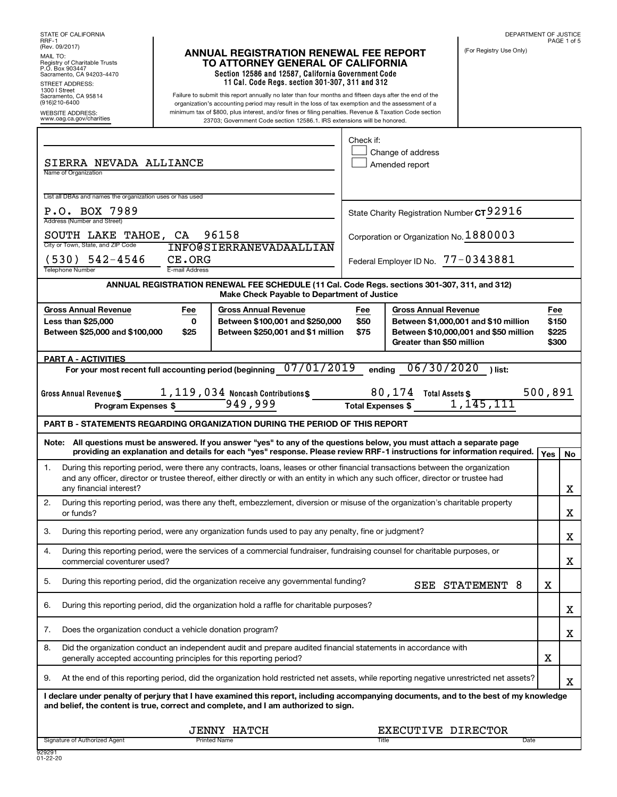STATE OF CALIFORNIA RRF-1 (Rev. 09/2017) DEPARTMENT OF JUSTICE PAGE 1 of 5 (For Registry Use Only) MAIL TO: Registry of Charitable Trusts P.O. Box 903447 Sacramento, CA 94203-4470 STREET ADDRESS: 1300 I Street Sacramento, CA 95814 (916)210-6400 Failure to submit this report annually no later than four months and fifteen days after the end of the organization's accounting period may result in the loss of tax exemption and the assessment of a minimum tax of \$800, plus interest, and/or fines or filing penalties. Revenue & Taxation Code section 23703; Government Code section 12586.1. IRS extensions will be honored. WEBSITE ADDRESS: www.oag.ca.gov/charities Name of Organization List all DBAs and names the organization uses or has used Address (Number and Street) City or Town, State, and ZIP Code Telephone Number **E-mail Address** Signature of Authorized Agent Contract Contract Printed Name Contract Contract Contract Contract Date Date Date **Section 12586 and 12587, California Government Code 11 Cal. Code Regs. section 301-307, 311 and 312 Gross Annual Revenue Noncash Contributions Total Assets \$ \$ \$** 1,119,034 80,174 500,891 P.O. BOX 7989 **Fig. 2018** State Charity Registration Number CT92916 **ANNUAL REGISTRATION RENEWAL FEE SCHEDULE (11 Cal. Code Regs. sections 301-307, 311, and 312) Make Check Payable to Department of Justice Gross Annual Revenue Fee Gross Annual Revenue Fee Gross Annual Revenue Fee Less than \$25,000 Between \$25,000 and \$100,000 0 \$25 Between \$100,001 and \$250,000 Between \$250,001 and \$1 million \$50 \$75 Between \$1,000,001 and \$10 million Between \$10,000,001 and \$50 million Greater than \$50 million \$150 \$225 \$300 PART A - ACTIVITIES For your most recent full accounting period (beginning ending ) list:** 07/01/2019 06/30/2020 **Program Expenses \$ Total Expenses \$ PART B - STATEMENTS REGARDING ORGANIZATION DURING THE PERIOD OF THIS REPORT Note: All questions must be answered. If you answer "yes" to any of the questions below, you must attach a separate page providing an explanation and details for each "yes" response. Please review RRF-1 instructions for information required. Yes No I declare under penalty of perjury that I have examined this report, including accompanying documents, and to the best of my knowledge and belief, the content is true, correct and complete, and I am authorized to sign.** Check if: Change of address Amended report SOUTH LAKE TAHOE, CA 96158 | Corporation or Organization No. 1880003 CE.ORG Federal Employer ID No. 77-0343881 1. During this reporting period, were there any contracts, loans, leases or other financial transactions between the organization and any officer, director or trustee thereof, either directly or with an entity in which any such officer, director or trustee had any financial interest? 2. During this reporting period, was there any theft, embezzlement, diversion or misuse of the organization's charitable property or funds? 3. During this reporting period, were any organization funds used to pay any penalty, fine or judgment? 4. During this reporting period, were the services of a commercial fundraiser, fundraising counsel for charitable purposes, or commercial coventurer used? 5. During this reporting period, did the organization receive any governmental funding? 6. During this reporting period, did the organization hold a raffle for charitable purposes? 7. Does the organization conduct a vehicle donation program? 8. Did the organization conduct an independent audit and prepare audited financial statements in accordance with generally accepted accounting principles for this reporting period? 9. At the end of this reporting period, did the organization hold restricted net assets, while reporting negative unrestricted net assets? **ANNUAL REGISTRATION RENEWAL FEE REPORT TO ATTORNEY GENERAL OF CALIFORNIA**  $\Box$ SEE STATEMENT 8 SIERRA NEVADA ALLIANCE (530) 542-4546 INFO@SIERRANEVADAALLIAN 1,145,111 X X X X X X X X X JENNY HATCH EXECUTIVE DIRECTOR